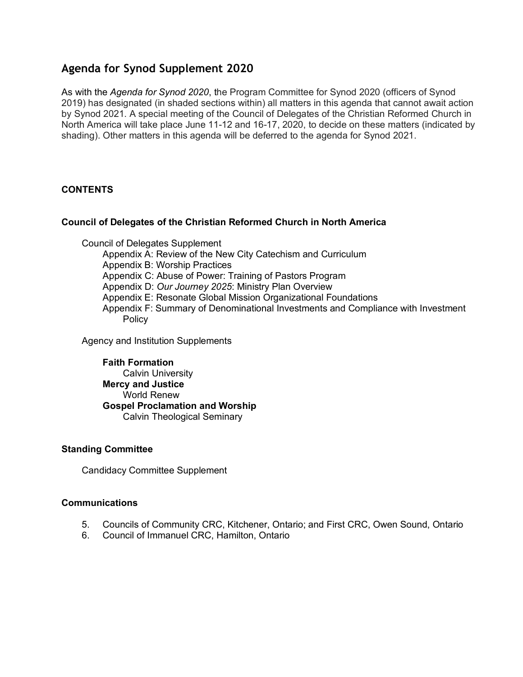# **Agenda for Synod Supplement 2020**

As with the *Agenda for Synod 2020*, the Program Committee for Synod 2020 (officers of Synod 2019) has designated (in shaded sections within) all matters in this agenda that cannot await action by Synod 2021. A special meeting of the Council of Delegates of the Christian Reformed Church in North America will take place June 11-12 and 16-17, 2020, to decide on these matters (indicated by shading). Other matters in this agenda will be deferred to the agenda for Synod 2021.

# **CONTENTS**

# **Council of Delegates of the Christian Reformed Church in North America**

Council of Delegates Supplement

Appendix A: Review of the New City Catechism and Curriculum

Appendix B: Worship Practices

Appendix C: Abuse of Power: Training of Pastors Program

Appendix D: *Our Journey 2025*: Ministry Plan Overview

Appendix E: Resonate Global Mission Organizational Foundations

Appendix F: Summary of Denominational Investments and Compliance with Investment Policy

Agency and Institution Supplements

**Faith Formation** Calvin University **Mercy and Justice** World Renew **Gospel Proclamation and Worship** Calvin Theological Seminary

# **Standing Committee**

Candidacy Committee Supplement

# **Communications**

- 5. Councils of Community CRC, Kitchener, Ontario; and First CRC, Owen Sound, Ontario
- 6. Council of Immanuel CRC, Hamilton, Ontario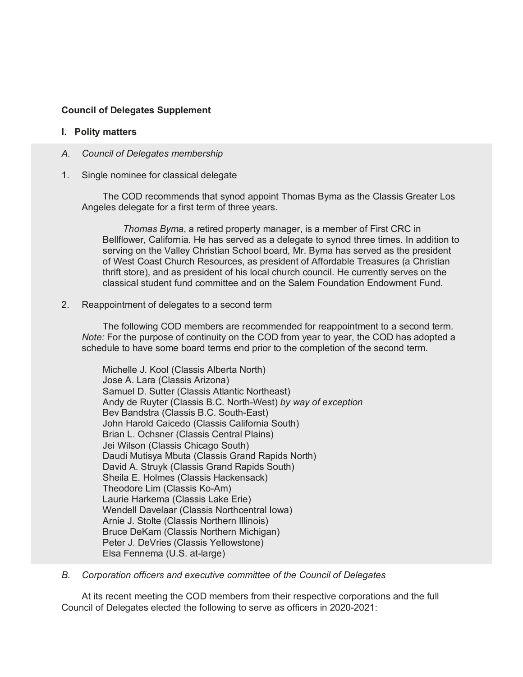# **Council of Delegates Supplement**

## **I. Polity matters**

- *A. Council of Delegates membership*
- 1. Single nominee for classical delegate

The COD recommends that synod appoint Thomas Byma as the Classis Greater Los Angeles delegate for a first term of three years.

*Thomas Byma*, a retired property manager, is a member of First CRC in Bellflower, California. He has served as a delegate to synod three times. In addition to serving on the Valley Christian School board, Mr. Byma has served as the president of West Coast Church Resources, as president of Affordable Treasures (a Christian thrift store), and as president of his local church council. He currently serves on the classical student fund committee and on the Salem Foundation Endowment Fund.

2. Reappointment of delegates to a second term

The following COD members are recommended for reappointment to a second term. *Note:* For the purpose of continuity on the COD from year to year, the COD has adopted a schedule to have some board terms end prior to the completion of the second term.

Michelle J. Kool (Classis Alberta North) Jose A. Lara (Classis Arizona) Samuel D. Sutter (Classis Atlantic Northeast) Andy de Ruyter (Classis B.C. North-West) *by way of exception* Bev Bandstra (Classis B.C. South-East) John Harold Caicedo (Classis California South) Brian L. Ochsner (Classis Central Plains) Jei Wilson (Classis Chicago South) Daudi Mutisya Mbuta (Classis Grand Rapids North) David A. Struyk (Classis Grand Rapids South) Sheila E. Holmes (Classis Hackensack) Theodore Lim (Classis Ko-Am) Laurie Harkema (Classis Lake Erie) Wendell Davelaar (Classis Northcentral Iowa) Arnie J. Stolte (Classis Northern Illinois) Bruce DeKam (Classis Northern Michigan) Peter J. DeVries (Classis Yellowstone) Elsa Fennema (U.S. at-large)

*B. Corporation officers and executive committee of the Council of Delegates*

At its recent meeting the COD members from their respective corporations and the full Council of Delegates elected the following to serve as officers in 2020-2021: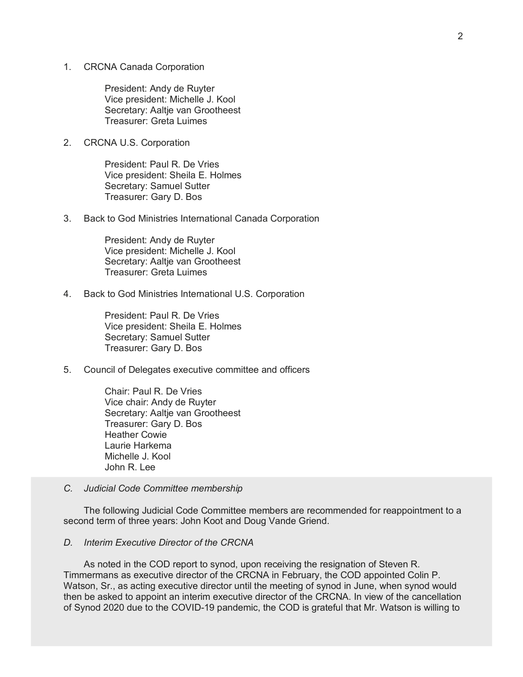1. CRCNA Canada Corporation

President: Andy de Ruyter Vice president: Michelle J. Kool Secretary: Aaltje van Grootheest Treasurer: Greta Luimes

2. CRCNA U.S. Corporation

President: Paul R. De Vries Vice president: Sheila E. Holmes Secretary: Samuel Sutter Treasurer: Gary D. Bos

3. Back to God Ministries International Canada Corporation

President: Andy de Ruyter Vice president: Michelle J. Kool Secretary: Aaltje van Grootheest Treasurer: Greta Luimes

4. Back to God Ministries International U.S. Corporation

President: Paul R. De Vries Vice president: Sheila E. Holmes Secretary: Samuel Sutter Treasurer: Gary D. Bos

5. Council of Delegates executive committee and officers

Chair: Paul R. De Vries Vice chair: Andy de Ruyter Secretary: Aaltje van Grootheest Treasurer: Gary D. Bos Heather Cowie Laurie Harkema Michelle J. Kool John R. Lee

*C. Judicial Code Committee membership*

The following Judicial Code Committee members are recommended for reappointment to a second term of three years: John Koot and Doug Vande Griend.

### *D. Interim Executive Director of the CRCNA*

As noted in the COD report to synod, upon receiving the resignation of Steven R. Timmermans as executive director of the CRCNA in February, the COD appointed Colin P. Watson, Sr., as acting executive director until the meeting of synod in June, when synod would then be asked to appoint an interim executive director of the CRCNA. In view of the cancellation of Synod 2020 due to the COVID-19 pandemic, the COD is grateful that Mr. Watson is willing to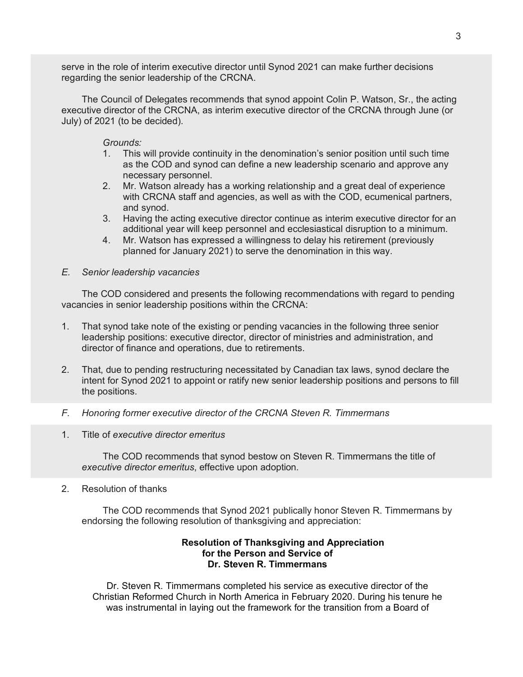serve in the role of interim executive director until Synod 2021 can make further decisions regarding the senior leadership of the CRCNA.

The Council of Delegates recommends that synod appoint Colin P. Watson, Sr., the acting executive director of the CRCNA, as interim executive director of the CRCNA through June (or July) of 2021 (to be decided).

### *Grounds:*

- 1. This will provide continuity in the denomination's senior position until such time as the COD and synod can define a new leadership scenario and approve any necessary personnel.
- 2. Mr. Watson already has a working relationship and a great deal of experience with CRCNA staff and agencies, as well as with the COD, ecumenical partners, and synod.
- 3. Having the acting executive director continue as interim executive director for an additional year will keep personnel and ecclesiastical disruption to a minimum.
- 4. Mr. Watson has expressed a willingness to delay his retirement (previously planned for January 2021) to serve the denomination in this way.

#### *E. Senior leadership vacancies*

The COD considered and presents the following recommendations with regard to pending vacancies in senior leadership positions within the CRCNA:

- 1. That synod take note of the existing or pending vacancies in the following three senior leadership positions: executive director, director of ministries and administration, and director of finance and operations, due to retirements.
- 2. That, due to pending restructuring necessitated by Canadian tax laws, synod declare the intent for Synod 2021 to appoint or ratify new senior leadership positions and persons to fill the positions.
- *F. Honoring former executive director of the CRCNA Steven R. Timmermans*
- 1. Title of *executive director emeritus*

The COD recommends that synod bestow on Steven R. Timmermans the title of *executive director emeritus*, effective upon adoption*.*

2. Resolution of thanks

The COD recommends that Synod 2021 publically honor Steven R. Timmermans by endorsing the following resolution of thanksgiving and appreciation:

# **Resolution of Thanksgiving and Appreciation for the Person and Service of Dr. Steven R. Timmermans**

Dr. Steven R. Timmermans completed his service as executive director of the Christian Reformed Church in North America in February 2020. During his tenure he was instrumental in laying out the framework for the transition from a Board of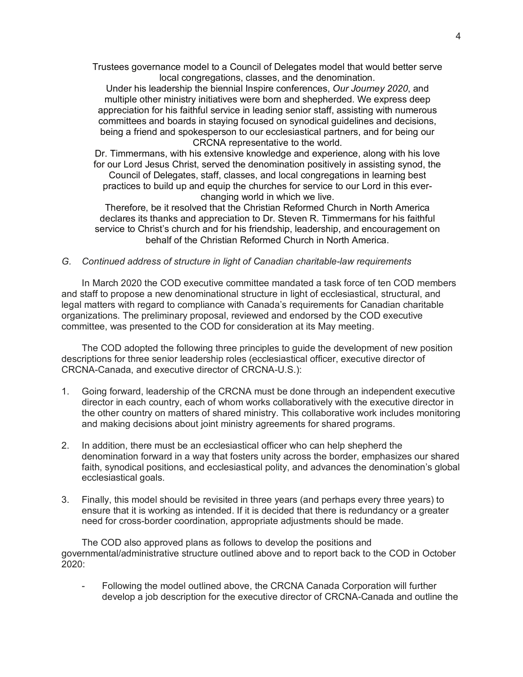Trustees governance model to a Council of Delegates model that would better serve local congregations, classes, and the denomination.

Under his leadership the biennial Inspire conferences, *Our Journey 2020*, and multiple other ministry initiatives were born and shepherded. We express deep appreciation for his faithful service in leading senior staff, assisting with numerous committees and boards in staying focused on synodical guidelines and decisions, being a friend and spokesperson to our ecclesiastical partners, and for being our CRCNA representative to the world.

Dr. Timmermans, with his extensive knowledge and experience, along with his love for our Lord Jesus Christ, served the denomination positively in assisting synod, the Council of Delegates, staff, classes, and local congregations in learning best practices to build up and equip the churches for service to our Lord in this everchanging world in which we live.

Therefore, be it resolved that the Christian Reformed Church in North America declares its thanks and appreciation to Dr. Steven R. Timmermans for his faithful service to Christ's church and for his friendship, leadership, and encouragement on behalf of the Christian Reformed Church in North America.

#### *G. Continued address of structure in light of Canadian charitable-law requirements*

In March 2020 the COD executive committee mandated a task force of ten COD members and staff to propose a new denominational structure in light of ecclesiastical, structural, and legal matters with regard to compliance with Canada's requirements for Canadian charitable organizations. The preliminary proposal, reviewed and endorsed by the COD executive committee, was presented to the COD for consideration at its May meeting.

The COD adopted the following three principles to guide the development of new position descriptions for three senior leadership roles (ecclesiastical officer, executive director of CRCNA-Canada, and executive director of CRCNA-U.S.):

- 1. Going forward, leadership of the CRCNA must be done through an independent executive director in each country, each of whom works collaboratively with the executive director in the other country on matters of shared ministry. This collaborative work includes monitoring and making decisions about joint ministry agreements for shared programs.
- 2. In addition, there must be an ecclesiastical officer who can help shepherd the denomination forward in a way that fosters unity across the border, emphasizes our shared faith, synodical positions, and ecclesiastical polity, and advances the denomination's global ecclesiastical goals.
- 3. Finally, this model should be revisited in three years (and perhaps every three years) to ensure that it is working as intended. If it is decided that there is redundancy or a greater need for cross-border coordination, appropriate adjustments should be made.

The COD also approved plans as follows to develop the positions and governmental/administrative structure outlined above and to report back to the COD in October 2020:

- Following the model outlined above, the CRCNA Canada Corporation will further develop a job description for the executive director of CRCNA-Canada and outline the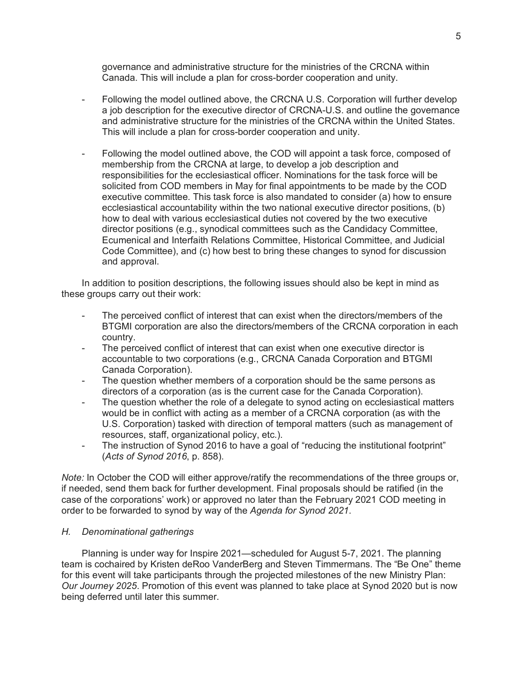governance and administrative structure for the ministries of the CRCNA within Canada. This will include a plan for cross-border cooperation and unity.

- Following the model outlined above, the CRCNA U.S. Corporation will further develop a job description for the executive director of CRCNA-U.S. and outline the governance and administrative structure for the ministries of the CRCNA within the United States. This will include a plan for cross-border cooperation and unity.
- Following the model outlined above, the COD will appoint a task force, composed of membership from the CRCNA at large, to develop a job description and responsibilities for the ecclesiastical officer. Nominations for the task force will be solicited from COD members in May for final appointments to be made by the COD executive committee. This task force is also mandated to consider (a) how to ensure ecclesiastical accountability within the two national executive director positions, (b) how to deal with various ecclesiastical duties not covered by the two executive director positions (e.g., synodical committees such as the Candidacy Committee, Ecumenical and Interfaith Relations Committee, Historical Committee, and Judicial Code Committee), and (c) how best to bring these changes to synod for discussion and approval.

In addition to position descriptions, the following issues should also be kept in mind as these groups carry out their work:

- The perceived conflict of interest that can exist when the directors/members of the BTGMI corporation are also the directors/members of the CRCNA corporation in each country.
- The perceived conflict of interest that can exist when one executive director is accountable to two corporations (e.g., CRCNA Canada Corporation and BTGMI Canada Corporation).
- The question whether members of a corporation should be the same persons as directors of a corporation (as is the current case for the Canada Corporation).
- The question whether the role of a delegate to synod acting on ecclesiastical matters would be in conflict with acting as a member of a CRCNA corporation (as with the U.S. Corporation) tasked with direction of temporal matters (such as management of resources, staff, organizational policy, etc.).
- The instruction of Synod 2016 to have a goal of "reducing the institutional footprint" (*Acts of Synod 2016*, p. 858).

*Note:* In October the COD will either approve/ratify the recommendations of the three groups or, if needed, send them back for further development. Final proposals should be ratified (in the case of the corporations' work) or approved no later than the February 2021 COD meeting in order to be forwarded to synod by way of the *Agenda for Synod 2021*.

# *H. Denominational gatherings*

Planning is under way for Inspire 2021—scheduled for August 5-7, 2021. The planning team is cochaired by Kristen deRoo VanderBerg and Steven Timmermans. The "Be One" theme for this event will take participants through the projected milestones of the new Ministry Plan: *Our Journey 2025*. Promotion of this event was planned to take place at Synod 2020 but is now being deferred until later this summer.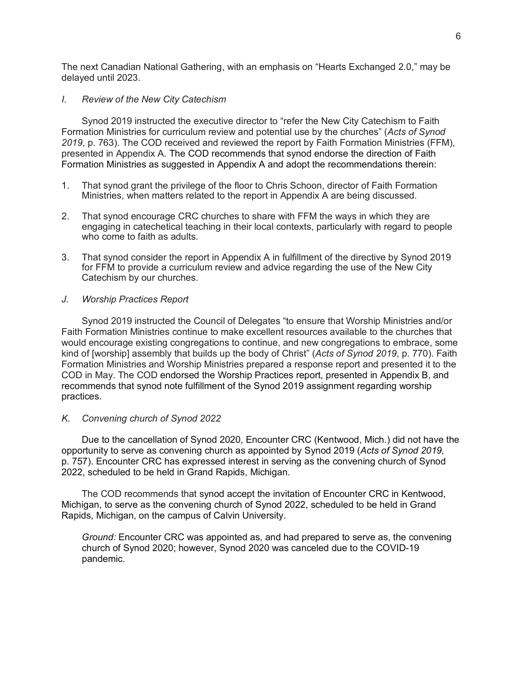The next Canadian National Gathering, with an emphasis on "Hearts Exchanged 2.0," may be delayed until 2023.

### *I. Review of the New City Catechism*

Synod 2019 instructed the executive director to "refer the New City Catechism to Faith Formation Ministries for curriculum review and potential use by the churches" (*Acts of Synod 2019*, p. 763). The COD received and reviewed the report by Faith Formation Ministries (FFM), presented in Appendix A. The COD recommends that synod endorse the direction of Faith Formation Ministries as suggested in Appendix A and adopt the recommendations therein:

- 1. That synod grant the privilege of the floor to Chris Schoon, director of Faith Formation Ministries, when matters related to the report in Appendix A are being discussed.
- 2. That synod encourage CRC churches to share with FFM the ways in which they are engaging in catechetical teaching in their local contexts, particularly with regard to people who come to faith as adults.
- 3. That synod consider the report in Appendix A in fulfillment of the directive by Synod 2019 for FFM to provide a curriculum review and advice regarding the use of the New City Catechism by our churches.

### *J. Worship Practices Report*

Synod 2019 instructed the Council of Delegates "to ensure that Worship Ministries and/or Faith Formation Ministries continue to make excellent resources available to the churches that would encourage existing congregations to continue, and new congregations to embrace, some kind of [worship] assembly that builds up the body of Christ" (*Acts of Synod 2019*, p. 770). Faith Formation Ministries and Worship Ministries prepared a response report and presented it to the COD in May. The COD endorsed the Worship Practices report, presented in Appendix B, and recommends that synod note fulfillment of the Synod 2019 assignment regarding worship practices.

#### *K. Convening church of Synod 2022*

Due to the cancellation of Synod 2020, Encounter CRC (Kentwood, Mich.) did not have the opportunity to serve as convening church as appointed by Synod 2019 (*Acts of Synod 2019,* p. 757). Encounter CRC has expressed interest in serving as the convening church of Synod 2022, scheduled to be held in Grand Rapids, Michigan.

The COD recommends that synod accept the invitation of Encounter CRC in Kentwood, Michigan, to serve as the convening church of Synod 2022, scheduled to be held in Grand Rapids, Michigan, on the campus of Calvin University.

*Ground:* Encounter CRC was appointed as, and had prepared to serve as, the convening church of Synod 2020; however, Synod 2020 was canceled due to the COVID-19 pandemic.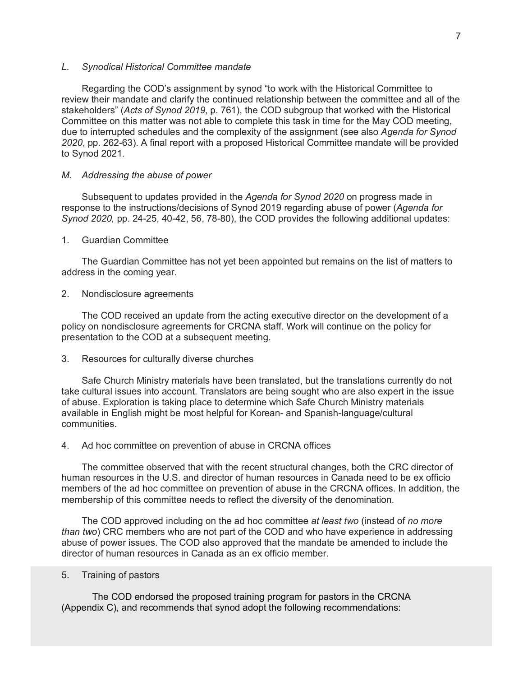#### *L. Synodical Historical Committee mandate*

Regarding the COD's assignment by synod "to work with the Historical Committee to review their mandate and clarify the continued relationship between the committee and all of the stakeholders" (*Acts of Synod 2019*, p. 761), the COD subgroup that worked with the Historical Committee on this matter was not able to complete this task in time for the May COD meeting, due to interrupted schedules and the complexity of the assignment (see also *Agenda for Synod 2020*, pp. 262-63). A final report with a proposed Historical Committee mandate will be provided to Synod 2021.

### *M. Addressing the abuse of power*

Subsequent to updates provided in the *Agenda for Synod 2020* on progress made in response to the instructions/decisions of Synod 2019 regarding abuse of power (*Agenda for Synod 2020,* pp. 24-25, 40-42, 56, 78-80), the COD provides the following additional updates:

#### 1. Guardian Committee

The Guardian Committee has not yet been appointed but remains on the list of matters to address in the coming year.

#### 2. Nondisclosure agreements

The COD received an update from the acting executive director on the development of a policy on nondisclosure agreements for CRCNA staff. Work will continue on the policy for presentation to the COD at a subsequent meeting.

#### 3. Resources for culturally diverse churches

Safe Church Ministry materials have been translated, but the translations currently do not take cultural issues into account. Translators are being sought who are also expert in the issue of abuse. Exploration is taking place to determine which Safe Church Ministry materials available in English might be most helpful for Korean- and Spanish-language/cultural communities.

#### 4. Ad hoc committee on prevention of abuse in CRCNA offices

The committee observed that with the recent structural changes, both the CRC director of human resources in the U.S. and director of human resources in Canada need to be ex officio members of the ad hoc committee on prevention of abuse in the CRCNA offices. In addition, the membership of this committee needs to reflect the diversity of the denomination.

The COD approved including on the ad hoc committee *at least two* (instead of *no more than two*) CRC members who are not part of the COD and who have experience in addressing abuse of power issues. The COD also approved that the mandate be amended to include the director of human resources in Canada as an ex officio member.

#### 5. Training of pastors

The COD endorsed the proposed training program for pastors in the CRCNA (Appendix C), and recommends that synod adopt the following recommendations: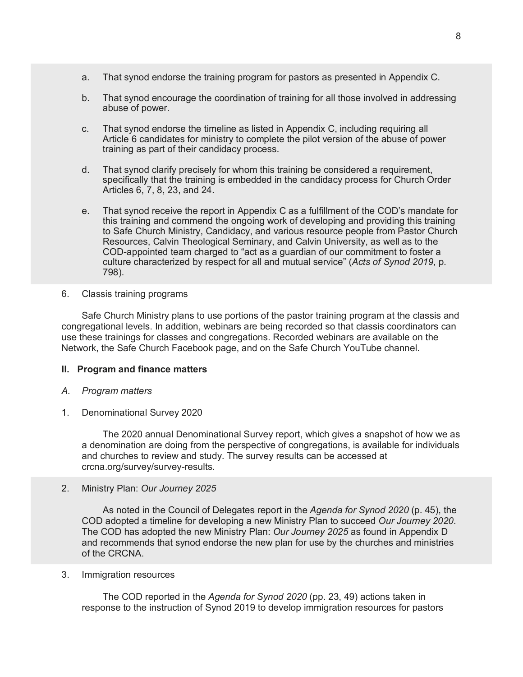- a. That synod endorse the training program for pastors as presented in Appendix C.
- b. That synod encourage the coordination of training for all those involved in addressing abuse of power.
- c. That synod endorse the timeline as listed in Appendix C, including requiring all Article 6 candidates for ministry to complete the pilot version of the abuse of power training as part of their candidacy process.
- d. That synod clarify precisely for whom this training be considered a requirement, specifically that the training is embedded in the candidacy process for Church Order Articles 6, 7, 8, 23, and 24.
- e. That synod receive the report in Appendix C as a fulfillment of the COD's mandate for this training and commend the ongoing work of developing and providing this training to Safe Church Ministry, Candidacy, and various resource people from Pastor Church Resources, Calvin Theological Seminary, and Calvin University, as well as to the COD-appointed team charged to "act as a guardian of our commitment to foster a culture characterized by respect for all and mutual service" (*Acts of Synod 2019*, p. 798).
- 6. Classis training programs

Safe Church Ministry plans to use portions of the pastor training program at the classis and congregational levels. In addition, webinars are being recorded so that classis coordinators can use these trainings for classes and congregations. Recorded webinars are available on the Network, the Safe Church Facebook page, and on the Safe Church YouTube channel.

# **II. Program and finance matters**

- *A. Program matters*
- 1. Denominational Survey 2020

The 2020 annual Denominational Survey report, which gives a snapshot of how we as a denomination are doing from the perspective of congregations, is available for individuals and churches to review and study. The survey results can be accessed at crcna.org/survey/survey-results.

2. Ministry Plan: *Our Journey 2025*

As noted in the Council of Delegates report in the *Agenda for Synod 2020* (p. 45), the COD adopted a timeline for developing a new Ministry Plan to succeed *Our Journey 2020*. The COD has adopted the new Ministry Plan: *Our Journey 2025* as found in Appendix D and recommends that synod endorse the new plan for use by the churches and ministries of the CRCNA.

3. Immigration resources

The COD reported in the *Agenda for Synod 2020* (pp. 23, 49) actions taken in response to the instruction of Synod 2019 to develop immigration resources for pastors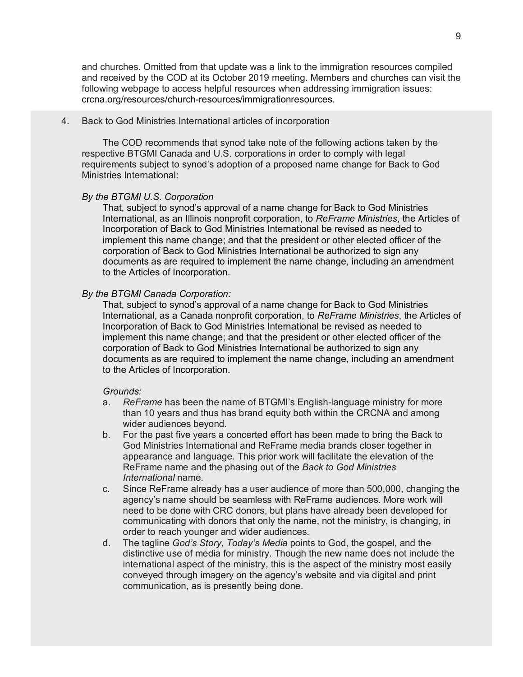and churches. Omitted from that update was a link to the immigration resources compiled and received by the COD at its October 2019 meeting. Members and churches can visit the following webpage to access helpful resources when addressing immigration issues: crcna.org/resources/church-resources/immigrationresources.

#### 4. Back to God Ministries International articles of incorporation

The COD recommends that synod take note of the following actions taken by the respective BTGMI Canada and U.S. corporations in order to comply with legal requirements subject to synod's adoption of a proposed name change for Back to God Ministries International:

# *By the BTGMI U.S. Corporation*

That, subject to synod's approval of a name change for Back to God Ministries International, as an Illinois nonprofit corporation, to *ReFrame Ministries*, the Articles of Incorporation of Back to God Ministries International be revised as needed to implement this name change; and that the president or other elected officer of the corporation of Back to God Ministries International be authorized to sign any documents as are required to implement the name change, including an amendment to the Articles of Incorporation.

#### *By the BTGMI Canada Corporation:*

That, subject to synod's approval of a name change for Back to God Ministries International, as a Canada nonprofit corporation, to *ReFrame Ministries*, the Articles of Incorporation of Back to God Ministries International be revised as needed to implement this name change; and that the president or other elected officer of the corporation of Back to God Ministries International be authorized to sign any documents as are required to implement the name change, including an amendment to the Articles of Incorporation.

#### *Grounds:*

- a. *ReFrame* has been the name of BTGMI's English-language ministry for more than 10 years and thus has brand equity both within the CRCNA and among wider audiences beyond.
- b. For the past five years a concerted effort has been made to bring the Back to God Ministries International and ReFrame media brands closer together in appearance and language. This prior work will facilitate the elevation of the ReFrame name and the phasing out of the *Back to God Ministries International* name.
- c. Since ReFrame already has a user audience of more than 500,000, changing the agency's name should be seamless with ReFrame audiences. More work will need to be done with CRC donors, but plans have already been developed for communicating with donors that only the name, not the ministry, is changing, in order to reach younger and wider audiences.
- d. The tagline *God's Story, Today's Media* points to God, the gospel, and the distinctive use of media for ministry. Though the new name does not include the international aspect of the ministry, this is the aspect of the ministry most easily conveyed through imagery on the agency's website and via digital and print communication, as is presently being done.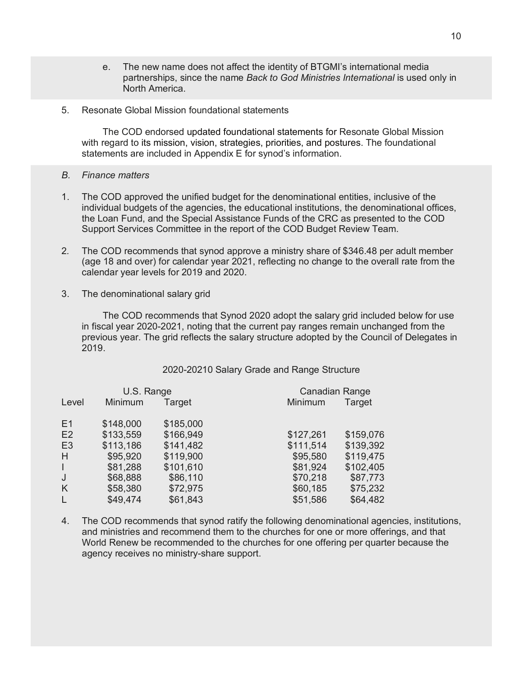- e. The new name does not affect the identity of BTGMI's international media partnerships, since the name *Back to God Ministries International* is used only in North America.
- 5. Resonate Global Mission foundational statements

The COD endorsed updated foundational statements for Resonate Global Mission with regard to its mission, vision, strategies, priorities, and postures. The foundational statements are included in Appendix E for synod's information.

- *B. Finance matters*
- 1. The COD approved the unified budget for the denominational entities, inclusive of the individual budgets of the agencies, the educational institutions, the denominational offices, the Loan Fund, and the Special Assistance Funds of the CRC as presented to the COD Support Services Committee in the report of the COD Budget Review Team.
- 2*.* The COD recommends that synod approve a ministry share of \$346.48 per adult member (age 18 and over) for calendar year 2021, reflecting no change to the overall rate from the calendar year levels for 2019 and 2020.
- 3. The denominational salary grid

The COD recommends that Synod 2020 adopt the salary grid included below for use in fiscal year 2020-2021, noting that the current pay ranges remain unchanged from the previous year. The grid reflects the salary structure adopted by the Council of Delegates in 2019.

# 2020-20210 Salary Grade and Range Structure

|                | U.S. Range |           | Canadian Range         |
|----------------|------------|-----------|------------------------|
| Level          | Minimum    | Target    | Minimum<br>Target      |
| E <sub>1</sub> | \$148,000  | \$185,000 |                        |
| E2             | \$133,559  | \$166,949 | \$159,076<br>\$127,261 |
| E <sub>3</sub> | \$113,186  | \$141,482 | \$139,392<br>\$111,514 |
| H              | \$95,920   | \$119,900 | \$95,580<br>\$119,475  |
| $\mathbf{L}$   | \$81,288   | \$101,610 | \$81,924<br>\$102,405  |
| J              | \$68,888   | \$86,110  | \$70,218<br>\$87,773   |
| K              | \$58,380   | \$72,975  | \$75,232<br>\$60,185   |
| L              | \$49,474   | \$61,843  | \$51,586<br>\$64,482   |

4. The COD recommends that synod ratify the following denominational agencies, institutions, and ministries and recommend them to the churches for one or more offerings, and that World Renew be recommended to the churches for one offering per quarter because the agency receives no ministry-share support.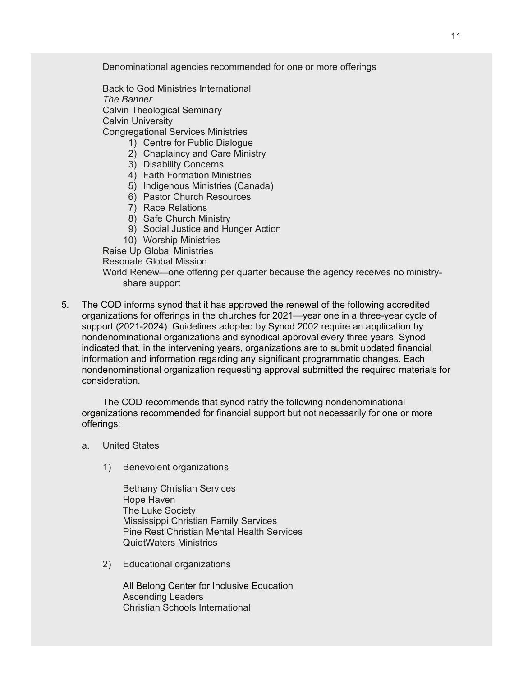Denominational agencies recommended for one or more offerings

Back to God Ministries International *The Banner* Calvin Theological Seminary Calvin University Congregational Services Ministries

- 1) Centre for Public Dialogue
- 2) Chaplaincy and Care Ministry
- 3) Disability Concerns
- 4) Faith Formation Ministries
- 5) Indigenous Ministries (Canada)
- 6) Pastor Church Resources
- 7) Race Relations
- 8) Safe Church Ministry
- 9) Social Justice and Hunger Action
- 10) Worship Ministries
- Raise Up Global Ministries

Resonate Global Mission

World Renew—one offering per quarter because the agency receives no ministryshare support

5*.* The COD informs synod that it has approved the renewal of the following accredited organizations for offerings in the churches for 2021—year one in a three-year cycle of support (2021-2024). Guidelines adopted by Synod 2002 require an application by nondenominational organizations and synodical approval every three years. Synod indicated that, in the intervening years, organizations are to submit updated financial information and information regarding any significant programmatic changes. Each nondenominational organization requesting approval submitted the required materials for consideration.

The COD recommends that synod ratify the following nondenominational organizations recommended for financial support but not necessarily for one or more offerings:

- a. United States
	- 1) Benevolent organizations

Bethany Christian Services Hope Haven The Luke Society Mississippi Christian Family Services Pine Rest Christian Mental Health Services QuietWaters Ministries

2) Educational organizations

All Belong Center for Inclusive Education Ascending Leaders Christian Schools International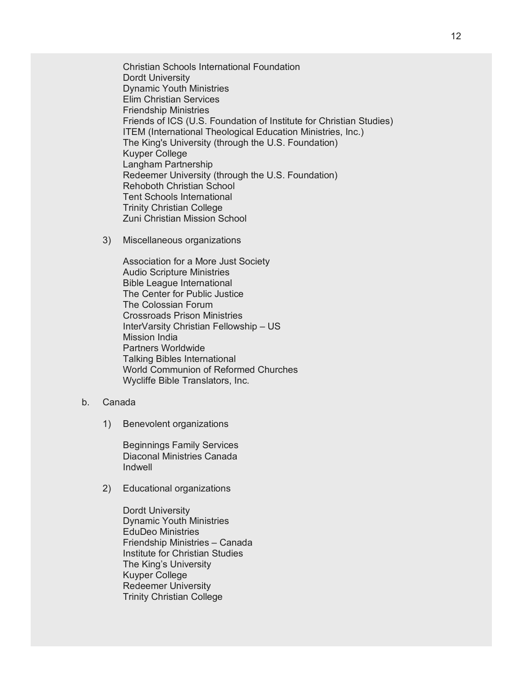Christian Schools International Foundation Dordt University Dynamic Youth Ministries Elim Christian Services Friendship Ministries Friends of ICS (U.S. Foundation of Institute for Christian Studies) ITEM (International Theological Education Ministries, Inc.) The King's University (through the U.S. Foundation) Kuyper College Langham Partnership Redeemer University (through the U.S. Foundation) Rehoboth Christian School Tent Schools International Trinity Christian College Zuni Christian Mission School

3) Miscellaneous organizations

Association for a More Just Society Audio Scripture Ministries Bible League International The Center for Public Justice The Colossian Forum Crossroads Prison Ministries InterVarsity Christian Fellowship – US Mission India Partners Worldwide Talking Bibles International World Communion of Reformed Churches Wycliffe Bible Translators, Inc.

- b. Canada
	- 1) Benevolent organizations

Beginnings Family Services Diaconal Ministries Canada Indwell

2) Educational organizations

Dordt University Dynamic Youth Ministries EduDeo Ministries Friendship Ministries – Canada Institute for Christian Studies The King's University Kuyper College Redeemer University Trinity Christian College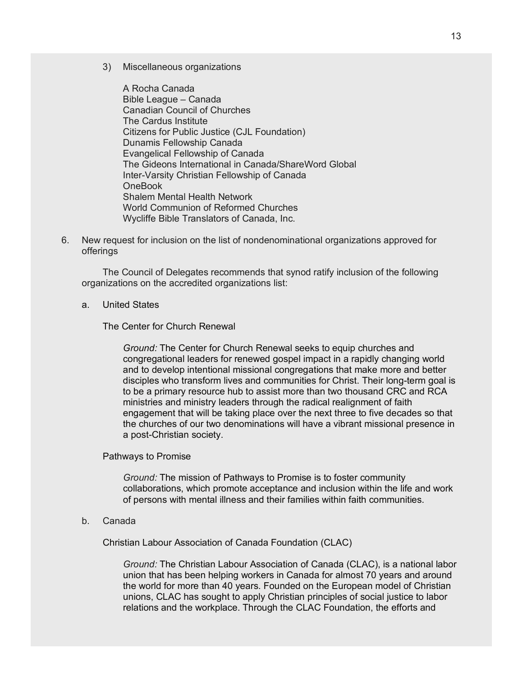3) Miscellaneous organizations

A Rocha Canada Bible League – Canada Canadian Council of Churches The Cardus Institute Citizens for Public Justice (CJL Foundation) Dunamis Fellowship Canada Evangelical Fellowship of Canada The Gideons International in Canada/ShareWord Global Inter-Varsity Christian Fellowship of Canada OneBook Shalem Mental Health Network World Communion of Reformed Churches Wycliffe Bible Translators of Canada, Inc.

6. New request for inclusion on the list of nondenominational organizations approved for offerings

The Council of Delegates recommends that synod ratify inclusion of the following organizations on the accredited organizations list:

a. United States

The Center for Church Renewal

*Ground:* The Center for Church Renewal seeks to equip churches and congregational leaders for renewed gospel impact in a rapidly changing world and to develop intentional missional congregations that make more and better disciples who transform lives and communities for Christ. Their long-term goal is to be a primary resource hub to assist more than two thousand CRC and RCA ministries and ministry leaders through the radical realignment of faith engagement that will be taking place over the next three to five decades so that the churches of our two denominations will have a vibrant missional presence in a post-Christian society.

#### Pathways to Promise

*Ground:* The mission of Pathways to Promise is to foster community collaborations, which promote acceptance and inclusion within the life and work of persons with mental illness and their families within faith communities.

b. Canada

Christian Labour Association of Canada Foundation (CLAC)

*Ground:* The Christian Labour Association of Canada (CLAC), is a national labor union that has been helping workers in Canada for almost 70 years and around the world for more than 40 years. Founded on the European model of Christian unions, CLAC has sought to apply Christian principles of social justice to labor relations and the workplace. Through the CLAC Foundation, the efforts and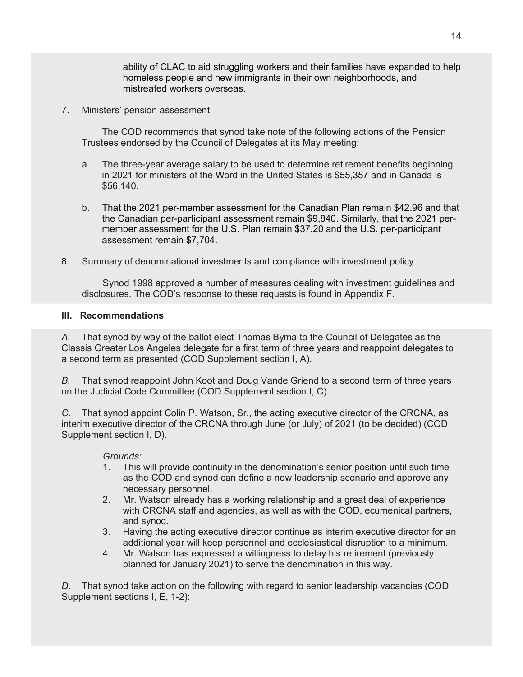ability of CLAC to aid struggling workers and their families have expanded to help homeless people and new immigrants in their own neighborhoods, and mistreated workers overseas.

7. Ministers' pension assessment

The COD recommends that synod take note of the following actions of the Pension Trustees endorsed by the Council of Delegates at its May meeting:

- a. The three-year average salary to be used to determine retirement benefits beginning in 2021 for ministers of the Word in the United States is \$55,357 and in Canada is \$56,140.
- b. That the 2021 per-member assessment for the Canadian Plan remain \$42.96 and that the Canadian per-participant assessment remain \$9,840. Similarly, that the 2021 permember assessment for the U.S. Plan remain \$37.20 and the U.S. per-participant assessment remain \$7,704.
- 8. Summary of denominational investments and compliance with investment policy

Synod 1998 approved a number of measures dealing with investment guidelines and disclosures. The COD's response to these requests is found in Appendix F.

# **III. Recommendations**

*A.* That synod by way of the ballot elect Thomas Byma to the Council of Delegates as the Classis Greater Los Angeles delegate for a first term of three years and reappoint delegates to a second term as presented (COD Supplement section I, A).

*B.* That synod reappoint John Koot and Doug Vande Griend to a second term of three years on the Judicial Code Committee (COD Supplement section I, C).

*C*. That synod appoint Colin P. Watson, Sr., the acting executive director of the CRCNA, as interim executive director of the CRCNA through June (or July) of 2021 (to be decided) (COD Supplement section I, D).

# *Grounds:*

- 1. This will provide continuity in the denomination's senior position until such time as the COD and synod can define a new leadership scenario and approve any necessary personnel.
- 2. Mr. Watson already has a working relationship and a great deal of experience with CRCNA staff and agencies, as well as with the COD, ecumenical partners, and synod.
- 3. Having the acting executive director continue as interim executive director for an additional year will keep personnel and ecclesiastical disruption to a minimum.
- 4. Mr. Watson has expressed a willingness to delay his retirement (previously planned for January 2021) to serve the denomination in this way.

*D*. That synod take action on the following with regard to senior leadership vacancies (COD Supplement sections I, E, 1-2):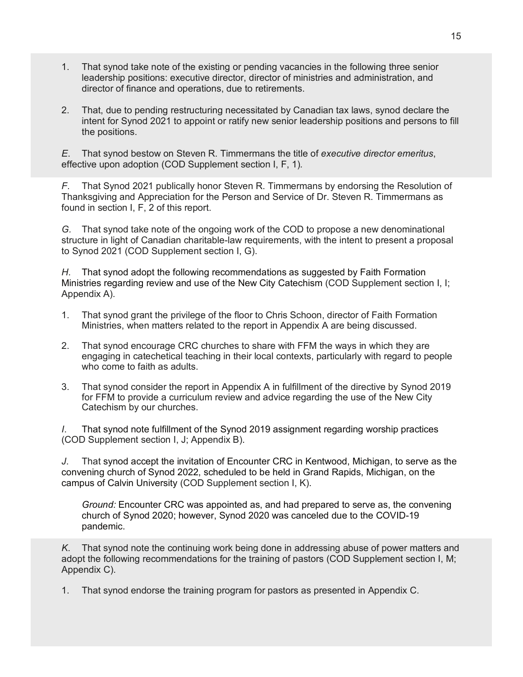- 1. That synod take note of the existing or pending vacancies in the following three senior leadership positions: executive director, director of ministries and administration, and director of finance and operations, due to retirements.
- 2. That, due to pending restructuring necessitated by Canadian tax laws, synod declare the intent for Synod 2021 to appoint or ratify new senior leadership positions and persons to fill the positions.

*E*. That synod bestow on Steven R. Timmermans the title of *executive director emeritus*, effective upon adoption (COD Supplement section I, F, 1)*.*

*F*. That Synod 2021 publically honor Steven R. Timmermans by endorsing the Resolution of Thanksgiving and Appreciation for the Person and Service of Dr. Steven R. Timmermans as found in section I, F, 2 of this report.

*G.* That synod take note of the ongoing work of the COD to propose a new denominational structure in light of Canadian charitable-law requirements, with the intent to present a proposal to Synod 2021 (COD Supplement section I, G).

*H*. That synod adopt the following recommendations as suggested by Faith Formation Ministries regarding review and use of the New City Catechism (COD Supplement section I, I; Appendix A).

- 1. That synod grant the privilege of the floor to Chris Schoon, director of Faith Formation Ministries, when matters related to the report in Appendix A are being discussed.
- 2. That synod encourage CRC churches to share with FFM the ways in which they are engaging in catechetical teaching in their local contexts, particularly with regard to people who come to faith as adults.
- 3. That synod consider the report in Appendix A in fulfillment of the directive by Synod 2019 for FFM to provide a curriculum review and advice regarding the use of the New City Catechism by our churches.

*I*. That synod note fulfillment of the Synod 2019 assignment regarding worship practices (COD Supplement section I, J; Appendix B).

*J*. That synod accept the invitation of Encounter CRC in Kentwood, Michigan, to serve as the convening church of Synod 2022, scheduled to be held in Grand Rapids, Michigan, on the campus of Calvin University (COD Supplement section I, K).

*Ground:* Encounter CRC was appointed as, and had prepared to serve as, the convening church of Synod 2020; however, Synod 2020 was canceled due to the COVID-19 pandemic.

*K*. That synod note the continuing work being done in addressing abuse of power matters and adopt the following recommendations for the training of pastors (COD Supplement section I, M; Appendix C).

1. That synod endorse the training program for pastors as presented in Appendix C.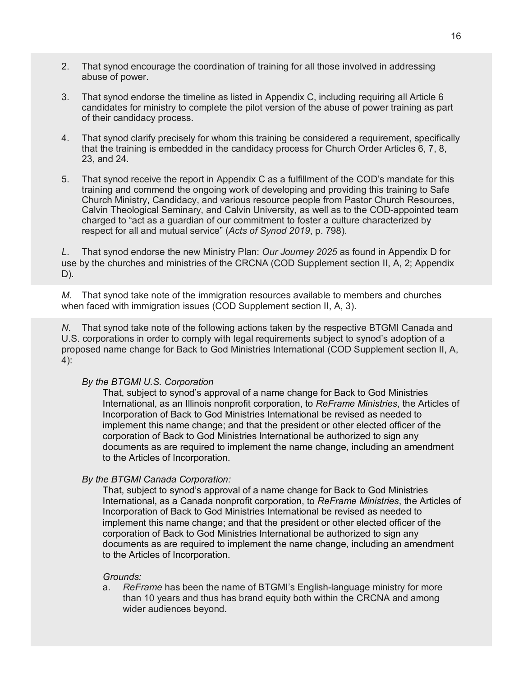- 2. That synod encourage the coordination of training for all those involved in addressing abuse of power.
- 3. That synod endorse the timeline as listed in Appendix C, including requiring all Article 6 candidates for ministry to complete the pilot version of the abuse of power training as part of their candidacy process.
- 4. That synod clarify precisely for whom this training be considered a requirement, specifically that the training is embedded in the candidacy process for Church Order Articles 6, 7, 8, 23, and 24.
- 5. That synod receive the report in Appendix C as a fulfillment of the COD's mandate for this training and commend the ongoing work of developing and providing this training to Safe Church Ministry, Candidacy, and various resource people from Pastor Church Resources, Calvin Theological Seminary, and Calvin University, as well as to the COD-appointed team charged to "act as a guardian of our commitment to foster a culture characterized by respect for all and mutual service" (*Acts of Synod 2019*, p. 798).

*L*. That synod endorse the new Ministry Plan: *Our Journey 2025* as found in Appendix D for use by the churches and ministries of the CRCNA (COD Supplement section II, A, 2; Appendix D).

*M.* That synod take note of the immigration resources available to members and churches when faced with immigration issues (COD Supplement section II, A, 3).

*N*. That synod take note of the following actions taken by the respective BTGMI Canada and U.S. corporations in order to comply with legal requirements subject to synod's adoption of a proposed name change for Back to God Ministries International (COD Supplement section II, A, 4):

# *By the BTGMI U.S. Corporation*

That, subject to synod's approval of a name change for Back to God Ministries International, as an Illinois nonprofit corporation, to *ReFrame Ministries*, the Articles of Incorporation of Back to God Ministries International be revised as needed to implement this name change; and that the president or other elected officer of the corporation of Back to God Ministries International be authorized to sign any documents as are required to implement the name change, including an amendment to the Articles of Incorporation.

# *By the BTGMI Canada Corporation:*

That, subject to synod's approval of a name change for Back to God Ministries International, as a Canada nonprofit corporation, to *ReFrame Ministries*, the Articles of Incorporation of Back to God Ministries International be revised as needed to implement this name change; and that the president or other elected officer of the corporation of Back to God Ministries International be authorized to sign any documents as are required to implement the name change, including an amendment to the Articles of Incorporation.

#### *Grounds:*

a. *ReFrame* has been the name of BTGMI's English-language ministry for more than 10 years and thus has brand equity both within the CRCNA and among wider audiences beyond.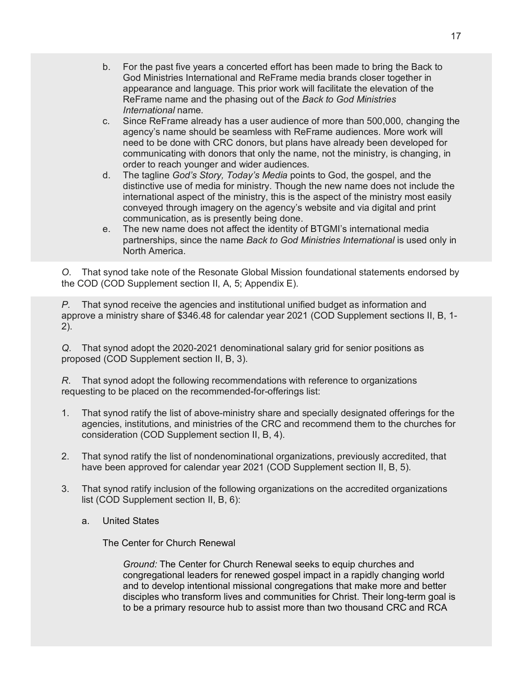- b. For the past five years a concerted effort has been made to bring the Back to God Ministries International and ReFrame media brands closer together in appearance and language. This prior work will facilitate the elevation of the ReFrame name and the phasing out of the *Back to God Ministries International* name.
- c. Since ReFrame already has a user audience of more than 500,000, changing the agency's name should be seamless with ReFrame audiences. More work will need to be done with CRC donors, but plans have already been developed for communicating with donors that only the name, not the ministry, is changing, in order to reach younger and wider audiences.
- d. The tagline *God's Story, Today's Media* points to God, the gospel, and the distinctive use of media for ministry. Though the new name does not include the international aspect of the ministry, this is the aspect of the ministry most easily conveyed through imagery on the agency's website and via digital and print communication, as is presently being done.
- e. The new name does not affect the identity of BTGMI's international media partnerships, since the name *Back to God Ministries International* is used only in North America.

*O*. That synod take note of the Resonate Global Mission foundational statements endorsed by the COD (COD Supplement section II, A, 5; Appendix E).

*P.* That synod receive the agencies and institutional unified budget as information and approve a ministry share of \$346.48 for calendar year 2021 (COD Supplement sections II, B, 1- 2).

*Q*. That synod adopt the 2020-2021 denominational salary grid for senior positions as proposed (COD Supplement section II, B, 3).

*R*. That synod adopt the following recommendations with reference to organizations requesting to be placed on the recommended-for-offerings list:

- 1. That synod ratify the list of above-ministry share and specially designated offerings for the agencies, institutions, and ministries of the CRC and recommend them to the churches for consideration (COD Supplement section II, B, 4).
- 2. That synod ratify the list of nondenominational organizations, previously accredited, that have been approved for calendar year 2021 (COD Supplement section II, B, 5).
- 3. That synod ratify inclusion of the following organizations on the accredited organizations list (COD Supplement section II, B, 6):
	- a. United States

The Center for Church Renewal

*Ground:* The Center for Church Renewal seeks to equip churches and congregational leaders for renewed gospel impact in a rapidly changing world and to develop intentional missional congregations that make more and better disciples who transform lives and communities for Christ. Their long-term goal is to be a primary resource hub to assist more than two thousand CRC and RCA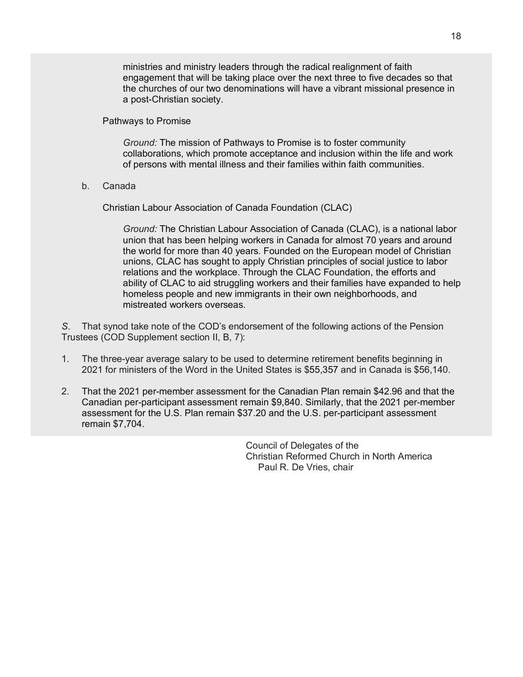ministries and ministry leaders through the radical realignment of faith engagement that will be taking place over the next three to five decades so that the churches of our two denominations will have a vibrant missional presence in a post-Christian society.

Pathways to Promise

*Ground:* The mission of Pathways to Promise is to foster community collaborations, which promote acceptance and inclusion within the life and work of persons with mental illness and their families within faith communities.

b. Canada

Christian Labour Association of Canada Foundation (CLAC)

*Ground:* The Christian Labour Association of Canada (CLAC), is a national labor union that has been helping workers in Canada for almost 70 years and around the world for more than 40 years. Founded on the European model of Christian unions, CLAC has sought to apply Christian principles of social justice to labor relations and the workplace. Through the CLAC Foundation, the efforts and ability of CLAC to aid struggling workers and their families have expanded to help homeless people and new immigrants in their own neighborhoods, and mistreated workers overseas.

*S*. That synod take note of the COD's endorsement of the following actions of the Pension Trustees (COD Supplement section II, B, 7):

- 1. The three-year average salary to be used to determine retirement benefits beginning in 2021 for ministers of the Word in the United States is \$55,357 and in Canada is \$56,140.
- 2. That the 2021 per-member assessment for the Canadian Plan remain \$42.96 and that the Canadian per-participant assessment remain \$9,840. Similarly, that the 2021 per-member assessment for the U.S. Plan remain \$37.20 and the U.S. per-participant assessment remain \$7,704.

Council of Delegates of the Christian Reformed Church in North America Paul R. De Vries, chair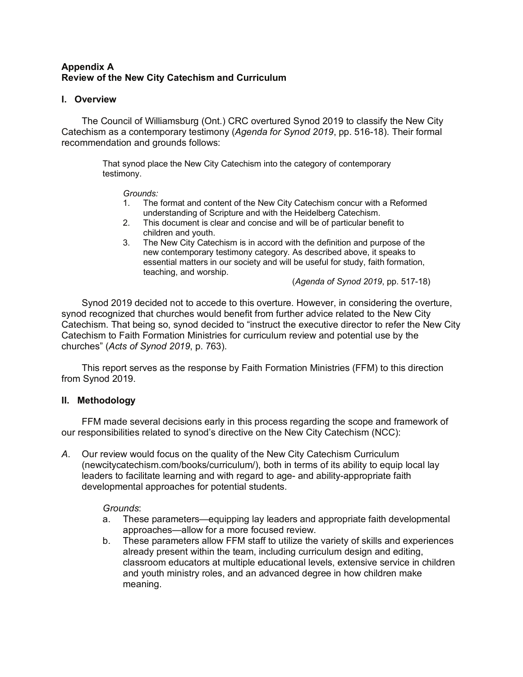# **Appendix A Review of the New City Catechism and Curriculum**

# **I. Overview**

The Council of Williamsburg (Ont.) CRC overtured Synod 2019 to classify the New City Catechism as a contemporary testimony (*Agenda for Synod 2019*, pp. 516-18). Their formal recommendation and grounds follows:

> That synod place the New City Catechism into the category of contemporary testimony.

### *Grounds:*

- 1. The format and content of the New City Catechism concur with a Reformed understanding of Scripture and with the Heidelberg Catechism.
- 2. This document is clear and concise and will be of particular benefit to children and youth.
- 3. The New City Catechism is in accord with the definition and purpose of the new contemporary testimony category. As described above, it speaks to essential matters in our society and will be useful for study, faith formation, teaching, and worship.

(*Agenda of Synod 2019*, pp. 517-18)

Synod 2019 decided not to accede to this overture. However, in considering the overture, synod recognized that churches would benefit from further advice related to the New City Catechism. That being so, synod decided to "instruct the executive director to refer the New City Catechism to Faith Formation Ministries for curriculum review and potential use by the churches" (*Acts of Synod 2019*, p. 763).

This report serves as the response by Faith Formation Ministries (FFM) to this direction from Synod 2019.

# **II. Methodology**

FFM made several decisions early in this process regarding the scope and framework of our responsibilities related to synod's directive on the New City Catechism (NCC):

*A*. Our review would focus on the quality of the New City Catechism Curriculum (newcitycatechism.com/books/curriculum/), both in terms of its ability to equip local lay leaders to facilitate learning and with regard to age- and ability-appropriate faith developmental approaches for potential students.

# *Grounds*:

- a. These parameters—equipping lay leaders and appropriate faith developmental approaches—allow for a more focused review.
- b. These parameters allow FFM staff to utilize the variety of skills and experiences already present within the team, including curriculum design and editing, classroom educators at multiple educational levels, extensive service in children and youth ministry roles, and an advanced degree in how children make meaning.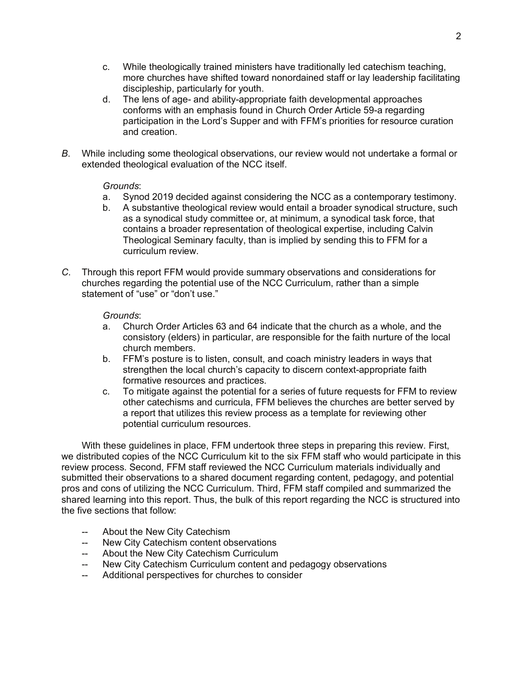- c. While theologically trained ministers have traditionally led catechism teaching, more churches have shifted toward nonordained staff or lay leadership facilitating discipleship, particularly for youth.
- d. The lens of age- and ability-appropriate faith developmental approaches conforms with an emphasis found in Church Order Article 59-a regarding participation in the Lord's Supper and with FFM's priorities for resource curation and creation.
- *B*. While including some theological observations, our review would not undertake a formal or extended theological evaluation of the NCC itself.

# *Grounds*:

- a. Synod 2019 decided against considering the NCC as a contemporary testimony.
- b. A substantive theological review would entail a broader synodical structure, such as a synodical study committee or, at minimum, a synodical task force, that contains a broader representation of theological expertise, including Calvin Theological Seminary faculty, than is implied by sending this to FFM for a curriculum review.
- *C*. Through this report FFM would provide summary observations and considerations for churches regarding the potential use of the NCC Curriculum, rather than a simple statement of "use" or "don't use."

# *Grounds*:

- a. Church Order Articles 63 and 64 indicate that the church as a whole, and the consistory (elders) in particular, are responsible for the faith nurture of the local church members.
- b. FFM's posture is to listen, consult, and coach ministry leaders in ways that strengthen the local church's capacity to discern context-appropriate faith formative resources and practices.
- c. To mitigate against the potential for a series of future requests for FFM to review other catechisms and curricula, FFM believes the churches are better served by a report that utilizes this review process as a template for reviewing other potential curriculum resources.

With these guidelines in place, FFM undertook three steps in preparing this review. First, we distributed copies of the NCC Curriculum kit to the six FFM staff who would participate in this review process. Second, FFM staff reviewed the NCC Curriculum materials individually and submitted their observations to a shared document regarding content, pedagogy, and potential pros and cons of utilizing the NCC Curriculum. Third, FFM staff compiled and summarized the shared learning into this report. Thus, the bulk of this report regarding the NCC is structured into the five sections that follow:

- About the New City Catechism
- -- New City Catechism content observations
- -- About the New City Catechism Curriculum
- New City Catechism Curriculum content and pedagogy observations
- -- Additional perspectives for churches to consider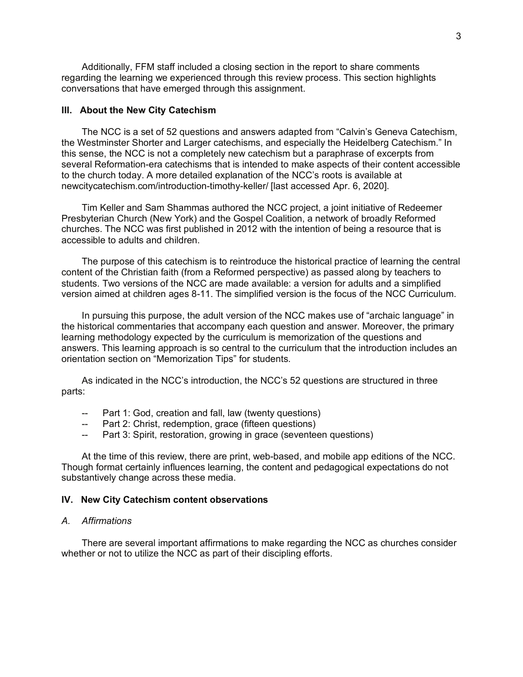Additionally, FFM staff included a closing section in the report to share comments regarding the learning we experienced through this review process. This section highlights conversations that have emerged through this assignment.

#### **III. About the New City Catechism**

The NCC is a set of 52 questions and answers adapted from "Calvin's Geneva Catechism, the Westminster Shorter and Larger catechisms, and especially the Heidelberg Catechism." In this sense, the NCC is not a completely new catechism but a paraphrase of excerpts from several Reformation-era catechisms that is intended to make aspects of their content accessible to the church today. A more detailed explanation of the NCC's roots is available at newcitycatechism.com/introduction-timothy-keller/ [last accessed Apr. 6, 2020].

Tim Keller and Sam Shammas authored the NCC project, a joint initiative of Redeemer Presbyterian Church (New York) and the Gospel Coalition, a network of broadly Reformed churches. The NCC was first published in 2012 with the intention of being a resource that is accessible to adults and children.

The purpose of this catechism is to reintroduce the historical practice of learning the central content of the Christian faith (from a Reformed perspective) as passed along by teachers to students. Two versions of the NCC are made available: a version for adults and a simplified version aimed at children ages 8-11. The simplified version is the focus of the NCC Curriculum.

In pursuing this purpose, the adult version of the NCC makes use of "archaic language" in the historical commentaries that accompany each question and answer. Moreover, the primary learning methodology expected by the curriculum is memorization of the questions and answers. This learning approach is so central to the curriculum that the introduction includes an orientation section on "Memorization Tips" for students.

As indicated in the NCC's introduction, the NCC's 52 questions are structured in three parts:

- Part 1: God, creation and fall, law (twenty questions)
- Part 2: Christ, redemption, grace (fifteen questions)
- -- Part 3: Spirit, restoration, growing in grace (seventeen questions)

At the time of this review, there are print, web-based, and mobile app editions of the NCC. Though format certainly influences learning, the content and pedagogical expectations do not substantively change across these media.

#### **IV. New City Catechism content observations**

# *A. Affirmations*

There are several important affirmations to make regarding the NCC as churches consider whether or not to utilize the NCC as part of their discipling efforts.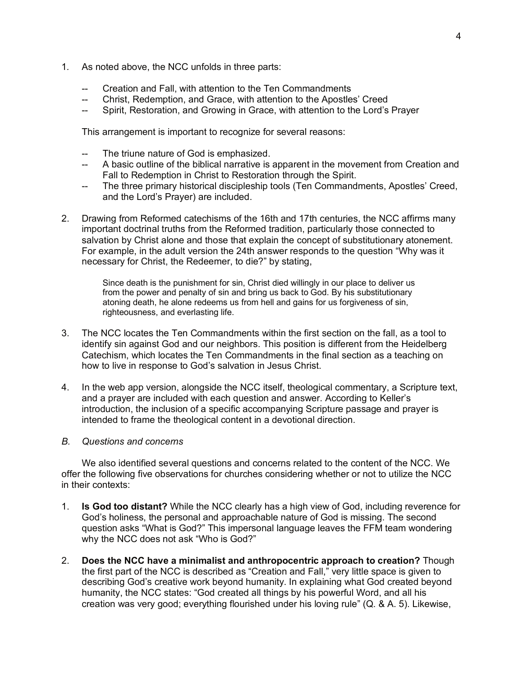- 1*.* As noted above, the NCC unfolds in three parts:
	- Creation and Fall, with attention to the Ten Commandments
	- Christ, Redemption, and Grace, with attention to the Apostles' Creed
	- -- Spirit, Restoration, and Growing in Grace, with attention to the Lord's Prayer

This arrangement is important to recognize for several reasons:

- The triune nature of God is emphasized.
- -- A basic outline of the biblical narrative is apparent in the movement from Creation and Fall to Redemption in Christ to Restoration through the Spirit.
- -- The three primary historical discipleship tools (Ten Commandments, Apostles' Creed, and the Lord's Prayer) are included.
- 2. Drawing from Reformed catechisms of the 16th and 17th centuries, the NCC affirms many important doctrinal truths from the Reformed tradition, particularly those connected to salvation by Christ alone and those that explain the concept of substitutionary atonement. For example, in the adult version the 24th answer responds to the question "Why was it necessary for Christ, the Redeemer, to die?" by stating,

Since death is the punishment for sin, Christ died willingly in our place to deliver us from the power and penalty of sin and bring us back to God. By his substitutionary atoning death, he alone redeems us from hell and gains for us forgiveness of sin, righteousness, and everlasting life.

- 3. The NCC locates the Ten Commandments within the first section on the fall, as a tool to identify sin against God and our neighbors. This position is different from the Heidelberg Catechism, which locates the Ten Commandments in the final section as a teaching on how to live in response to God's salvation in Jesus Christ.
- 4. In the web app version, alongside the NCC itself, theological commentary, a Scripture text, and a prayer are included with each question and answer. According to Keller's introduction, the inclusion of a specific accompanying Scripture passage and prayer is intended to frame the theological content in a devotional direction.

### *B. Questions and concerns*

We also identified several questions and concerns related to the content of the NCC. We offer the following five observations for churches considering whether or not to utilize the NCC in their contexts:

- 1. **Is God too distant?** While the NCC clearly has a high view of God, including reverence for God's holiness, the personal and approachable nature of God is missing. The second question asks "What is God?" This impersonal language leaves the FFM team wondering why the NCC does not ask "Who is God?"
- 2. **Does the NCC have a minimalist and anthropocentric approach to creation?** Though the first part of the NCC is described as "Creation and Fall," very little space is given to describing God's creative work beyond humanity. In explaining what God created beyond humanity, the NCC states: "God created all things by his powerful Word, and all his creation was very good; everything flourished under his loving rule" (Q. & A. 5). Likewise,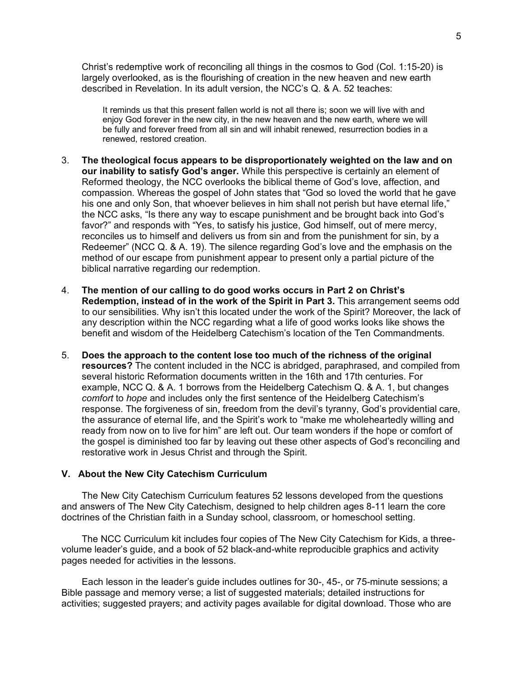Christ's redemptive work of reconciling all things in the cosmos to God (Col. 1:15-20) is largely overlooked, as is the flourishing of creation in the new heaven and new earth described in Revelation. In its adult version, the NCC's Q. & A. 52 teaches:

It reminds us that this present fallen world is not all there is; soon we will live with and enjoy God forever in the new city, in the new heaven and the new earth, where we will be fully and forever freed from all sin and will inhabit renewed, resurrection bodies in a renewed, restored creation.

- 3. **The theological focus appears to be disproportionately weighted on the law and on our inability to satisfy God's anger.** While this perspective is certainly an element of Reformed theology, the NCC overlooks the biblical theme of God's love, affection, and compassion. Whereas the gospel of John states that "God so loved the world that he gave his one and only Son, that whoever believes in him shall not perish but have eternal life," the NCC asks, "Is there any way to escape punishment and be brought back into God's favor?" and responds with "Yes, to satisfy his justice, God himself, out of mere mercy, reconciles us to himself and delivers us from sin and from the punishment for sin, by a Redeemer" (NCC Q. & A. 19). The silence regarding God's love and the emphasis on the method of our escape from punishment appear to present only a partial picture of the biblical narrative regarding our redemption.
- 4. **The mention of our calling to do good works occurs in Part 2 on Christ's Redemption, instead of in the work of the Spirit in Part 3.** This arrangement seems odd to our sensibilities. Why isn't this located under the work of the Spirit? Moreover, the lack of any description within the NCC regarding what a life of good works looks like shows the benefit and wisdom of the Heidelberg Catechism's location of the Ten Commandments.
- 5. **Does the approach to the content lose too much of the richness of the original resources?** The content included in the NCC is abridged, paraphrased, and compiled from several historic Reformation documents written in the 16th and 17th centuries. For example, NCC Q. & A. 1 borrows from the Heidelberg Catechism Q. & A. 1, but changes *comfort* to *hope* and includes only the first sentence of the Heidelberg Catechism's response. The forgiveness of sin, freedom from the devil's tyranny, God's providential care, the assurance of eternal life, and the Spirit's work to "make me wholeheartedly willing and ready from now on to live for him" are left out. Our team wonders if the hope or comfort of the gospel is diminished too far by leaving out these other aspects of God's reconciling and restorative work in Jesus Christ and through the Spirit.

#### **V. About the New City Catechism Curriculum**

The New City Catechism Curriculum features 52 lessons developed from the questions and answers of The New City Catechism, designed to help children ages 8-11 learn the core doctrines of the Christian faith in a Sunday school, classroom, or homeschool setting.

The NCC Curriculum kit includes four copies of The New City Catechism for Kids, a threevolume leader's guide, and a book of 52 black-and-white reproducible graphics and activity pages needed for activities in the lessons.

Each lesson in the leader's guide includes outlines for 30-, 45-, or 75-minute sessions; a Bible passage and memory verse; a list of suggested materials; detailed instructions for activities; suggested prayers; and activity pages available for digital download. Those who are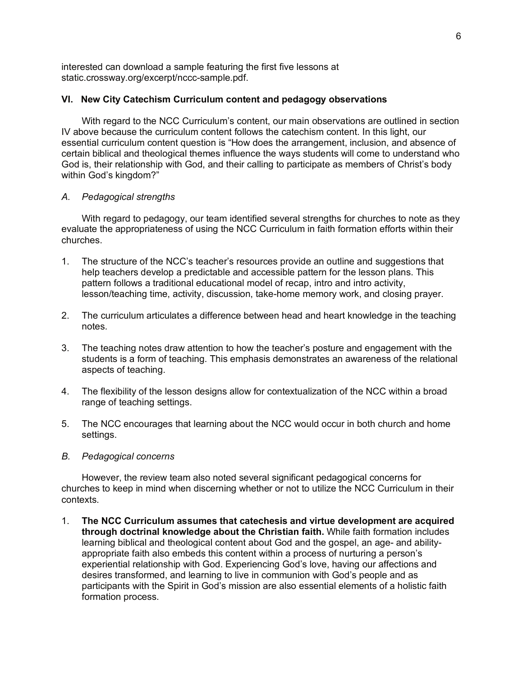interested can download a sample featuring the first five lessons at static.crossway.org/excerpt/nccc-sample.pdf.

# **VI. New City Catechism Curriculum content and pedagogy observations**

With regard to the NCC Curriculum's content, our main observations are outlined in section IV above because the curriculum content follows the catechism content. In this light, our essential curriculum content question is "How does the arrangement, inclusion, and absence of certain biblical and theological themes influence the ways students will come to understand who God is, their relationship with God, and their calling to participate as members of Christ's body within God's kingdom?"

# *A. Pedagogical strengths*

With regard to pedagogy, our team identified several strengths for churches to note as they evaluate the appropriateness of using the NCC Curriculum in faith formation efforts within their churches.

- 1. The structure of the NCC's teacher's resources provide an outline and suggestions that help teachers develop a predictable and accessible pattern for the lesson plans. This pattern follows a traditional educational model of recap, intro and intro activity, lesson/teaching time, activity, discussion, take-home memory work, and closing prayer.
- 2. The curriculum articulates a difference between head and heart knowledge in the teaching notes.
- 3. The teaching notes draw attention to how the teacher's posture and engagement with the students is a form of teaching. This emphasis demonstrates an awareness of the relational aspects of teaching.
- 4. The flexibility of the lesson designs allow for contextualization of the NCC within a broad range of teaching settings.
- 5. The NCC encourages that learning about the NCC would occur in both church and home settings.
- *B. Pedagogical concerns*

However, the review team also noted several significant pedagogical concerns for churches to keep in mind when discerning whether or not to utilize the NCC Curriculum in their contexts.

1. **The NCC Curriculum assumes that catechesis and virtue development are acquired through doctrinal knowledge about the Christian faith.** While faith formation includes learning biblical and theological content about God and the gospel, an age- and abilityappropriate faith also embeds this content within a process of nurturing a person's experiential relationship with God. Experiencing God's love, having our affections and desires transformed, and learning to live in communion with God's people and as participants with the Spirit in God's mission are also essential elements of a holistic faith formation process.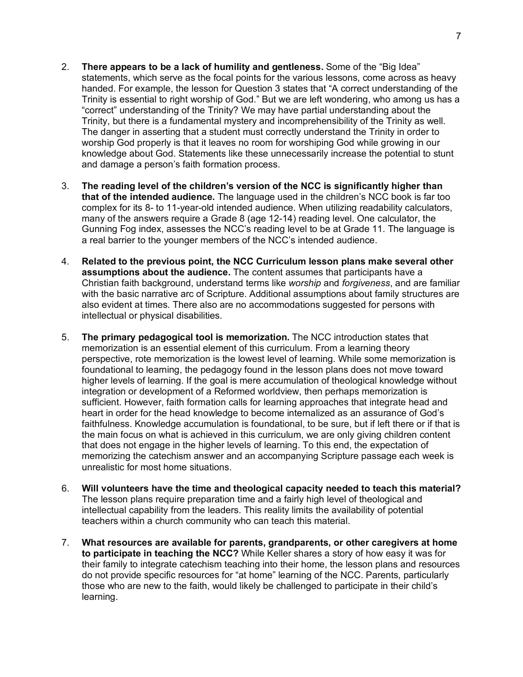- 7
- 2. **There appears to be a lack of humility and gentleness.** Some of the "Big Idea" statements, which serve as the focal points for the various lessons, come across as heavy handed. For example, the lesson for Question 3 states that "A correct understanding of the Trinity is essential to right worship of God." But we are left wondering, who among us has a "correct" understanding of the Trinity? We may have partial understanding about the Trinity, but there is a fundamental mystery and incomprehensibility of the Trinity as well. The danger in asserting that a student must correctly understand the Trinity in order to worship God properly is that it leaves no room for worshiping God while growing in our knowledge about God. Statements like these unnecessarily increase the potential to stunt and damage a person's faith formation process.
- 3. **The reading level of the children's version of the NCC is significantly higher than that of the intended audience.** The language used in the children's NCC book is far too complex for its 8- to 11-year-old intended audience. When utilizing readability calculators, many of the answers require a Grade 8 (age 12-14) reading level. One calculator, the Gunning Fog index, assesses the NCC's reading level to be at Grade 11. The language is a real barrier to the younger members of the NCC's intended audience.
- 4. **Related to the previous point, the NCC Curriculum lesson plans make several other assumptions about the audience.** The content assumes that participants have a Christian faith background, understand terms like *worship* and *forgiveness*, and are familiar with the basic narrative arc of Scripture. Additional assumptions about family structures are also evident at times. There also are no accommodations suggested for persons with intellectual or physical disabilities.
- 5. **The primary pedagogical tool is memorization.** The NCC introduction states that memorization is an essential element of this curriculum. From a learning theory perspective, rote memorization is the lowest level of learning. While some memorization is foundational to learning, the pedagogy found in the lesson plans does not move toward higher levels of learning. If the goal is mere accumulation of theological knowledge without integration or development of a Reformed worldview, then perhaps memorization is sufficient. However, faith formation calls for learning approaches that integrate head and heart in order for the head knowledge to become internalized as an assurance of God's faithfulness. Knowledge accumulation is foundational, to be sure, but if left there or if that is the main focus on what is achieved in this curriculum, we are only giving children content that does not engage in the higher levels of learning. To this end, the expectation of memorizing the catechism answer and an accompanying Scripture passage each week is unrealistic for most home situations.
- 6. **Will volunteers have the time and theological capacity needed to teach this material?** The lesson plans require preparation time and a fairly high level of theological and intellectual capability from the leaders. This reality limits the availability of potential teachers within a church community who can teach this material.
- 7. **What resources are available for parents, grandparents, or other caregivers at home to participate in teaching the NCC?** While Keller shares a story of how easy it was for their family to integrate catechism teaching into their home, the lesson plans and resources do not provide specific resources for "at home" learning of the NCC. Parents, particularly those who are new to the faith, would likely be challenged to participate in their child's learning.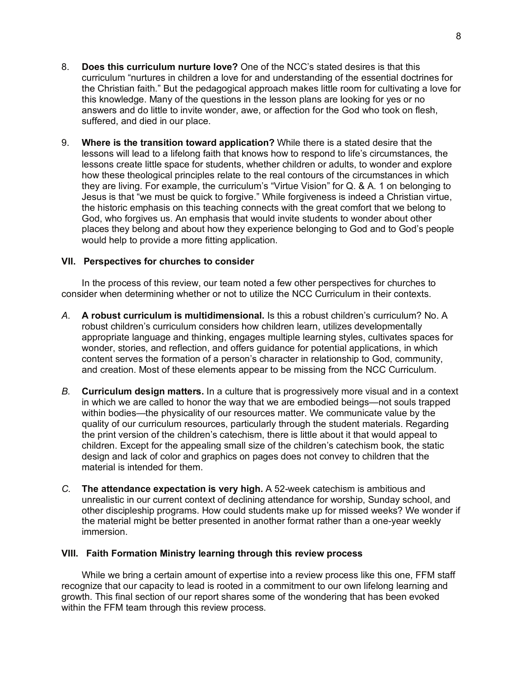- 8. **Does this curriculum nurture love?** One of the NCC's stated desires is that this curriculum "nurtures in children a love for and understanding of the essential doctrines for the Christian faith." But the pedagogical approach makes little room for cultivating a love for this knowledge. Many of the questions in the lesson plans are looking for yes or no answers and do little to invite wonder, awe, or affection for the God who took on flesh, suffered, and died in our place.
- 9. **Where is the transition toward application?** While there is a stated desire that the lessons will lead to a lifelong faith that knows how to respond to life's circumstances, the lessons create little space for students, whether children or adults, to wonder and explore how these theological principles relate to the real contours of the circumstances in which they are living. For example, the curriculum's "Virtue Vision" for Q. & A. 1 on belonging to Jesus is that "we must be quick to forgive." While forgiveness is indeed a Christian virtue, the historic emphasis on this teaching connects with the great comfort that we belong to God, who forgives us. An emphasis that would invite students to wonder about other places they belong and about how they experience belonging to God and to God's people would help to provide a more fitting application.

# **VII. Perspectives for churches to consider**

In the process of this review, our team noted a few other perspectives for churches to consider when determining whether or not to utilize the NCC Curriculum in their contexts.

- *A.* **A robust curriculum is multidimensional.** Is this a robust children's curriculum? No. A robust children's curriculum considers how children learn, utilizes developmentally appropriate language and thinking, engages multiple learning styles, cultivates spaces for wonder, stories, and reflection, and offers guidance for potential applications, in which content serves the formation of a person's character in relationship to God, community, and creation. Most of these elements appear to be missing from the NCC Curriculum.
- *B.* **Curriculum design matters.** In a culture that is progressively more visual and in a context in which we are called to honor the way that we are embodied beings—not souls trapped within bodies—the physicality of our resources matter. We communicate value by the quality of our curriculum resources, particularly through the student materials. Regarding the print version of the children's catechism, there is little about it that would appeal to children. Except for the appealing small size of the children's catechism book, the static design and lack of color and graphics on pages does not convey to children that the material is intended for them.
- *C.* **The attendance expectation is very high.** A 52-week catechism is ambitious and unrealistic in our current context of declining attendance for worship, Sunday school, and other discipleship programs. How could students make up for missed weeks? We wonder if the material might be better presented in another format rather than a one-year weekly immersion.

# **VIII. Faith Formation Ministry learning through this review process**

While we bring a certain amount of expertise into a review process like this one, FFM staff recognize that our capacity to lead is rooted in a commitment to our own lifelong learning and growth. This final section of our report shares some of the wondering that has been evoked within the FFM team through this review process.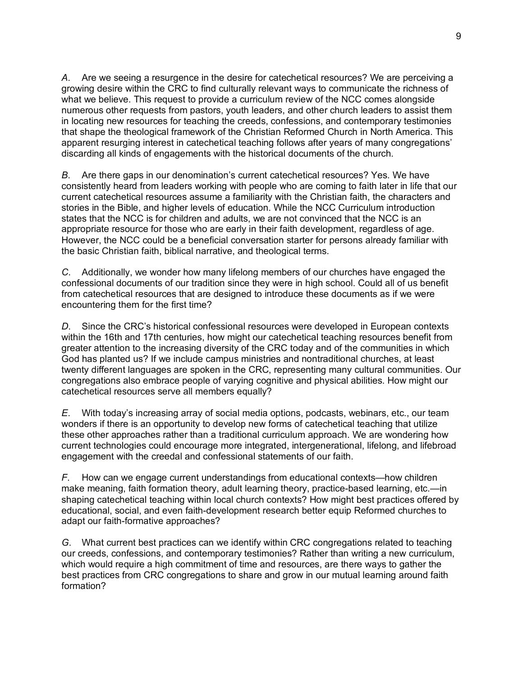*A*. Are we seeing a resurgence in the desire for catechetical resources? We are perceiving a growing desire within the CRC to find culturally relevant ways to communicate the richness of what we believe. This request to provide a curriculum review of the NCC comes alongside numerous other requests from pastors, youth leaders, and other church leaders to assist them in locating new resources for teaching the creeds, confessions, and contemporary testimonies that shape the theological framework of the Christian Reformed Church in North America. This apparent resurging interest in catechetical teaching follows after years of many congregations' discarding all kinds of engagements with the historical documents of the church.

*B*. Are there gaps in our denomination's current catechetical resources? Yes. We have consistently heard from leaders working with people who are coming to faith later in life that our current catechetical resources assume a familiarity with the Christian faith, the characters and stories in the Bible, and higher levels of education. While the NCC Curriculum introduction states that the NCC is for children and adults, we are not convinced that the NCC is an appropriate resource for those who are early in their faith development, regardless of age. However, the NCC could be a beneficial conversation starter for persons already familiar with the basic Christian faith, biblical narrative, and theological terms.

*C*. Additionally, we wonder how many lifelong members of our churches have engaged the confessional documents of our tradition since they were in high school. Could all of us benefit from catechetical resources that are designed to introduce these documents as if we were encountering them for the first time?

*D*. Since the CRC's historical confessional resources were developed in European contexts within the 16th and 17th centuries, how might our catechetical teaching resources benefit from greater attention to the increasing diversity of the CRC today and of the communities in which God has planted us? If we include campus ministries and nontraditional churches, at least twenty different languages are spoken in the CRC, representing many cultural communities. Our congregations also embrace people of varying cognitive and physical abilities. How might our catechetical resources serve all members equally?

*E*. With today's increasing array of social media options, podcasts, webinars, etc., our team wonders if there is an opportunity to develop new forms of catechetical teaching that utilize these other approaches rather than a traditional curriculum approach. We are wondering how current technologies could encourage more integrated, intergenerational, lifelong, and lifebroad engagement with the creedal and confessional statements of our faith.

*F*. How can we engage current understandings from educational contexts—how children make meaning, faith formation theory, adult learning theory, practice-based learning, etc.—in shaping catechetical teaching within local church contexts? How might best practices offered by educational, social, and even faith-development research better equip Reformed churches to adapt our faith-formative approaches?

*G*. What current best practices can we identify within CRC congregations related to teaching our creeds, confessions, and contemporary testimonies? Rather than writing a new curriculum, which would require a high commitment of time and resources, are there ways to gather the best practices from CRC congregations to share and grow in our mutual learning around faith formation?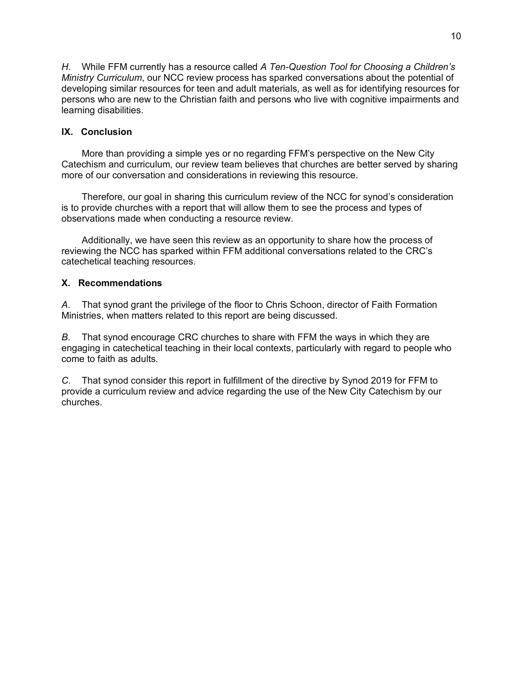*H*. While FFM currently has a resource called *A Ten-Question Tool for Choosing a Children's Ministry Curriculum*, our NCC review process has sparked conversations about the potential of developing similar resources for teen and adult materials, as well as for identifying resources for persons who are new to the Christian faith and persons who live with cognitive impairments and learning disabilities.

# **IX. Conclusion**

More than providing a simple yes or no regarding FFM's perspective on the New City Catechism and curriculum, our review team believes that churches are better served by sharing more of our conversation and considerations in reviewing this resource.

Therefore, our goal in sharing this curriculum review of the NCC for synod's consideration is to provide churches with a report that will allow them to see the process and types of observations made when conducting a resource review.

Additionally, we have seen this review as an opportunity to share how the process of reviewing the NCC has sparked within FFM additional conversations related to the CRC's catechetical teaching resources.

# **X. Recommendations**

*A*. That synod grant the privilege of the floor to Chris Schoon, director of Faith Formation Ministries, when matters related to this report are being discussed.

*B*. That synod encourage CRC churches to share with FFM the ways in which they are engaging in catechetical teaching in their local contexts, particularly with regard to people who come to faith as adults.

*C*. That synod consider this report in fulfillment of the directive by Synod 2019 for FFM to provide a curriculum review and advice regarding the use of the New City Catechism by our churches.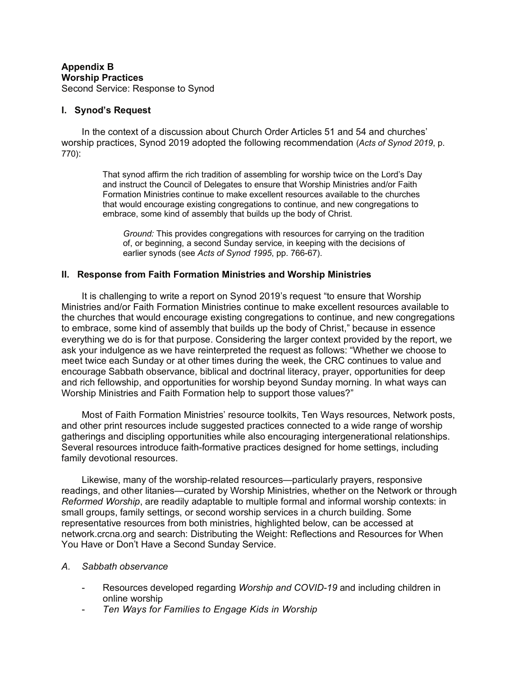### **Appendix B Worship Practices** Second Service: Response to Synod

## **I. Synod's Request**

In the context of a discussion about Church Order Articles 51 and 54 and churches' worship practices, Synod 2019 adopted the following recommendation (*Acts of Synod 2019*, p. 770):

> That synod affirm the rich tradition of assembling for worship twice on the Lord's Day and instruct the Council of Delegates to ensure that Worship Ministries and/or Faith Formation Ministries continue to make excellent resources available to the churches that would encourage existing congregations to continue, and new congregations to embrace, some kind of assembly that builds up the body of Christ.

*Ground:* This provides congregations with resources for carrying on the tradition of, or beginning, a second Sunday service, in keeping with the decisions of earlier synods (see *Acts of Synod 1995*, pp. 766-67).

# **II. Response from Faith Formation Ministries and Worship Ministries**

It is challenging to write a report on Synod 2019's request "to ensure that Worship Ministries and/or Faith Formation Ministries continue to make excellent resources available to the churches that would encourage existing congregations to continue, and new congregations to embrace, some kind of assembly that builds up the body of Christ," because in essence everything we do is for that purpose. Considering the larger context provided by the report, we ask your indulgence as we have reinterpreted the request as follows: "Whether we choose to meet twice each Sunday or at other times during the week, the CRC continues to value and encourage Sabbath observance, biblical and doctrinal literacy, prayer, opportunities for deep and rich fellowship, and opportunities for worship beyond Sunday morning. In what ways can Worship Ministries and Faith Formation help to support those values?"

Most of Faith Formation Ministries' resource toolkits, Ten Ways resources, Network posts, and other print resources include suggested practices connected to a wide range of worship gatherings and discipling opportunities while also encouraging intergenerational relationships. Several resources introduce faith-formative practices designed for home settings, including family devotional resources.

Likewise, many of the worship-related resources—particularly prayers, responsive readings, and other litanies—curated by Worship Ministries, whether on the Network or through *Reformed Worship*, are readily adaptable to multiple formal and informal worship contexts: in small groups, family settings, or second worship services in a church building. Some representative resources from both ministries, highlighted below, can be accessed at network.crcna.org and search: Distributing the Weight: Reflections and Resources for When You Have or Don't Have a Second Sunday Service.

#### *A. Sabbath observance*

- Resources developed regarding *Worship and COVID-19* and including children in online worship
- *Ten Ways for Families to Engage Kids in Worship*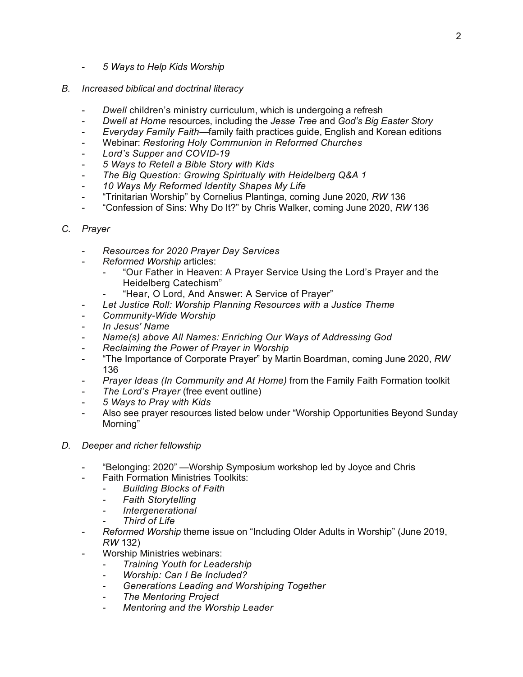- *5 Ways to Help Kids Worship*
- *B. Increased biblical and doctrinal literacy*
	- *Dwell* children's ministry curriculum, which is undergoing a refresh
	- *Dwell at Home* resources, including the *Jesse Tree* and *God's Big Easter Story*
	- *Everyday Family Faith*—family faith practices guide, English and Korean editions
	- Webinar: *Restoring Holy Communion in Reformed Churches*
	- Lord's Supper and COVID-19
	- *5 Ways to Retell a Bible Story with Kids*
	- *The Big Question: Growing Spiritually with Heidelberg Q&A 1*
	- *10 Ways My Reformed Identity Shapes My Life*
	- "Trinitarian Worship" by Cornelius Plantinga, coming June 2020, *RW* 136
	- "Confession of Sins: Why Do It?" by Chris Walker, coming June 2020, *RW* 136
- *C. Prayer*
	- *Resources for 2020 Prayer Day Services*
	- *Reformed Worship* articles:
		- "Our Father in Heaven: A Prayer Service Using the Lord's Prayer and the Heidelberg Catechism"
			- "Hear, O Lord, And Answer: A Service of Prayer"
	- *Let Justice Roll: Worship Planning Resources with a Justice Theme*
	- *Community-Wide Worship*
	- *In Jesus' Name*
	- *Name(s) above All Names: Enriching Our Ways of Addressing God*
	- *Reclaiming the Power of Prayer in Worship*
	- "The Importance of Corporate Prayer" by Martin Boardman, coming June 2020, *RW* 136
	- *Prayer Ideas (In Community and At Home)* from the Family Faith Formation toolkit
	- *The Lord's Prayer* (free event outline)
	- *5 Ways to Pray with Kids*
	- Also see prayer resources listed below under "Worship Opportunities Beyond Sunday Morning"
- *D. Deeper and richer fellowship*
	- "Belonging: 2020" Worship Symposium workshop led by Joyce and Chris
		- **Faith Formation Ministries Toolkits:**
		- *Building Blocks of Faith*
			- *Faith Storytelling*
			- *Intergenerational*
			- **Third of Life**
	- *Reformed Worship* theme issue on "Including Older Adults in Worship" (June 2019, *RW* 132)
	- Worship Ministries webinars:
		- *Training Youth for Leadership*
		- *Worship: Can I Be Included?*
		- *Generations Leading and Worshiping Together*
		- *The Mentoring Project*
		- *Mentoring and the Worship Leader*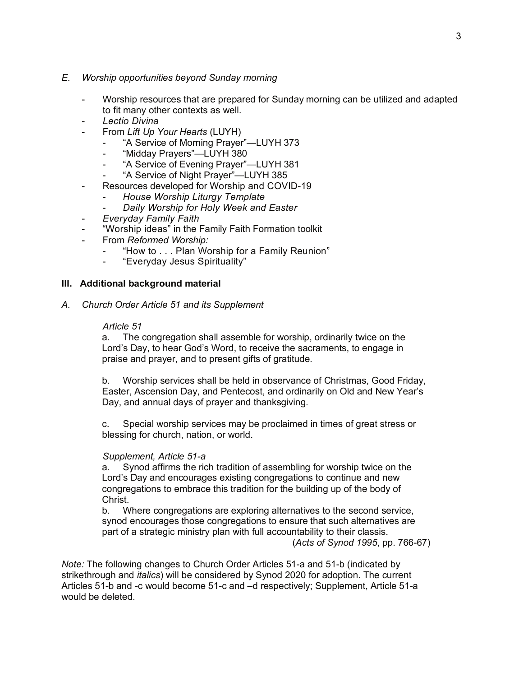# *E. Worship opportunities beyond Sunday morning*

- Worship resources that are prepared for Sunday morning can be utilized and adapted to fit many other contexts as well.
- *Lectio Divina*
- From *Lift Up Your Hearts* (LUYH)
	- "A Service of Morning Prayer"—LUYH 373
	- "Midday Prayers"—LUYH 380
	- "A Service of Evening Prayer"-LUYH 381
	- "A Service of Night Prayer"-LUYH 385
- Resources developed for Worship and COVID-19
	- *House Worship Liturgy Template*
	- *Daily Worship for Holy Week and Easter*
- *Everyday Family Faith*
- "Worship ideas" in the Family Faith Formation toolkit
- From *Reformed Worship:*
	- "How to . . . Plan Worship for a Family Reunion"
	- "Everyday Jesus Spirituality"

# **III. Additional background material**

*A. Church Order Article 51 and its Supplement*

#### *Article 51*

a. The congregation shall assemble for worship, ordinarily twice on the Lord's Day, to hear God's Word, to receive the sacraments, to engage in praise and prayer, and to present gifts of gratitude.

b. Worship services shall be held in observance of Christmas, Good Friday, Easter, Ascension Day, and Pentecost, and ordinarily on Old and New Year's Day, and annual days of prayer and thanksgiving.

c. Special worship services may be proclaimed in times of great stress or blessing for church, nation, or world.

#### *Supplement, Article 51-a*

a. Synod affirms the rich tradition of assembling for worship twice on the Lord's Day and encourages existing congregations to continue and new congregations to embrace this tradition for the building up of the body of Christ.

b. Where congregations are exploring alternatives to the second service, synod encourages those congregations to ensure that such alternatives are part of a strategic ministry plan with full accountability to their classis.

(*Acts of Synod 1995*, pp. 766-67)

*Note:* The following changes to Church Order Articles 51-a and 51-b (indicated by strikethrough and *italics*) will be considered by Synod 2020 for adoption. The current Articles 51-b and -c would become 51-c and –d respectively; Supplement, Article 51-a would be deleted.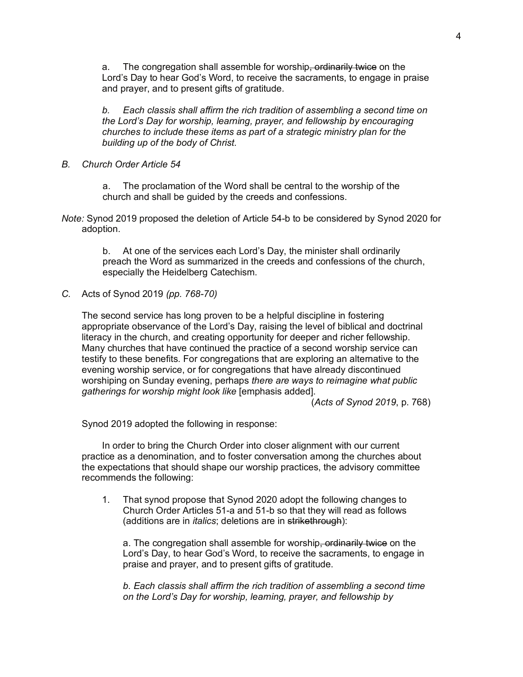a. The congregation shall assemble for worship<del>, ordinarily twice</del> on the Lord's Day to hear God's Word, to receive the sacraments, to engage in praise and prayer, and to present gifts of gratitude.

*b. Each classis shall affirm the rich tradition of assembling a second time on the Lord's Day for worship, learning, prayer, and fellowship by encouraging churches to include these items as part of a strategic ministry plan for the building up of the body of Christ.*

*B. Church Order Article 54*

a. The proclamation of the Word shall be central to the worship of the church and shall be guided by the creeds and confessions.

*Note:* Synod 2019 proposed the deletion of Article 54-b to be considered by Synod 2020 for adoption.

> b. At one of the services each Lord's Day, the minister shall ordinarily preach the Word as summarized in the creeds and confessions of the church, especially the Heidelberg Catechism.

*C.* Acts of Synod 2019 *(pp. 768-70)*

The second service has long proven to be a helpful discipline in fostering appropriate observance of the Lord's Day, raising the level of biblical and doctrinal literacy in the church, and creating opportunity for deeper and richer fellowship. Many churches that have continued the practice of a second worship service can testify to these benefits. For congregations that are exploring an alternative to the evening worship service, or for congregations that have already discontinued worshiping on Sunday evening, perhaps *there are ways to reimagine what public gatherings for worship might look like* [emphasis added].

(*Acts of Synod 2019*, p. 768)

Synod 2019 adopted the following in response:

In order to bring the Church Order into closer alignment with our current practice as a denomination, and to foster conversation among the churches about the expectations that should shape our worship practices, the advisory committee recommends the following:

1. That synod propose that Synod 2020 adopt the following changes to Church Order Articles 51-a and 51-b so that they will read as follows (additions are in *italics*; deletions are in strikethrough):

a. The congregation shall assemble for worship<del>, ordinarily twice</del> on the Lord's Day, to hear God's Word, to receive the sacraments, to engage in praise and prayer, and to present gifts of gratitude.

*b. Each classis shall affirm the rich tradition of assembling a second time on the Lord's Day for worship, learning, prayer, and fellowship by*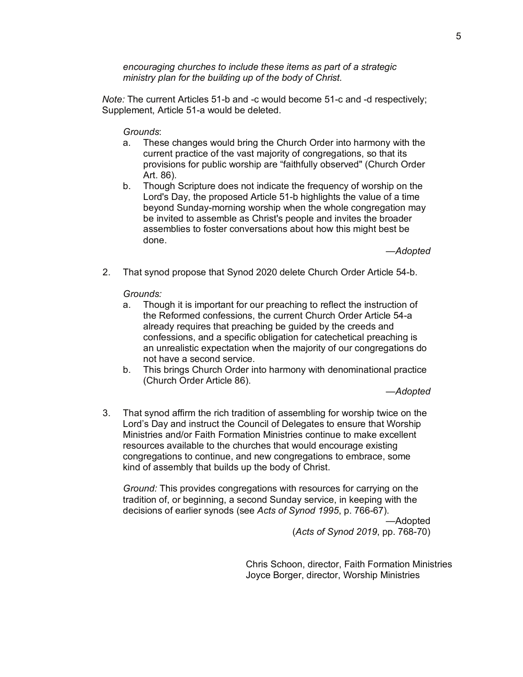*encouraging churches to include these items as part of a strategic ministry plan for the building up of the body of Christ.*

*Note:* The current Articles 51-b and -c would become 51-c and -d respectively; Supplement, Article 51-a would be deleted.

### *Grounds*:

- a. These changes would bring the Church Order into harmony with the current practice of the vast majority of congregations, so that its provisions for public worship are "faithfully observed" (Church Order Art. 86).
- b. Though Scripture does not indicate the frequency of worship on the Lord's Day, the proposed Article 51-b highlights the value of a time beyond Sunday-morning worship when the whole congregation may be invited to assemble as Christ's people and invites the broader assemblies to foster conversations about how this might best be done.

*—Adopted* 

2. That synod propose that Synod 2020 delete Church Order Article 54-b.

#### *Grounds:*

- a. Though it is important for our preaching to reflect the instruction of the Reformed confessions, the current Church Order Article 54-a already requires that preaching be guided by the creeds and confessions, and a specific obligation for catechetical preaching is an unrealistic expectation when the majority of our congregations do not have a second service.
- b. This brings Church Order into harmony with denominational practice (Church Order Article 86).

*—Adopted*

3. That synod affirm the rich tradition of assembling for worship twice on the Lord's Day and instruct the Council of Delegates to ensure that Worship Ministries and/or Faith Formation Ministries continue to make excellent resources available to the churches that would encourage existing congregations to continue, and new congregations to embrace, some kind of assembly that builds up the body of Christ.

*Ground:* This provides congregations with resources for carrying on the tradition of, or beginning, a second Sunday service, in keeping with the decisions of earlier synods (see *Acts of Synod 1995*, p. 766-67).

> —Adopted (*Acts of Synod 2019*, pp. 768-70)

Chris Schoon, director, Faith Formation Ministries Joyce Borger, director, Worship Ministries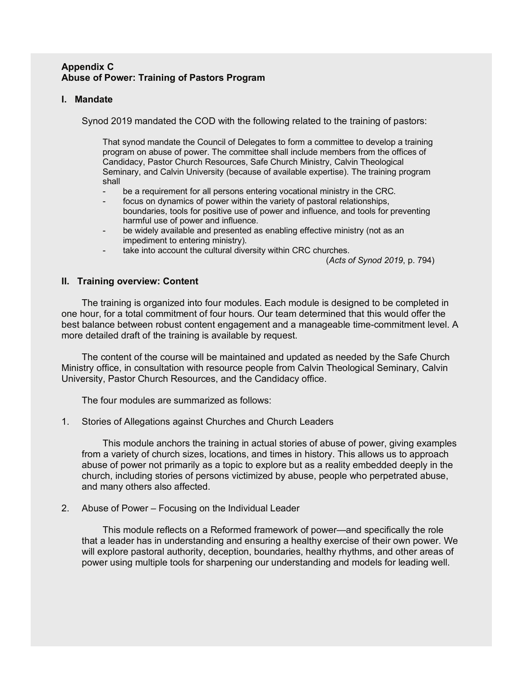# **Appendix C Abuse of Power: Training of Pastors Program**

# **I. Mandate**

Synod 2019 mandated the COD with the following related to the training of pastors:

That synod mandate the Council of Delegates to form a committee to develop a training program on abuse of power. The committee shall include members from the offices of Candidacy, Pastor Church Resources, Safe Church Ministry, Calvin Theological Seminary, and Calvin University (because of available expertise). The training program shall

- be a requirement for all persons entering vocational ministry in the CRC.
- focus on dynamics of power within the variety of pastoral relationships, boundaries, tools for positive use of power and influence, and tools for preventing harmful use of power and influence.
- be widely available and presented as enabling effective ministry (not as an impediment to entering ministry).
- take into account the cultural diversity within CRC churches.

(*Acts of Synod 2019*, p. 794)

# **II. Training overview: Content**

The training is organized into four modules. Each module is designed to be completed in one hour, for a total commitment of four hours. Our team determined that this would offer the best balance between robust content engagement and a manageable time-commitment level. A more detailed draft of the training is available by request.

The content of the course will be maintained and updated as needed by the Safe Church Ministry office, in consultation with resource people from Calvin Theological Seminary, Calvin University, Pastor Church Resources, and the Candidacy office.

The four modules are summarized as follows:

1. Stories of Allegations against Churches and Church Leaders

This module anchors the training in actual stories of abuse of power, giving examples from a variety of church sizes, locations, and times in history. This allows us to approach abuse of power not primarily as a topic to explore but as a reality embedded deeply in the church, including stories of persons victimized by abuse, people who perpetrated abuse, and many others also affected.

2. Abuse of Power – Focusing on the Individual Leader

This module reflects on a Reformed framework of power—and specifically the role that a leader has in understanding and ensuring a healthy exercise of their own power. We will explore pastoral authority, deception, boundaries, healthy rhythms, and other areas of power using multiple tools for sharpening our understanding and models for leading well.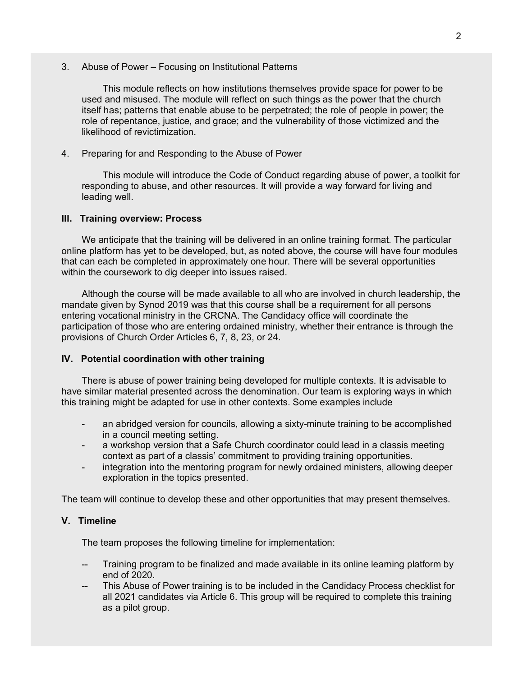3. Abuse of Power – Focusing on Institutional Patterns

This module reflects on how institutions themselves provide space for power to be used and misused. The module will reflect on such things as the power that the church itself has; patterns that enable abuse to be perpetrated; the role of people in power; the role of repentance, justice, and grace; and the vulnerability of those victimized and the likelihood of revictimization.

4. Preparing for and Responding to the Abuse of Power

This module will introduce the Code of Conduct regarding abuse of power, a toolkit for responding to abuse, and other resources. It will provide a way forward for living and leading well.

### **III. Training overview: Process**

We anticipate that the training will be delivered in an online training format. The particular online platform has yet to be developed, but, as noted above, the course will have four modules that can each be completed in approximately one hour. There will be several opportunities within the coursework to dig deeper into issues raised.

Although the course will be made available to all who are involved in church leadership, the mandate given by Synod 2019 was that this course shall be a requirement for all persons entering vocational ministry in the CRCNA. The Candidacy office will coordinate the participation of those who are entering ordained ministry, whether their entrance is through the provisions of Church Order Articles 6, 7, 8, 23, or 24.

# **IV. Potential coordination with other training**

There is abuse of power training being developed for multiple contexts. It is advisable to have similar material presented across the denomination. Our team is exploring ways in which this training might be adapted for use in other contexts. Some examples include

- an abridged version for councils, allowing a sixty-minute training to be accomplished in a council meeting setting.
- a workshop version that a Safe Church coordinator could lead in a classis meeting context as part of a classis' commitment to providing training opportunities.
- integration into the mentoring program for newly ordained ministers, allowing deeper exploration in the topics presented.

The team will continue to develop these and other opportunities that may present themselves.

#### **V. Timeline**

The team proposes the following timeline for implementation:

- Training program to be finalized and made available in its online learning platform by end of 2020.
- This Abuse of Power training is to be included in the Candidacy Process checklist for all 2021 candidates via Article 6. This group will be required to complete this training as a pilot group.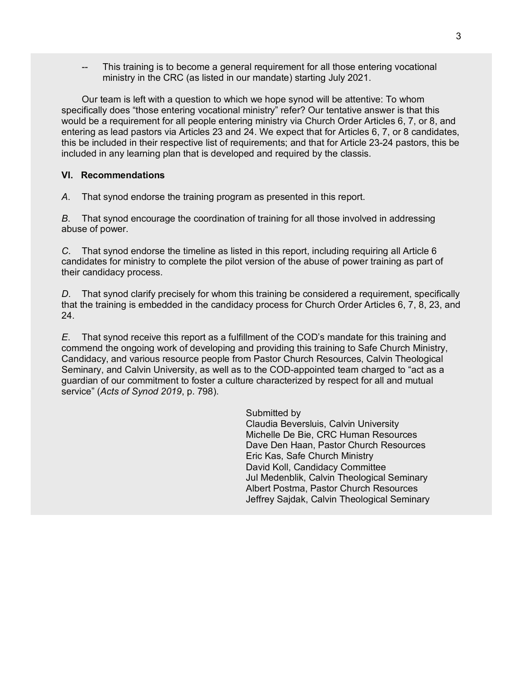This training is to become a general requirement for all those entering vocational ministry in the CRC (as listed in our mandate) starting July 2021.

Our team is left with a question to which we hope synod will be attentive: To whom specifically does "those entering vocational ministry" refer? Our tentative answer is that this would be a requirement for all people entering ministry via Church Order Articles 6, 7, or 8, and entering as lead pastors via Articles 23 and 24. We expect that for Articles 6, 7, or 8 candidates, this be included in their respective list of requirements; and that for Article 23-24 pastors, this be included in any learning plan that is developed and required by the classis.

# **VI. Recommendations**

*A*. That synod endorse the training program as presented in this report.

*B*. That synod encourage the coordination of training for all those involved in addressing abuse of power.

*C*. That synod endorse the timeline as listed in this report, including requiring all Article 6 candidates for ministry to complete the pilot version of the abuse of power training as part of their candidacy process.

*D.* That synod clarify precisely for whom this training be considered a requirement, specifically that the training is embedded in the candidacy process for Church Order Articles 6, 7, 8, 23, and 24.

*E*. That synod receive this report as a fulfillment of the COD's mandate for this training and commend the ongoing work of developing and providing this training to Safe Church Ministry, Candidacy, and various resource people from Pastor Church Resources, Calvin Theological Seminary, and Calvin University, as well as to the COD-appointed team charged to "act as a guardian of our commitment to foster a culture characterized by respect for all and mutual service" (*Acts of Synod 2019*, p. 798).

> Submitted by Claudia Beversluis, Calvin University Michelle De Bie, CRC Human Resources Dave Den Haan, Pastor Church Resources Eric Kas, Safe Church Ministry David Koll, Candidacy Committee Jul Medenblik, Calvin Theological Seminary Albert Postma, Pastor Church Resources Jeffrey Sajdak, Calvin Theological Seminary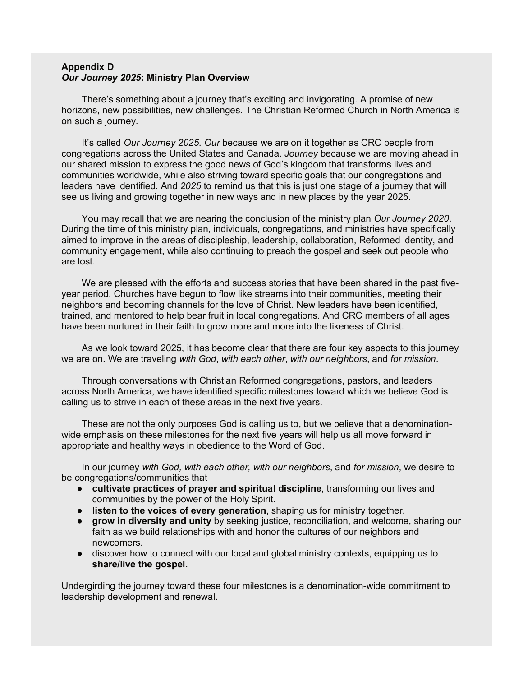#### **Appendix D** *Our Journey 2025***: Ministry Plan Overview**

There's something about a journey that's exciting and invigorating. A promise of new horizons, new possibilities, new challenges. The Christian Reformed Church in North America is on such a journey.

It's called *Our Journey 2025*. *Our* because we are on it together as CRC people from congregations across the United States and Canada. *Journey* because we are moving ahead in our shared mission to express the good news of God's kingdom that transforms lives and communities worldwide, while also striving toward specific goals that our congregations and leaders have identified. And *2025* to remind us that this is just one stage of a journey that will see us living and growing together in new ways and in new places by the year 2025.

You may recall that we are nearing the conclusion of the ministry plan *Our Journey 2020*. During the time of this ministry plan, individuals, congregations, and ministries have specifically aimed to improve in the areas of discipleship, leadership, collaboration, Reformed identity, and community engagement, while also continuing to preach the gospel and seek out people who are lost.

We are pleased with the efforts and success stories that have been shared in the past fiveyear period. Churches have begun to flow like streams into their communities, meeting their neighbors and becoming channels for the love of Christ. New leaders have been identified, trained, and mentored to help bear fruit in local congregations. And CRC members of all ages have been nurtured in their faith to grow more and more into the likeness of Christ.

As we look toward 2025, it has become clear that there are four key aspects to this journey we are on. We are traveling *with God*, *with each other*, *with our neighbors*, and *for mission*.

Through conversations with Christian Reformed congregations, pastors, and leaders across North America, we have identified specific milestones toward which we believe God is calling us to strive in each of these areas in the next five years.

These are not the only purposes God is calling us to, but we believe that a denominationwide emphasis on these milestones for the next five years will help us all move forward in appropriate and healthy ways in obedience to the Word of God.

In our journey *with God, with each other, with our neighbors*, and *for mission*, we desire to be congregations/communities that

- **cultivate practices of prayer and spiritual discipline**, transforming our lives and communities by the power of the Holy Spirit.
- **listen to the voices of every generation**, shaping us for ministry together.
- **grow in diversity and unity** by seeking justice, reconciliation, and welcome, sharing our faith as we build relationships with and honor the cultures of our neighbors and newcomers.
- discover how to connect with our local and global ministry contexts, equipping us to **share/live the gospel.**

Undergirding the journey toward these four milestones is a denomination-wide commitment to leadership development and renewal.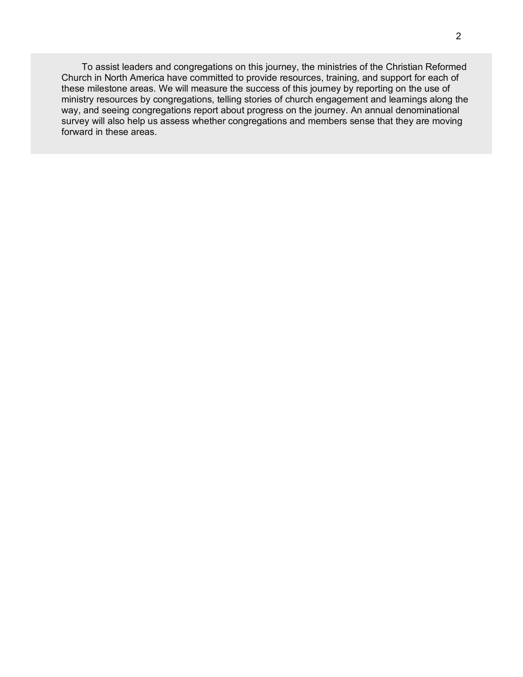To assist leaders and congregations on this journey, the ministries of the Christian Reformed Church in North America have committed to provide resources, training, and support for each of these milestone areas. We will measure the success of this journey by reporting on the use of ministry resources by congregations, telling stories of church engagement and learnings along the way, and seeing congregations report about progress on the journey. An annual denominational survey will also help us assess whether congregations and members sense that they are moving forward in these areas.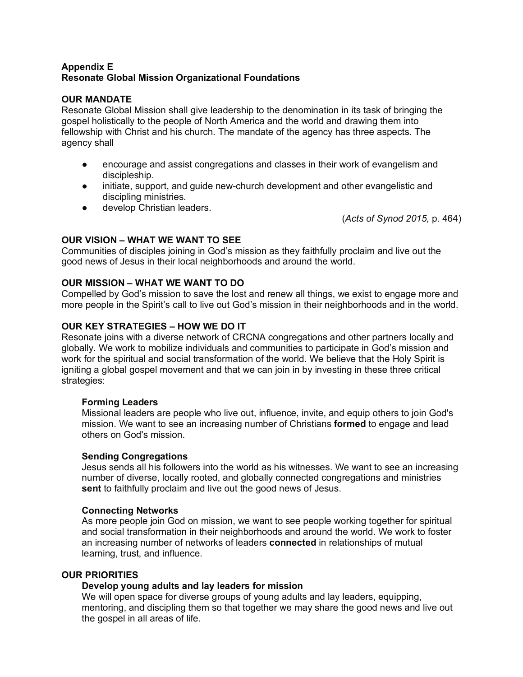# **Appendix E Resonate Global Mission Organizational Foundations**

# **OUR MANDATE**

Resonate Global Mission shall give leadership to the denomination in its task of bringing the gospel holistically to the people of North America and the world and drawing them into fellowship with Christ and his church. The mandate of the agency has three aspects. The agency shall

- encourage and assist congregations and classes in their work of evangelism and discipleship.
- initiate, support, and guide new-church development and other evangelistic and discipling ministries.
- develop Christian leaders.

(*Acts of Synod 2015,* p. 464)

# **OUR VISION – WHAT WE WANT TO SEE**

Communities of disciples joining in God's mission as they faithfully proclaim and live out the good news of Jesus in their local neighborhoods and around the world.

# **OUR MISSION – WHAT WE WANT TO DO**

Compelled by God's mission to save the lost and renew all things, we exist to engage more and more people in the Spirit's call to live out God's mission in their neighborhoods and in the world.

# **OUR KEY STRATEGIES – HOW WE DO IT**

Resonate joins with a diverse network of CRCNA congregations and other partners locally and globally. We work to mobilize individuals and communities to participate in God's mission and work for the spiritual and social transformation of the world. We believe that the Holy Spirit is igniting a global gospel movement and that we can join in by investing in these three critical strategies:

# **Forming Leaders**

Missional leaders are people who live out, influence, invite, and equip others to join God's mission. We want to see an increasing number of Christians **formed** to engage and lead others on God's mission.

# **Sending Congregations**

Jesus sends all his followers into the world as his witnesses. We want to see an increasing number of diverse, locally rooted, and globally connected congregations and ministries **sent** to faithfully proclaim and live out the good news of Jesus.

# **Connecting Networks**

As more people join God on mission, we want to see people working together for spiritual and social transformation in their neighborhoods and around the world. We work to foster an increasing number of networks of leaders **connected** in relationships of mutual learning, trust, and influence.

# **OUR PRIORITIES**

# **Develop young adults and lay leaders for mission**

We will open space for diverse groups of young adults and lay leaders, equipping, mentoring, and discipling them so that together we may share the good news and live out the gospel in all areas of life.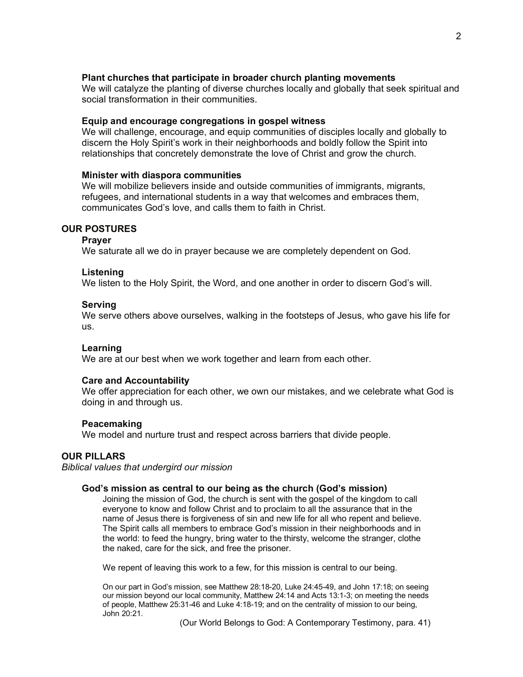### **Plant churches that participate in broader church planting movements**

We will catalyze the planting of diverse churches locally and globally that seek spiritual and social transformation in their communities.

#### **Equip and encourage congregations in gospel witness**

We will challenge, encourage, and equip communities of disciples locally and globally to discern the Holy Spirit's work in their neighborhoods and boldly follow the Spirit into relationships that concretely demonstrate the love of Christ and grow the church.

# **Minister with diaspora communities**

We will mobilize believers inside and outside communities of immigrants, migrants, refugees, and international students in a way that welcomes and embraces them, communicates God's love, and calls them to faith in Christ.

### **OUR POSTURES**

#### **Prayer**

We saturate all we do in prayer because we are completely dependent on God.

#### **Listening**

We listen to the Holy Spirit, the Word, and one another in order to discern God's will.

#### **Serving**

We serve others above ourselves, walking in the footsteps of Jesus, who gave his life for us.

### **Learning**

We are at our best when we work together and learn from each other.

#### **Care and Accountability**

We offer appreciation for each other, we own our mistakes, and we celebrate what God is doing in and through us.

#### **Peacemaking**

We model and nurture trust and respect across barriers that divide people.

# **OUR PILLARS**

*Biblical values that undergird our mission*

#### **God's mission as central to our being as the church (God's mission)**

Joining the mission of God, the church is sent with the gospel of the kingdom to call everyone to know and follow Christ and to proclaim to all the assurance that in the name of Jesus there is forgiveness of sin and new life for all who repent and believe. The Spirit calls all members to embrace God's mission in their neighborhoods and in the world: to feed the hungry, bring water to the thirsty, welcome the stranger, clothe the naked, care for the sick, and free the prisoner.

We repent of leaving this work to a few, for this mission is central to our being.

On our part in God's mission, see Matthew 28:18-20, Luke 24:45-49, and John 17:18; on seeing our mission beyond our local community, Matthew 24:14 and Acts 13:1-3; on meeting the needs of people, Matthew 25:31-46 and Luke 4:18-19; and on the centrality of mission to our being, John 20:21.

(Our World Belongs to God: A Contemporary Testimony, para. 41)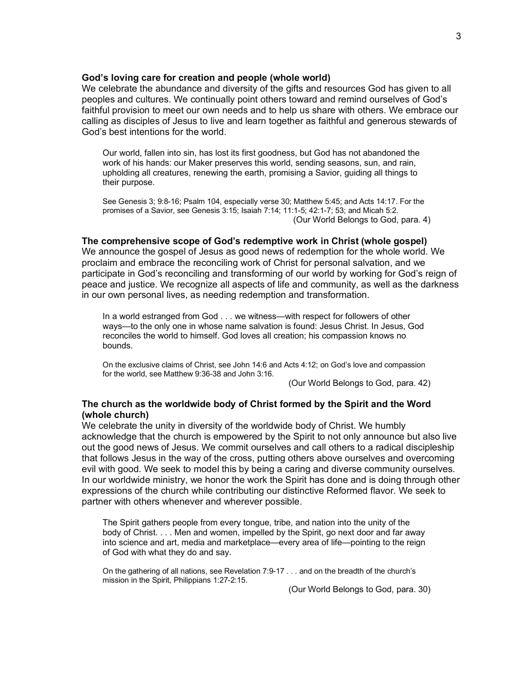### **God's loving care for creation and people (whole world)**

We celebrate the abundance and diversity of the gifts and resources God has given to all peoples and cultures. We continually point others toward and remind ourselves of God's faithful provision to meet our own needs and to help us share with others. We embrace our calling as disciples of Jesus to live and learn together as faithful and generous stewards of God's best intentions for the world.

Our world, fallen into sin, has lost its first goodness, but God has not abandoned the work of his hands: our Maker preserves this world, sending seasons, sun, and rain, upholding all creatures, renewing the earth, promising a Savior, guiding all things to their purpose.

See Genesis 3; 9:8-16; Psalm 104, especially verse 30; Matthew 5:45; and Acts 14:17. For the promises of a Savior, see Genesis 3:15; Isaiah 7:14; 11:1-5; 42:1-7; 53; and Micah 5:2. (Our World Belongs to God, para. 4)

#### **The comprehensive scope of God's redemptive work in Christ (whole gospel)**

We announce the gospel of Jesus as good news of redemption for the whole world. We proclaim and embrace the reconciling work of Christ for personal salvation, and we participate in God's reconciling and transforming of our world by working for God's reign of peace and justice. We recognize all aspects of life and community, as well as the darkness in our own personal lives, as needing redemption and transformation.

In a world estranged from God . . . we witness—with respect for followers of other ways—to the only one in whose name salvation is found: Jesus Christ. In Jesus, God reconciles the world to himself. God loves all creation; his compassion knows no bounds.

On the exclusive claims of Christ, see John 14:6 and Acts 4:12; on God's love and compassion for the world, see Matthew 9:36-38 and John 3:16.

(Our World Belongs to God, para. 42)

# **The church as the worldwide body of Christ formed by the Spirit and the Word (whole church)**

We celebrate the unity in diversity of the worldwide body of Christ. We humbly acknowledge that the church is empowered by the Spirit to not only announce but also live out the good news of Jesus. We commit ourselves and call others to a radical discipleship that follows Jesus in the way of the cross, putting others above ourselves and overcoming evil with good. We seek to model this by being a caring and diverse community ourselves. In our worldwide ministry, we honor the work the Spirit has done and is doing through other expressions of the church while contributing our distinctive Reformed flavor. We seek to partner with others whenever and wherever possible.

The Spirit gathers people from every tongue, tribe, and nation into the unity of the body of Christ. . . . Men and women, impelled by the Spirit, go next door and far away into science and art, media and marketplace—every area of life—pointing to the reign of God with what they do and say.

On the gathering of all nations, see Revelation 7:9-17 . . . and on the breadth of the church's mission in the Spirit, Philippians 1:27-2:15.

(Our World Belongs to God, para. 30)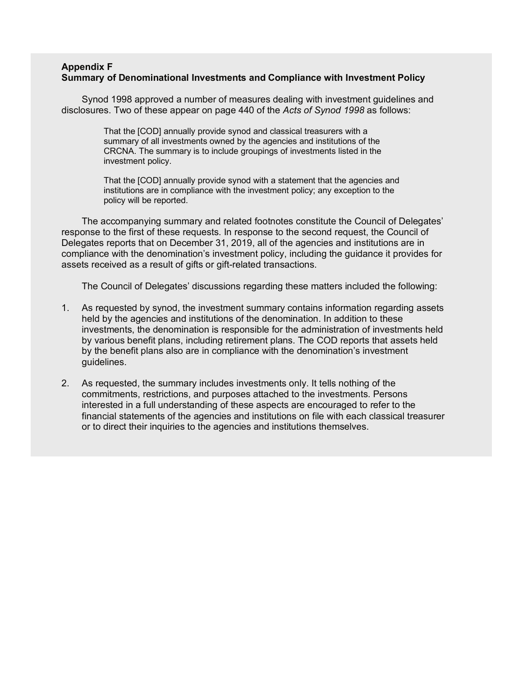### **Appendix F Summary of Denominational Investments and Compliance with Investment Policy**

Synod 1998 approved a number of measures dealing with investment guidelines and disclosures. Two of these appear on page 440 of the *Acts of Synod 1998* as follows:

> That the [COD] annually provide synod and classical treasurers with a summary of all investments owned by the agencies and institutions of the CRCNA. The summary is to include groupings of investments listed in the investment policy.

That the [COD] annually provide synod with a statement that the agencies and institutions are in compliance with the investment policy; any exception to the policy will be reported.

The accompanying summary and related footnotes constitute the Council of Delegates' response to the first of these requests. In response to the second request, the Council of Delegates reports that on December 31, 2019, all of the agencies and institutions are in compliance with the denomination's investment policy, including the guidance it provides for assets received as a result of gifts or gift-related transactions.

The Council of Delegates' discussions regarding these matters included the following:

- 1. As requested by synod, the investment summary contains information regarding assets held by the agencies and institutions of the denomination. In addition to these investments, the denomination is responsible for the administration of investments held by various benefit plans, including retirement plans. The COD reports that assets held by the benefit plans also are in compliance with the denomination's investment guidelines.
- 2. As requested, the summary includes investments only. It tells nothing of the commitments, restrictions, and purposes attached to the investments. Persons interested in a full understanding of these aspects are encouraged to refer to the financial statements of the agencies and institutions on file with each classical treasurer or to direct their inquiries to the agencies and institutions themselves.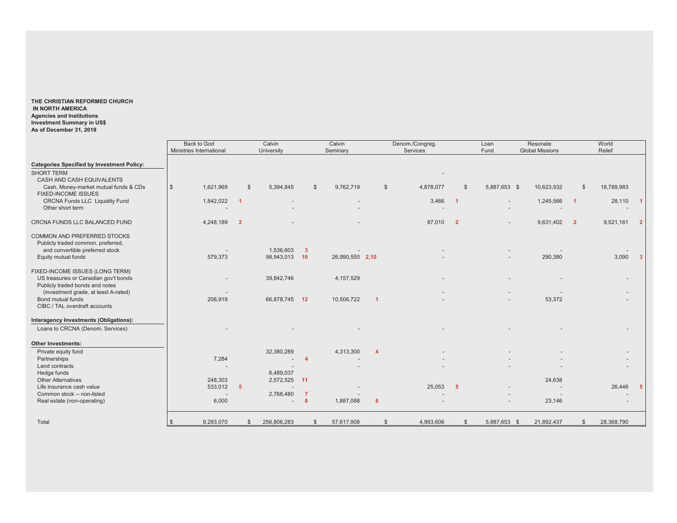**THE CHRISTIAN REFORMED CHURCH IN NORTH AMERICA Agencies and Institutions Investment Summary in US\$ As of December 31, 2019**

|                                                                                                                             | <b>Back to God</b>       | Calvin                  |                                                       | Calvin                      |                  | Denom./Congreg. |                            | Loan                     | Resonate                 |                         | World      |                      |
|-----------------------------------------------------------------------------------------------------------------------------|--------------------------|-------------------------|-------------------------------------------------------|-----------------------------|------------------|-----------------|----------------------------|--------------------------|--------------------------|-------------------------|------------|----------------------|
|                                                                                                                             | Ministries International | University              |                                                       | Seminary                    |                  | Services        |                            | Fund                     | <b>Global Missions</b>   |                         | Relief     |                      |
| <b>Categories Specified by Investment Policy:</b><br><b>SHORT TERM</b><br>CASH AND CASH EQUIVALENTS                         |                          |                         |                                                       |                             |                  |                 |                            |                          |                          |                         |            |                      |
| Cash, Money-market mutual funds & CDs<br>FIXED-INCOME ISSUES                                                                | 1,621,969<br>$\sqrt{3}$  | \$                      | 5,394,845                                             | 9,762,719<br>$\mathfrak{F}$ | $\mathbb{S}$     | 4,878,077       | \$                         | 5,887,653 \$             | 10,623,932               | $\mathbb{S}$            | 18,789,983 |                      |
| CRCNA Funds LLC Liquidity Fund<br>Other short term                                                                          | 1,842,022                | $\blacksquare$          |                                                       |                             |                  | 3,466           | $\blacksquare$ 1           | $\overline{\phantom{a}}$ | 1,245,566                | $\overline{1}$          | 28,110     | $\blacktriangleleft$ |
| CRCNA FUNDS LLC BALANCED FUND                                                                                               | 4,248,189                | $\overline{\mathbf{2}}$ |                                                       |                             |                  | 87,010          | $\overline{\phantom{0}}$ 2 | $\overline{\phantom{a}}$ | 9,631,402                | $\overline{\mathbf{2}}$ | 9,521,161  | $\overline{2}$       |
| COMMON AND PREFERRED STOCKS<br>Publicly traded common, preferred,<br>and convertible preferred stock<br>Equity mutual funds | 579,373                  |                         | 1,536,603<br>$\overline{\mathbf{3}}$<br>98,943,013 10 | 26,990,550 2,10             |                  |                 |                            |                          | 290,380                  |                         | 3,090      | $\overline{3}$       |
| FIXED-INCOME ISSUES (LONG TERM)<br>US treasuries or Canadian gov't bonds<br>Publicly traded bonds and notes                 |                          |                         | 39,842,746                                            | 4, 157, 529                 |                  |                 |                            |                          |                          |                         |            |                      |
| (investment grade, at least A-rated)<br>Bond mutual funds<br>CIBC / TAL overdraft accounts                                  | 206,919                  |                         | 66,878,745 12                                         | 10,506,722                  | -1               |                 |                            |                          | 53,372                   |                         |            |                      |
| Interagency Investments (Obligations):<br>Loans to CRCNA (Denom. Services)                                                  |                          |                         |                                                       |                             |                  |                 |                            |                          |                          |                         |            |                      |
| <b>Other Investments:</b>                                                                                                   |                          |                         |                                                       |                             |                  |                 |                            |                          |                          |                         |            |                      |
| Private equity fund<br>Partnerships                                                                                         | 7,284                    |                         | 32,380,289<br>$\overline{a}$<br>$\sim$                | 4,313,300                   | $\boldsymbol{A}$ |                 |                            |                          |                          |                         |            |                      |
| Land contracts                                                                                                              |                          |                         |                                                       |                             |                  |                 |                            |                          |                          |                         |            |                      |
| Hedge funds                                                                                                                 |                          |                         | 6,489,037                                             |                             |                  |                 |                            |                          |                          |                         |            |                      |
| <b>Other Alternatives</b>                                                                                                   | 248,303                  |                         | 2,572,525<br>$-11$                                    |                             |                  |                 |                            |                          | 24,638                   |                         |            |                      |
| Life insurance cash value                                                                                                   | 533,012                  | 5                       |                                                       |                             |                  | 25,053          | $-5$                       |                          | $\overline{\phantom{m}}$ |                         | 26,446     | -5                   |
| Common stock -- non-listed<br>Real estate (non-operating)                                                                   | 6,000                    |                         | 2,768,480<br>$\overline{7}$<br>$\boldsymbol{8}$       | 1,887,088                   | 8                |                 |                            |                          | 23,146                   |                         |            |                      |
| Total                                                                                                                       | 9,293,070                | <sup>\$</sup>           | 256,806,283                                           | 57,617,908<br>\$            | \$               | 4,993,606       | \$                         | 5,887,653 \$             | 21,892,437               | \$                      | 28,368,790 |                      |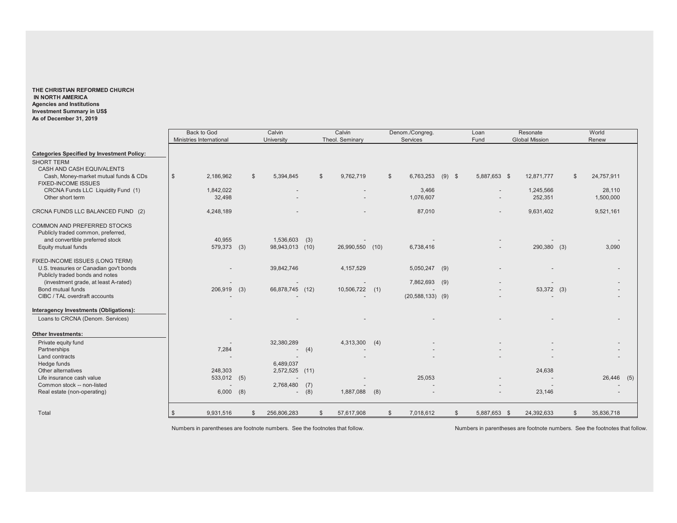#### **THE CHRISTIAN REFORMED CHURCH IN NORTH AMERICA Agencies and Institutions Investment Summary in US\$ As of December 31, 2019**

|                                                   | <b>Back to God</b>       |     | Calvin          |                | Calvin           |                | Denom./Congreg.      |                | Loan              | Resonate                 |               | World      |  |
|---------------------------------------------------|--------------------------|-----|-----------------|----------------|------------------|----------------|----------------------|----------------|-------------------|--------------------------|---------------|------------|--|
|                                                   | Ministries International |     | University      |                | Theol. Seminary  |                | Services             |                | Fund              | <b>Global Mission</b>    |               | Renew      |  |
| <b>Categories Specified by Investment Policy:</b> |                          |     |                 |                |                  |                |                      |                |                   |                          |               |            |  |
| <b>SHORT TERM</b>                                 |                          |     |                 |                |                  |                |                      |                |                   |                          |               |            |  |
| CASH AND CASH EQUIVALENTS                         |                          |     |                 |                |                  |                |                      |                |                   |                          |               |            |  |
| Cash, Money-market mutual funds & CDs             | 2,186,962<br>\$          | \$  | 5,394,845       | $\mathbb{S}$   | 9,762,719        | $\mathbb{S}$   | 6,763,253            | $(9)$ \$       | 5,887,653 \$      | 12,871,777               | S.            | 24,757,911 |  |
| <b>FIXED-INCOME ISSUES</b>                        |                          |     |                 |                |                  |                |                      |                |                   |                          |               |            |  |
| CRCNA Funds LLC Liquidity Fund (1)                | 1,842,022                |     |                 |                |                  |                | 3,466                |                |                   | 1,245,566                |               | 28,110     |  |
| Other short term                                  | 32,498                   |     |                 |                |                  |                | 1,076,607            |                |                   | 252,351                  |               | 1,500,000  |  |
| CRCNA FUNDS LLC BALANCED FUND (2)                 | 4,248,189                |     |                 |                |                  |                | 87,010               |                |                   | 9,631,402                |               | 9,521,161  |  |
| COMMON AND PREFERRED STOCKS                       |                          |     |                 |                |                  |                |                      |                |                   |                          |               |            |  |
| Publicly traded common, preferred,                |                          |     |                 |                |                  |                |                      |                |                   |                          |               |            |  |
| and convertible preferred stock                   | 40,955                   |     | 1,536,603       | (3)            |                  |                |                      |                |                   |                          |               |            |  |
| Equity mutual funds                               | 579,373                  | (3) | 98,943,013 (10) |                | 26,990,550 (10)  |                | 6,738,416            |                |                   | 290,380 (3)              |               | 3,090      |  |
| FIXED-INCOME ISSUES (LONG TERM)                   |                          |     |                 |                |                  |                |                      |                |                   |                          |               |            |  |
| U.S. treasuries or Canadian gov't bonds           |                          |     | 39,842,746      |                | 4,157,529        |                | 5,050,247            | (9)            |                   |                          |               |            |  |
| Publicly traded bonds and notes                   |                          |     |                 |                |                  |                |                      |                |                   |                          |               |            |  |
| (investment grade, at least A-rated)              |                          |     |                 |                |                  |                | 7,862,693            | (9)            |                   |                          |               |            |  |
| Bond mutual funds                                 | 206,919 (3)              |     | 66,878,745 (12) |                | $10,506,722$ (1) |                |                      |                |                   | 53,372 (3)               |               |            |  |
| CIBC / TAL overdraft accounts                     |                          |     |                 |                |                  |                | $(20, 588, 133)$ (9) |                |                   | $\overline{\phantom{a}}$ |               |            |  |
| Interagency Investments (Obligations):            |                          |     |                 |                |                  |                |                      |                |                   |                          |               |            |  |
| Loans to CRCNA (Denom. Services)                  |                          |     |                 |                |                  |                |                      |                |                   |                          |               |            |  |
| <b>Other Investments:</b>                         |                          |     |                 |                |                  |                |                      |                |                   |                          |               |            |  |
| Private equity fund                               |                          |     | 32,380,289      |                | 4,313,300 (4)    |                |                      |                |                   |                          |               |            |  |
| Partnerships                                      | 7,284                    |     |                 | (4)            |                  |                |                      |                |                   |                          |               |            |  |
| Land contracts                                    |                          |     |                 |                |                  |                |                      |                |                   |                          |               |            |  |
| Hedge funds                                       |                          |     | 6,489,037       |                |                  |                |                      |                |                   |                          |               |            |  |
| Other alternatives                                | 248,303                  |     | 2,572,525 (11)  |                |                  |                |                      |                |                   | 24,638                   |               |            |  |
| Life insurance cash value                         | 533,012                  | (5) |                 |                |                  |                | 25,053               |                |                   |                          |               | 26,446 (5) |  |
| Common stock -- non-listed                        |                          |     | 2,768,480 (7)   |                |                  |                |                      |                |                   |                          |               |            |  |
| Real estate (non-operating)                       | 6,000                    | (8) |                 | $-$ (8)        | 1,887,088        | (8)            |                      |                |                   | 23,146                   |               |            |  |
| Total                                             | 9,931,516<br>\$          |     | 256,806,283     | $\mathfrak{L}$ | 57,617,908       | $\mathfrak{S}$ | 7,018,612            | $\mathfrak{S}$ | 5,887,653<br>- \$ | 24,392,633               | <sup>\$</sup> | 35,836,718 |  |

Numbers in parentheses are footnote numbers. See the footnotes that follow. Numbers in parentheses are footnote numbers. See the footnotes that follow.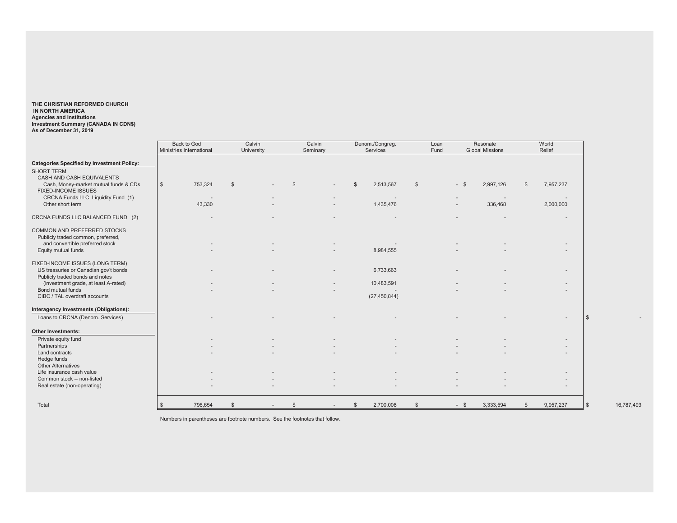**THE CHRISTIAN REFORMED CHURCH IN NORTH AMERICA Agencies and Institutions Investment Summary (CANADA IN CDN\$) As of December 31, 2019**

|                                                   | Back to God              | Calvin       | Calvin                   | Denom./Congreg.   | Loan | Resonate                 | World                       |                          |
|---------------------------------------------------|--------------------------|--------------|--------------------------|-------------------|------|--------------------------|-----------------------------|--------------------------|
|                                                   | Ministries International | University   | Seminary                 | Services          | Fund | <b>Global Missions</b>   | Relief                      |                          |
| <b>Categories Specified by Investment Policy:</b> |                          |              |                          |                   |      |                          |                             |                          |
| <b>SHORT TERM</b>                                 |                          |              |                          |                   |      |                          |                             |                          |
| CASH AND CASH EQUIVALENTS                         |                          |              |                          |                   |      |                          |                             |                          |
| Cash, Money-market mutual funds & CDs             | $\mathbb{S}$<br>753,324  | $\mathbb{S}$ |                          | 2,513,567<br>- \$ | \$   | $-$ \$<br>2,997,126      | 7,957,237<br>$\mathbb{S}$   |                          |
| <b>FIXED-INCOME ISSUES</b>                        |                          |              |                          |                   |      |                          |                             |                          |
| CRCNA Funds LLC Liquidity Fund (1)                |                          |              |                          |                   |      | $\overline{\phantom{a}}$ |                             |                          |
| Other short term                                  | 43,330                   |              | $\overline{\phantom{a}}$ | 1,435,476         |      | 336,468                  | 2,000,000                   |                          |
| CRCNA FUNDS LLC BALANCED FUND (2)                 |                          |              |                          |                   |      |                          | $\overline{\phantom{a}}$    |                          |
| COMMON AND PREFERRED STOCKS                       |                          |              |                          |                   |      |                          |                             |                          |
| Publicly traded common, preferred,                |                          |              |                          |                   |      |                          |                             |                          |
| and convertible preferred stock                   |                          |              |                          |                   |      |                          |                             |                          |
| Equity mutual funds                               |                          |              |                          | 8,984,555         |      |                          |                             |                          |
|                                                   |                          |              |                          |                   |      |                          |                             |                          |
| FIXED-INCOME ISSUES (LONG TERM)                   |                          |              |                          |                   |      |                          |                             |                          |
| US treasuries or Canadian gov't bonds             |                          |              |                          | 6,733,663         |      |                          |                             |                          |
| Publicly traded bonds and notes                   |                          |              |                          |                   |      |                          |                             |                          |
| (investment grade, at least A-rated)              |                          |              |                          | 10,483,591        |      |                          |                             |                          |
| Bond mutual funds                                 |                          |              |                          |                   |      |                          |                             |                          |
| CIBC / TAL overdraft accounts                     |                          |              |                          | (27, 450, 844)    |      |                          |                             |                          |
| Interagency Investments (Obligations):            |                          |              |                          |                   |      |                          |                             |                          |
| Loans to CRCNA (Denom. Services)                  |                          |              |                          |                   |      |                          |                             | $\mathbb{S}$             |
|                                                   |                          |              |                          |                   |      |                          |                             |                          |
| <b>Other Investments:</b>                         |                          |              |                          |                   |      |                          |                             |                          |
| Private equity fund                               |                          |              |                          |                   |      |                          |                             |                          |
| Partnerships                                      |                          |              |                          |                   |      |                          |                             |                          |
| Land contracts                                    |                          |              |                          |                   |      |                          |                             |                          |
| Hedge funds                                       |                          |              |                          |                   |      |                          |                             |                          |
| <b>Other Alternatives</b>                         |                          |              |                          |                   |      |                          |                             |                          |
| Life insurance cash value                         |                          |              |                          |                   |      |                          | $\overline{\phantom{m}}$    |                          |
| Common stock -- non-listed                        |                          |              |                          |                   |      |                          |                             |                          |
| Real estate (non-operating)                       |                          |              |                          |                   |      |                          |                             |                          |
|                                                   |                          |              |                          |                   |      |                          |                             |                          |
| Total                                             | 796,654                  |              | $\mathfrak{F}$           | 2,700,008<br>- \$ | \$   | 3,333,594<br>$-$ \$      | 9,957,237<br>$\mathfrak{S}$ | $\sqrt{3}$<br>16,787,493 |
|                                                   |                          |              |                          |                   |      |                          |                             |                          |

Numbers in parentheses are footnote numbers. See the footnotes that follow.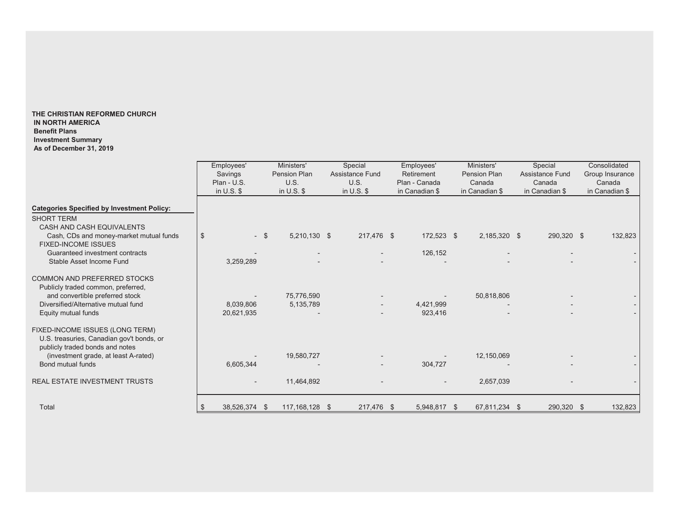#### **THE CHRISTIAN REFORMED CHURCH IN NORTH AMERICA Benefit Plans Investment Summary As of December 31, 2019**

|                                                                                                                                                                                                                                             | Employees'<br>Savings<br>Plan - U.S.<br>in $U.S.$ \$ | Ministers'<br>Pension Plan<br>U.S.<br>in $U.S.$ \$ | Special<br><b>Assistance Fund</b><br>U.S.<br>in $U.S.$ \$ | Employees'<br>Retirement<br>Plan - Canada<br>in Canadian \$ | Ministers'<br>Pension Plan<br>Canada<br>in Canadian \$ | Special<br><b>Assistance Fund</b><br>Canada<br>in Canadian \$ | Consolidated<br>Group Insurance<br>Canada<br>in Canadian \$ |
|---------------------------------------------------------------------------------------------------------------------------------------------------------------------------------------------------------------------------------------------|------------------------------------------------------|----------------------------------------------------|-----------------------------------------------------------|-------------------------------------------------------------|--------------------------------------------------------|---------------------------------------------------------------|-------------------------------------------------------------|
| <b>Categories Specified by Investment Policy:</b><br><b>SHORT TERM</b><br>CASH AND CASH EQUIVALENTS<br>Cash, CDs and money-market mutual funds<br><b>FIXED-INCOME ISSUES</b><br>Guaranteed investment contracts<br>Stable Asset Income Fund | \$<br>$-$ \$<br>3,259,289                            | 5,210,130 \$                                       | 217,476 \$                                                | 172,523 \$<br>126,152                                       | 2,185,320 \$                                           | 290,320 \$                                                    | 132,823                                                     |
| <b>COMMON AND PREFERRED STOCKS</b><br>Publicly traded common, preferred,<br>and convertible preferred stock<br>Diversified/Alternative mutual fund<br>Equity mutual funds                                                                   | 8,039,806<br>20,621,935                              | 75,776,590<br>5,135,789                            |                                                           | 4,421,999<br>923,416                                        | 50,818,806                                             |                                                               |                                                             |
| FIXED-INCOME ISSUES (LONG TERM)<br>U.S. treasuries, Canadian gov't bonds, or<br>publicly traded bonds and notes<br>(investment grade, at least A-rated)<br>Bond mutual funds<br><b>REAL ESTATE INVESTMENT TRUSTS</b>                        | 6,605,344                                            | 19,580,727<br>11,464,892                           |                                                           | 304,727                                                     | 12,150,069<br>2,657,039                                |                                                               |                                                             |
| Total                                                                                                                                                                                                                                       | 38,526,374 \$                                        | 117,168,128 \$                                     | 217,476 \$                                                | 5,948,817 \$                                                | 67,811,234 \$                                          | 290,320 \$                                                    | 132,823                                                     |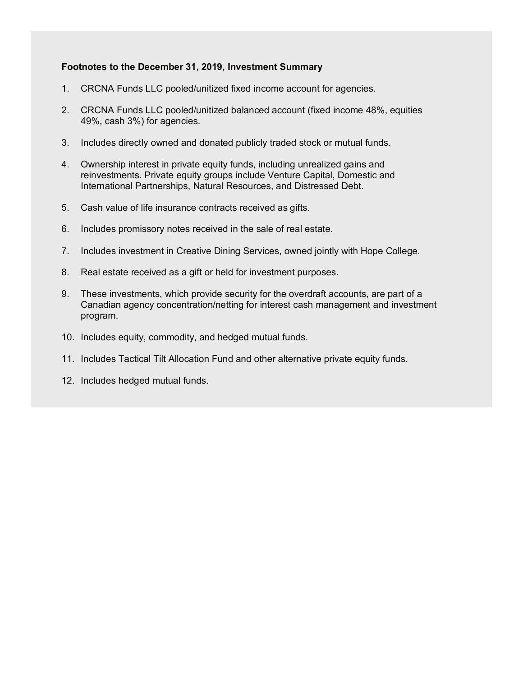# **Footnotes to the December 31, 2019, Investment Summary**

- 1. CRCNA Funds LLC pooled/unitized fixed income account for agencies.
- 2. CRCNA Funds LLC pooled/unitized balanced account (fixed income 48%, equities 49%, cash 3%) for agencies.
- 3. Includes directly owned and donated publicly traded stock or mutual funds.
- 4. Ownership interest in private equity funds, including unrealized gains and reinvestments. Private equity groups include Venture Capital, Domestic and International Partnerships, Natural Resources, and Distressed Debt.
- 5. Cash value of life insurance contracts received as gifts.
- 6. Includes promissory notes received in the sale of real estate.
- 7. Includes investment in Creative Dining Services, owned jointly with Hope College.
- 8. Real estate received as a gift or held for investment purposes.
- 9. These investments, which provide security for the overdraft accounts, are part of a Canadian agency concentration/netting for interest cash management and investment program.
- 10. Includes equity, commodity, and hedged mutual funds.
- 11. Includes Tactical Tilt Allocation Fund and other alternative private equity funds.
- 12. Includes hedged mutual funds.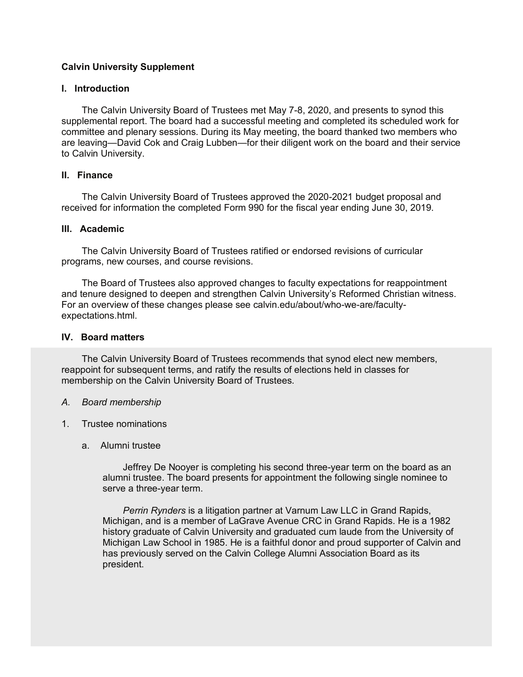# **Calvin University Supplement**

## **I. Introduction**

The Calvin University Board of Trustees met May 7-8, 2020, and presents to synod this supplemental report. The board had a successful meeting and completed its scheduled work for committee and plenary sessions. During its May meeting, the board thanked two members who are leaving—David Cok and Craig Lubben—for their diligent work on the board and their service to Calvin University.

# **II. Finance**

The Calvin University Board of Trustees approved the 2020-2021 budget proposal and received for information the completed Form 990 for the fiscal year ending June 30, 2019.

# **III. Academic**

The Calvin University Board of Trustees ratified or endorsed revisions of curricular programs, new courses, and course revisions.

The Board of Trustees also approved changes to faculty expectations for reappointment and tenure designed to deepen and strengthen Calvin University's Reformed Christian witness. For an overview of these changes please see calvin.edu/about/who-we-are/facultyexpectations.html.

## **IV. Board matters**

The Calvin University Board of Trustees recommends that synod elect new members, reappoint for subsequent terms, and ratify the results of elections held in classes for membership on the Calvin University Board of Trustees.

#### *A. Board membership*

- 1. Trustee nominations
	- a. Alumni trustee

Jeffrey De Nooyer is completing his second three-year term on the board as an alumni trustee. The board presents for appointment the following single nominee to serve a three-year term.

*Perrin Rynders* is a litigation partner at Varnum Law LLC in Grand Rapids, Michigan, and is a member of LaGrave Avenue CRC in Grand Rapids. He is a 1982 history graduate of Calvin University and graduated cum laude from the University of Michigan Law School in 1985. He is a faithful donor and proud supporter of Calvin and has previously served on the Calvin College Alumni Association Board as its president.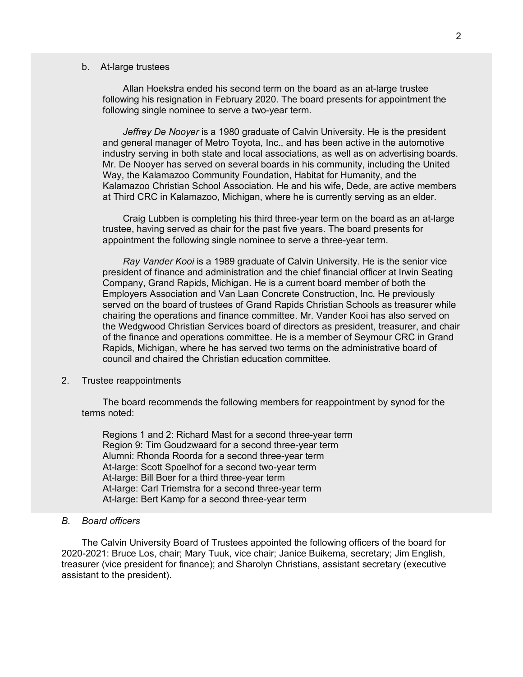#### b. At-large trustees

Allan Hoekstra ended his second term on the board as an at-large trustee following his resignation in February 2020. The board presents for appointment the following single nominee to serve a two-year term.

*Jeffrey De Nooyer* is a 1980 graduate of Calvin University. He is the president and general manager of Metro Toyota, Inc., and has been active in the automotive industry serving in both state and local associations, as well as on advertising boards. Mr. De Nooyer has served on several boards in his community, including the United Way, the Kalamazoo Community Foundation, Habitat for Humanity, and the Kalamazoo Christian School Association. He and his wife, Dede, are active members at Third CRC in Kalamazoo, Michigan, where he is currently serving as an elder.

Craig Lubben is completing his third three-year term on the board as an at-large trustee, having served as chair for the past five years. The board presents for appointment the following single nominee to serve a three-year term.

*Ray Vander Kooi* is a 1989 graduate of Calvin University. He is the senior vice president of finance and administration and the chief financial officer at Irwin Seating Company, Grand Rapids, Michigan. He is a current board member of both the Employers Association and Van Laan Concrete Construction, Inc. He previously served on the board of trustees of Grand Rapids Christian Schools as treasurer while chairing the operations and finance committee. Mr. Vander Kooi has also served on the Wedgwood Christian Services board of directors as president, treasurer, and chair of the finance and operations committee. He is a member of Seymour CRC in Grand Rapids, Michigan, where he has served two terms on the administrative board of council and chaired the Christian education committee.

#### 2. Trustee reappointments

The board recommends the following members for reappointment by synod for the terms noted:

Regions 1 and 2: Richard Mast for a second three-year term Region 9: Tim Goudzwaard for a second three-year term Alumni: Rhonda Roorda for a second three-year term At-large: Scott Spoelhof for a second two-year term At-large: Bill Boer for a third three-year term At-large: Carl Triemstra for a second three-year term At-large: Bert Kamp for a second three-year term

#### *B. Board officers*

The Calvin University Board of Trustees appointed the following officers of the board for 2020-2021: Bruce Los, chair; Mary Tuuk, vice chair; Janice Buikema, secretary; Jim English, treasurer (vice president for finance); and Sharolyn Christians, assistant secretary (executive assistant to the president).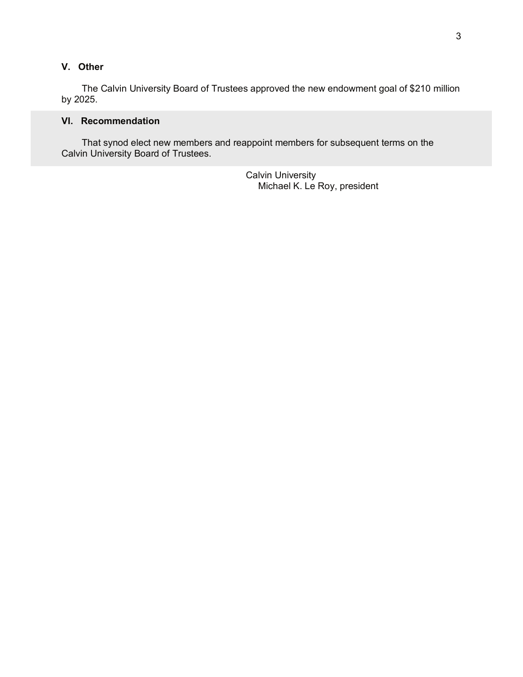# **V. Other**

The Calvin University Board of Trustees approved the new endowment goal of \$210 million by 2025.

# **VI. Recommendation**

That synod elect new members and reappoint members for subsequent terms on the Calvin University Board of Trustees.

> Calvin University Michael K. Le Roy, president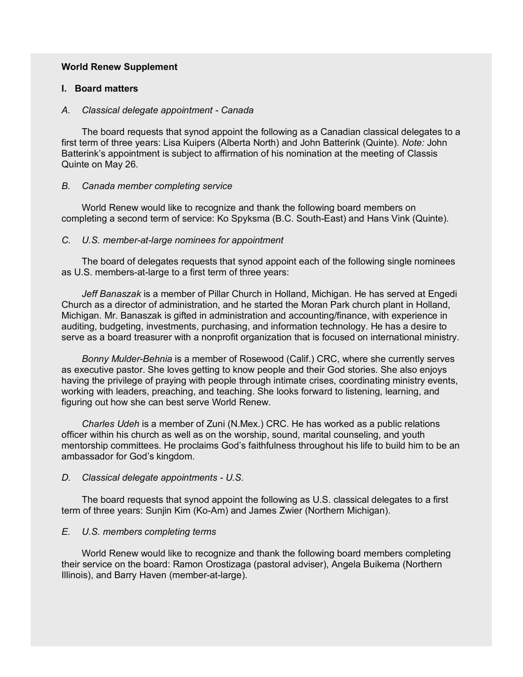## **World Renew Supplement**

#### **I. Board matters**

#### *A. Classical delegate appointment - Canada*

The board requests that synod appoint the following as a Canadian classical delegates to a first term of three years: Lisa Kuipers (Alberta North) and John Batterink (Quinte). *Note:* John Batterink's appointment is subject to affirmation of his nomination at the meeting of Classis Quinte on May 26.

### *B. Canada member completing service*

World Renew would like to recognize and thank the following board members on completing a second term of service: Ko Spyksma (B.C. South-East) and Hans Vink (Quinte).

### *C. U.S. member-at-large nominees for appointment*

The board of delegates requests that synod appoint each of the following single nominees as U.S. members-at-large to a first term of three years:

*Jeff Banaszak* is a member of Pillar Church in Holland, Michigan. He has served at Engedi Church as a director of administration, and he started the Moran Park church plant in Holland, Michigan. Mr. Banaszak is gifted in administration and accounting/finance, with experience in auditing, budgeting, investments, purchasing, and information technology. He has a desire to serve as a board treasurer with a nonprofit organization that is focused on international ministry.

*Bonny Mulder-Behnia* is a member of Rosewood (Calif.) CRC, where she currently serves as executive pastor. She loves getting to know people and their God stories. She also enjoys having the privilege of praying with people through intimate crises, coordinating ministry events, working with leaders, preaching, and teaching. She looks forward to listening, learning, and figuring out how she can best serve World Renew.

*Charles Udeh* is a member of Zuni (N.Mex.) CRC. He has worked as a public relations officer within his church as well as on the worship, sound, marital counseling, and youth mentorship committees. He proclaims God's faithfulness throughout his life to build him to be an ambassador for God's kingdom.

# *D. Classical delegate appointments - U.S.*

The board requests that synod appoint the following as U.S. classical delegates to a first term of three years: Sunjin Kim (Ko-Am) and James Zwier (Northern Michigan).

# *E. U.S. members completing terms*

World Renew would like to recognize and thank the following board members completing their service on the board: Ramon Orostizaga (pastoral adviser), Angela Buikema (Northern Illinois), and Barry Haven (member-at-large).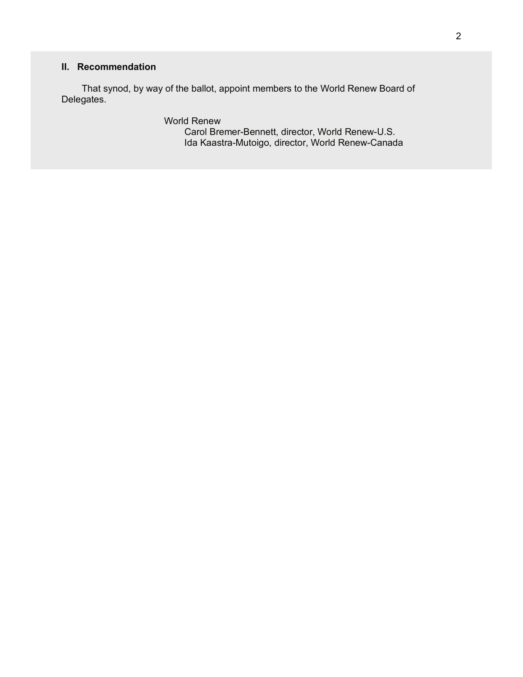# **II. Recommendation**

That synod, by way of the ballot, appoint members to the World Renew Board of Delegates.

> World Renew Carol Bremer-Bennett, director, World Renew-U.S.

Ida Kaastra-Mutoigo, director, World Renew-Canada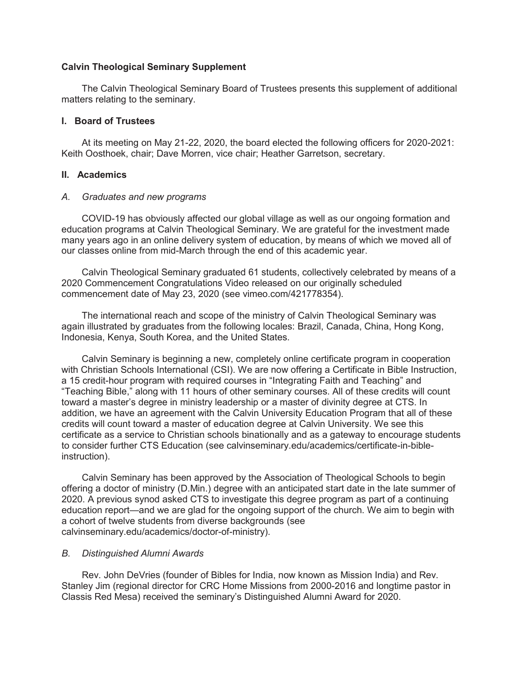# **Calvin Theological Seminary Supplement**

The Calvin Theological Seminary Board of Trustees presents this supplement of additional matters relating to the seminary.

# **I. Board of Trustees**

At its meeting on May 21-22, 2020, the board elected the following officers for 2020-2021: Keith Oosthoek, chair; Dave Morren, vice chair; Heather Garretson, secretary.

# **II. Academics**

# *A. Graduates and new programs*

COVID-19 has obviously affected our global village as well as our ongoing formation and education programs at Calvin Theological Seminary. We are grateful for the investment made many years ago in an online delivery system of education, by means of which we moved all of our classes online from mid-March through the end of this academic year.

Calvin Theological Seminary graduated 61 students, collectively celebrated by means of a 2020 Commencement Congratulations Video released on our originally scheduled commencement date of May 23, 2020 (see vimeo.com/421778354).

The international reach and scope of the ministry of Calvin Theological Seminary was again illustrated by graduates from the following locales: Brazil, Canada, China, Hong Kong, Indonesia, Kenya, South Korea, and the United States.

Calvin Seminary is beginning a new, completely online certificate program in cooperation with Christian Schools International (CSI). We are now offering a Certificate in Bible Instruction, a 15 credit-hour program with required courses in "Integrating Faith and Teaching" and "Teaching Bible," along with 11 hours of other seminary courses. All of these credits will count toward a master's degree in ministry leadership or a master of divinity degree at CTS. In addition, we have an agreement with the Calvin University Education Program that all of these credits will count toward a master of education degree at Calvin University. We see this certificate as a service to Christian schools binationally and as a gateway to encourage students to consider further CTS Education (see calvinseminary.edu/academics/certificate-in-bibleinstruction).

Calvin Seminary has been approved by the Association of Theological Schools to begin offering a doctor of ministry (D.Min.) degree with an anticipated start date in the late summer of 2020. A previous synod asked CTS to investigate this degree program as part of a continuing education report—and we are glad for the ongoing support of the church. We aim to begin with a cohort of twelve students from diverse backgrounds (see calvinseminary.edu/academics/doctor-of-ministry).

# *B. Distinguished Alumni Awards*

Rev. John DeVries (founder of Bibles for India, now known as Mission India) and Rev. Stanley Jim (regional director for CRC Home Missions from 2000-2016 and longtime pastor in Classis Red Mesa) received the seminary's Distinguished Alumni Award for 2020.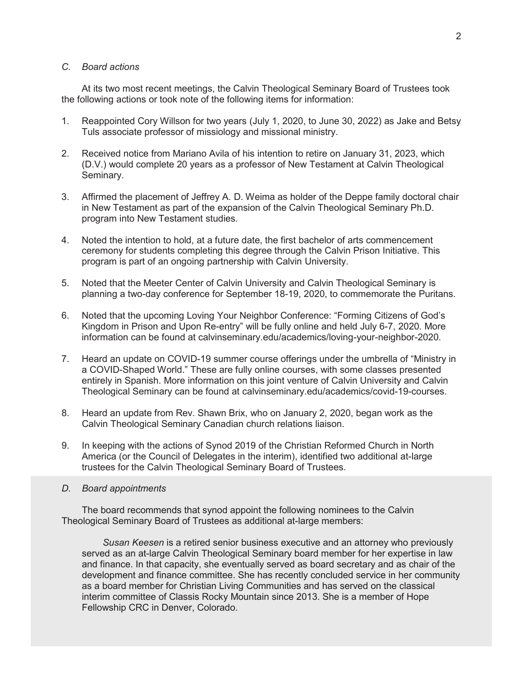# *C. Board actions*

At its two most recent meetings, the Calvin Theological Seminary Board of Trustees took the following actions or took note of the following items for information:

- 1. Reappointed Cory Willson for two years (July 1, 2020, to June 30, 2022) as Jake and Betsy Tuls associate professor of missiology and missional ministry.
- 2. Received notice from Mariano Avila of his intention to retire on January 31, 2023, which (D.V.) would complete 20 years as a professor of New Testament at Calvin Theological Seminary.
- 3. Affirmed the placement of Jeffrey A. D. Weima as holder of the Deppe family doctoral chair in New Testament as part of the expansion of the Calvin Theological Seminary Ph.D. program into New Testament studies.
- 4. Noted the intention to hold, at a future date, the first bachelor of arts commencement ceremony for students completing this degree through the Calvin Prison Initiative. This program is part of an ongoing partnership with Calvin University.
- 5. Noted that the Meeter Center of Calvin University and Calvin Theological Seminary is planning a two-day conference for September 18-19, 2020, to commemorate the Puritans.
- 6. Noted that the upcoming Loving Your Neighbor Conference: "Forming Citizens of God's Kingdom in Prison and Upon Re-entry" will be fully online and held July 6-7, 2020. More information can be found at calvinseminary.edu/academics/loving-your-neighbor-2020.
- 7. Heard an update on COVID-19 summer course offerings under the umbrella of "Ministry in a COVID-Shaped World." These are fully online courses, with some classes presented entirely in Spanish. More information on this joint venture of Calvin University and Calvin Theological Seminary can be found at calvinseminary.edu/academics/covid-19-courses.
- 8. Heard an update from Rev. Shawn Brix, who on January 2, 2020, began work as the Calvin Theological Seminary Canadian church relations liaison.
- 9. In keeping with the actions of Synod 2019 of the Christian Reformed Church in North America (or the Council of Delegates in the interim), identified two additional at-large trustees for the Calvin Theological Seminary Board of Trustees.
- *D. Board appointments*

The board recommends that synod appoint the following nominees to the Calvin Theological Seminary Board of Trustees as additional at-large members:

*Susan Keesen* is a retired senior business executive and an attorney who previously served as an at-large Calvin Theological Seminary board member for her expertise in law and finance. In that capacity, she eventually served as board secretary and as chair of the development and finance committee. She has recently concluded service in her community as a board member for Christian Living Communities and has served on the classical interim committee of Classis Rocky Mountain since 2013. She is a member of Hope Fellowship CRC in Denver, Colorado.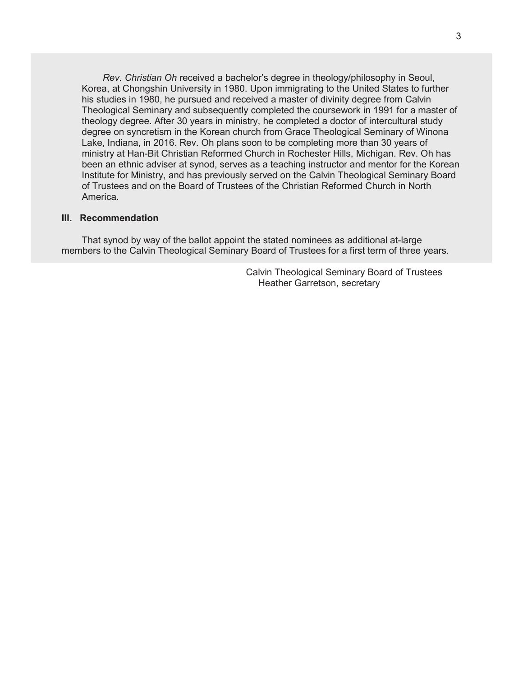*Rev. Christian Oh* received a bachelor's degree in theology/philosophy in Seoul, Korea, at Chongshin University in 1980. Upon immigrating to the United States to further his studies in 1980, he pursued and received a master of divinity degree from Calvin Theological Seminary and subsequently completed the coursework in 1991 for a master of theology degree. After 30 years in ministry, he completed a doctor of intercultural study degree on syncretism in the Korean church from Grace Theological Seminary of Winona Lake, Indiana, in 2016. Rev. Oh plans soon to be completing more than 30 years of ministry at Han-Bit Christian Reformed Church in Rochester Hills, Michigan. Rev. Oh has been an ethnic adviser at synod, serves as a teaching instructor and mentor for the Korean Institute for Ministry, and has previously served on the Calvin Theological Seminary Board of Trustees and on the Board of Trustees of the Christian Reformed Church in North America.

### **III. Recommendation**

That synod by way of the ballot appoint the stated nominees as additional at-large members to the Calvin Theological Seminary Board of Trustees for a first term of three years.

> Calvin Theological Seminary Board of Trustees Heather Garretson, secretary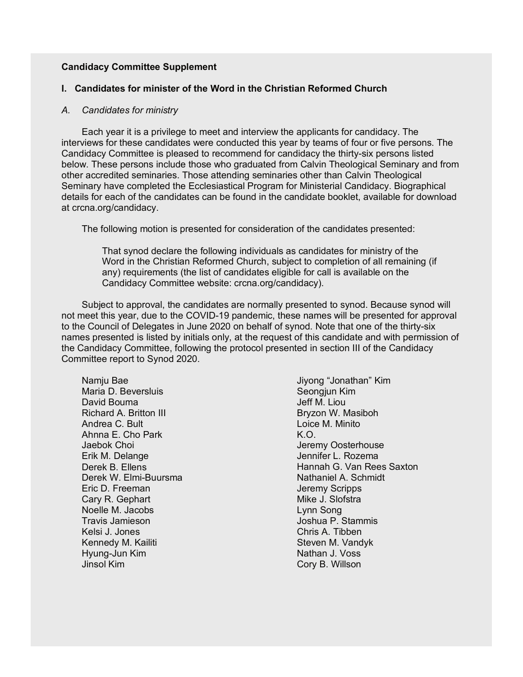# **Candidacy Committee Supplement**

# **I. Candidates for minister of the Word in the Christian Reformed Church**

#### *A. Candidates for ministry*

Each year it is a privilege to meet and interview the applicants for candidacy. The interviews for these candidates were conducted this year by teams of four or five persons. The Candidacy Committee is pleased to recommend for candidacy the thirty-six persons listed below. These persons include those who graduated from Calvin Theological Seminary and from other accredited seminaries. Those attending seminaries other than Calvin Theological Seminary have completed the Ecclesiastical Program for Ministerial Candidacy. Biographical details for each of the candidates can be found in the candidate booklet, available for download at crcna.org/candidacy.

The following motion is presented for consideration of the candidates presented:

That synod declare the following individuals as candidates for ministry of the Word in the Christian Reformed Church, subject to completion of all remaining (if any) requirements (the list of candidates eligible for call is available on the Candidacy Committee website: crcna.org/candidacy).

Subject to approval, the candidates are normally presented to synod. Because synod will not meet this year, due to the COVID-19 pandemic, these names will be presented for approval to the Council of Delegates in June 2020 on behalf of synod. Note that one of the thirty-six names presented is listed by initials only, at the request of this candidate and with permission of the Candidacy Committee, following the protocol presented in section III of the Candidacy Committee report to Synod 2020.

Namju Bae Maria D. Beversluis David Bouma Richard A. Britton III Andrea C. Bult Ahnna E. Cho Park Jaebok Choi Erik M. Delange Derek B. Ellens Derek W. Elmi-Buursma Eric D. Freeman Cary R. Gephart Noelle M. Jacobs Travis Jamieson Kelsi J. Jones Kennedy M. Kailiti Hyung-Jun Kim Jinsol Kim

Jiyong "Jonathan" Kim Seongjun Kim Jeff M. Liou Bryzon W. Masiboh Loice M. Minito K.O. Jeremy Oosterhouse Jennifer L. Rozema Hannah G. Van Rees Saxton Nathaniel A. Schmidt Jeremy Scripps Mike J. Slofstra Lynn Song Joshua P. Stammis Chris A. Tibben Steven M. Vandyk Nathan J. Voss Cory B. Willson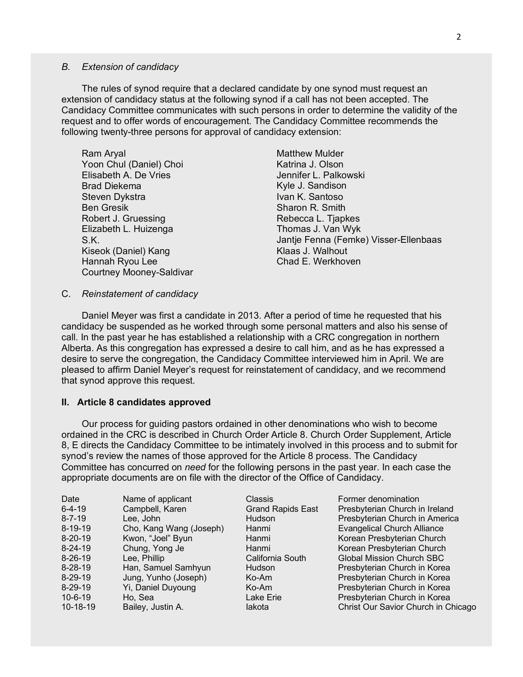#### *B. Extension of candidacy*

The rules of synod require that a declared candidate by one synod must request an extension of candidacy status at the following synod if a call has not been accepted. The Candidacy Committee communicates with such persons in order to determine the validity of the request and to offer words of encouragement. The Candidacy Committee recommends the following twenty-three persons for approval of candidacy extension:

Ram Aryal Yoon Chul (Daniel) Choi Elisabeth A. De Vries Brad Diekema Steven Dykstra Ben Gresik Robert J. Gruessing Elizabeth L. Huizenga S.K. Kiseok (Daniel) Kang Hannah Ryou Lee Courtney Mooney-Saldivar

Matthew Mulder Katrina J. Olson Jennifer L. Palkowski Kyle J. Sandison Ivan K. Santoso Sharon R. Smith Rebecca L. Tjapkes Thomas J. Van Wyk Jantje Fenna (Femke) Visser-Ellenbaas Klaas J. Walhout Chad E. Werkhoven

#### C. *Reinstatement of candidacy*

Daniel Meyer was first a candidate in 2013. After a period of time he requested that his candidacy be suspended as he worked through some personal matters and also his sense of call. In the past year he has established a relationship with a CRC congregation in northern Alberta. As this congregation has expressed a desire to call him, and as he has expressed a desire to serve the congregation, the Candidacy Committee interviewed him in April. We are pleased to affirm Daniel Meyer's request for reinstatement of candidacy, and we recommend that synod approve this request.

#### **II. Article 8 candidates approved**

Our process for guiding pastors ordained in other denominations who wish to become ordained in the CRC is described in Church Order Article 8. Church Order Supplement, Article 8, E directs the Candidacy Committee to be intimately involved in this process and to submit for synod's review the names of those approved for the Article 8 process. The Candidacy Committee has concurred on *need* for the following persons in the past year. In each case the appropriate documents are on file with the director of the Office of Candidacy.

| Date<br>$6 - 4 - 19$<br>$8 - 7 - 19$<br>$8 - 19 - 19$<br>$8 - 20 - 19$<br>$8 - 24 - 19$<br>$8 - 26 - 19$<br>$8 - 28 - 19$ | Name of applicant<br>Campbell, Karen<br>Lee, John<br>Cho, Kang Wang (Joseph)<br>Kwon, "Joel" Byun<br>Chung, Yong Je<br>Lee, Phillip<br>Han, Samuel Samhyun | <b>Classis</b><br><b>Grand Rapids East</b><br>Hudson<br>Hanmi<br>Hanmi<br>Hanmi<br>California South<br>Hudson<br>Ko-Am | Former denomination<br>Presbyterian Church in Ireland<br>Presbyterian Church in America<br><b>Evangelical Church Alliance</b><br>Korean Presbyterian Church<br>Korean Presbyterian Church<br><b>Global Mission Church SBC</b><br>Presbyterian Church in Korea |
|---------------------------------------------------------------------------------------------------------------------------|------------------------------------------------------------------------------------------------------------------------------------------------------------|------------------------------------------------------------------------------------------------------------------------|---------------------------------------------------------------------------------------------------------------------------------------------------------------------------------------------------------------------------------------------------------------|
| $8 - 29 - 19$<br>$8 - 29 - 19$<br>$10 - 6 - 19$<br>$10-18-19$                                                             | Jung, Yunho (Joseph)<br>Yi, Daniel Duyoung<br>Ho, Sea<br>Bailey, Justin A.                                                                                 | Ko-Am<br>Lake Erie<br>lakota                                                                                           | Presbyterian Church in Korea<br>Presbyterian Church in Korea<br>Presbyterian Church in Korea<br>Christ Our Savior Church in Chicago                                                                                                                           |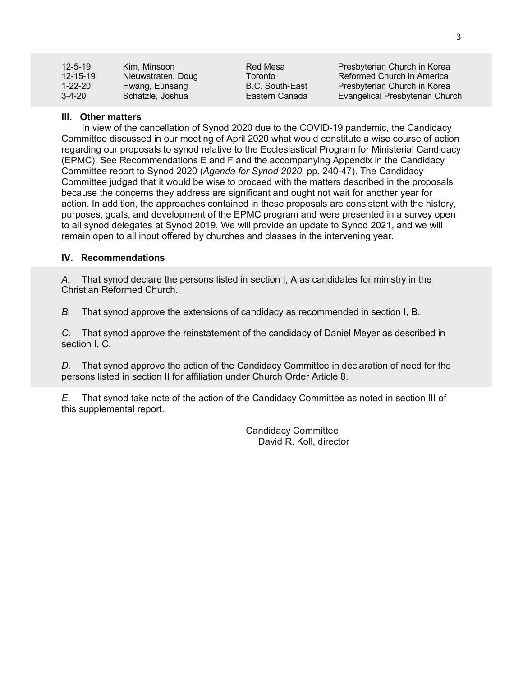| $12 - 5 - 19$  | Kim. Minsoon       | Red Mesa        | Presbyterian Church in Korea    |
|----------------|--------------------|-----------------|---------------------------------|
| $12 - 15 - 19$ | Nieuwstraten, Doug | Toronto         | Reformed Church in America      |
| 1-22-20        | Hwang, Eunsang     | B.C. South-East | Presbyterian Church in Korea    |
| $3-4-20$       | Schatzle, Joshua   | Eastern Canada  | Evangelical Presbyterian Church |

# **III. Other matters**

In view of the cancellation of Synod 2020 due to the COVID-19 pandemic, the Candidacy Committee discussed in our meeting of April 2020 what would constitute a wise course of action regarding our proposals to synod relative to the Ecclesiastical Program for Ministerial Candidacy (EPMC). See Recommendations E and F and the accompanying Appendix in the Candidacy Committee report to Synod 2020 (*Agenda for Synod 2020*, pp. 240-47). The Candidacy Committee judged that it would be wise to proceed with the matters described in the proposals because the concerns they address are significant and ought not wait for another year for action. In addition, the approaches contained in these proposals are consistent with the history, purposes, goals, and development of the EPMC program and were presented in a survey open to all synod delegates at Synod 2019. We will provide an update to Synod 2021, and we will remain open to all input offered by churches and classes in the intervening year.

# **IV. Recommendations**

*A.* That synod declare the persons listed in section I, A as candidates for ministry in the Christian Reformed Church.

*B.* That synod approve the extensions of candidacy as recommended in section I, B.

*C.* That synod approve the reinstatement of the candidacy of Daniel Meyer as described in section I, C.

*D.* That synod approve the action of the Candidacy Committee in declaration of need for the persons listed in section II for affiliation under Church Order Article 8.

*E.* That synod take note of the action of the Candidacy Committee as noted in section III of this supplemental report.

> Candidacy Committee David R. Koll, director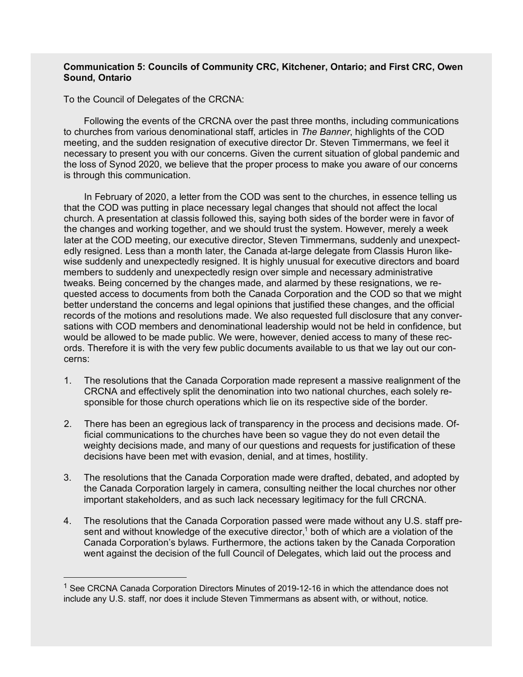# **Communication 5: Councils of Community CRC, Kitchener, Ontario; and First CRC, Owen Sound, Ontario**

To the Council of Delegates of the CRCNA:

Following the events of the CRCNA over the past three months, including communications to churches from various denominational staff, articles in *The Banner*, highlights of the COD meeting, and the sudden resignation of executive director Dr. Steven Timmermans, we feel it necessary to present you with our concerns. Given the current situation of global pandemic and the loss of Synod 2020, we believe that the proper process to make you aware of our concerns is through this communication.

In February of 2020, a letter from the COD was sent to the churches, in essence telling us that the COD was putting in place necessary legal changes that should not affect the local church. A presentation at classis followed this, saying both sides of the border were in favor of the changes and working together, and we should trust the system. However, merely a week later at the COD meeting, our executive director, Steven Timmermans, suddenly and unexpectedly resigned. Less than a month later, the Canada at-large delegate from Classis Huron likewise suddenly and unexpectedly resigned. It is highly unusual for executive directors and board members to suddenly and unexpectedly resign over simple and necessary administrative tweaks. Being concerned by the changes made, and alarmed by these resignations, we requested access to documents from both the Canada Corporation and the COD so that we might better understand the concerns and legal opinions that justified these changes, and the official records of the motions and resolutions made. We also requested full disclosure that any conversations with COD members and denominational leadership would not be held in confidence, but would be allowed to be made public. We were, however, denied access to many of these records. Therefore it is with the very few public documents available to us that we lay out our concerns:

- 1. The resolutions that the Canada Corporation made represent a massive realignment of the CRCNA and effectively split the denomination into two national churches, each solely responsible for those church operations which lie on its respective side of the border.
- 2. There has been an egregious lack of transparency in the process and decisions made. Official communications to the churches have been so vague they do not even detail the weighty decisions made, and many of our questions and requests for justification of these decisions have been met with evasion, denial, and at times, hostility.
- 3. The resolutions that the Canada Corporation made were drafted, debated, and adopted by the Canada Corporation largely in camera, consulting neither the local churches nor other important stakeholders, and as such lack necessary legitimacy for the full CRCNA.
- 4. The resolutions that the Canada Corporation passed were made without any U.S. staff present and without knowledge of the executive director,<sup>1</sup> both of which are a violation of the Canada Corporation's bylaws. Furthermore, the actions taken by the Canada Corporation went against the decision of the full Council of Delegates, which laid out the process and

<sup>&</sup>lt;sup>1</sup> See CRCNA Canada Corporation Directors Minutes of 2019-12-16 in which the attendance does not include any U.S. staff, nor does it include Steven Timmermans as absent with, or without, notice.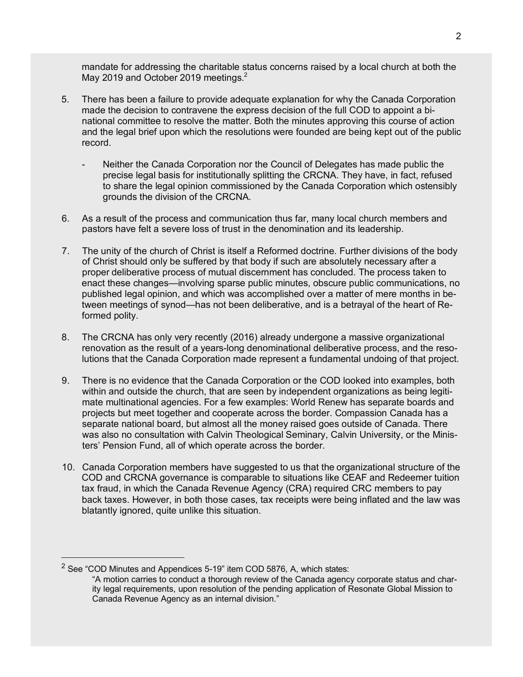mandate for addressing the charitable status concerns raised by a local church at both the May 2019 and October 2019 meetings.<sup>2</sup>

- 5. There has been a failure to provide adequate explanation for why the Canada Corporation made the decision to contravene the express decision of the full COD to appoint a binational committee to resolve the matter. Both the minutes approving this course of action and the legal brief upon which the resolutions were founded are being kept out of the public record.
	- Neither the Canada Corporation nor the Council of Delegates has made public the precise legal basis for institutionally splitting the CRCNA. They have, in fact, refused to share the legal opinion commissioned by the Canada Corporation which ostensibly grounds the division of the CRCNA.
- 6. As a result of the process and communication thus far, many local church members and pastors have felt a severe loss of trust in the denomination and its leadership.
- 7. The unity of the church of Christ is itself a Reformed doctrine. Further divisions of the body of Christ should only be suffered by that body if such are absolutely necessary after a proper deliberative process of mutual discernment has concluded. The process taken to enact these changes—involving sparse public minutes, obscure public communications, no published legal opinion, and which was accomplished over a matter of mere months in between meetings of synod—has not been deliberative, and is a betrayal of the heart of Reformed polity.
- 8. The CRCNA has only very recently (2016) already undergone a massive organizational renovation as the result of a years-long denominational deliberative process, and the resolutions that the Canada Corporation made represent a fundamental undoing of that project.
- 9. There is no evidence that the Canada Corporation or the COD looked into examples, both within and outside the church, that are seen by independent organizations as being legitimate multinational agencies. For a few examples: World Renew has separate boards and projects but meet together and cooperate across the border. Compassion Canada has a separate national board, but almost all the money raised goes outside of Canada. There was also no consultation with Calvin Theological Seminary, Calvin University, or the Ministers' Pension Fund, all of which operate across the border.
- 10. Canada Corporation members have suggested to us that the organizational structure of the COD and CRCNA governance is comparable to situations like CEAF and Redeemer tuition tax fraud, in which the Canada Revenue Agency (CRA) required CRC members to pay back taxes. However, in both those cases, tax receipts were being inflated and the law was blatantly ignored, quite unlike this situation.

 $2$  See "COD Minutes and Appendices 5-19" item COD 5876, A, which states:

<sup>&</sup>quot;A motion carries to conduct a thorough review of the Canada agency corporate status and charity legal requirements, upon resolution of the pending application of Resonate Global Mission to Canada Revenue Agency as an internal division."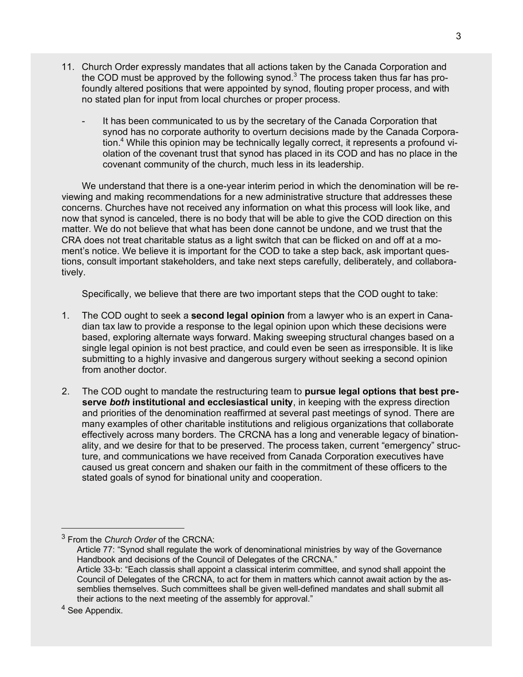- 11. Church Order expressly mandates that all actions taken by the Canada Corporation and the COD must be approved by the following synod. $3$  The process taken thus far has profoundly altered positions that were appointed by synod, flouting proper process, and with no stated plan for input from local churches or proper process.
	- It has been communicated to us by the secretary of the Canada Corporation that synod has no corporate authority to overturn decisions made by the Canada Corporation.<sup>4</sup> While this opinion may be technically legally correct, it represents a profound violation of the covenant trust that synod has placed in its COD and has no place in the covenant community of the church, much less in its leadership.

We understand that there is a one-year interim period in which the denomination will be reviewing and making recommendations for a new administrative structure that addresses these concerns. Churches have not received any information on what this process will look like, and now that synod is canceled, there is no body that will be able to give the COD direction on this matter. We do not believe that what has been done cannot be undone, and we trust that the CRA does not treat charitable status as a light switch that can be flicked on and off at a moment's notice. We believe it is important for the COD to take a step back, ask important questions, consult important stakeholders, and take next steps carefully, deliberately, and collaboratively.

Specifically, we believe that there are two important steps that the COD ought to take:

- 1. The COD ought to seek a **second legal opinion** from a lawyer who is an expert in Canadian tax law to provide a response to the legal opinion upon which these decisions were based, exploring alternate ways forward. Making sweeping structural changes based on a single legal opinion is not best practice, and could even be seen as irresponsible. It is like submitting to a highly invasive and dangerous surgery without seeking a second opinion from another doctor.
- 2. The COD ought to mandate the restructuring team to **pursue legal options that best preserve** *both* **institutional and ecclesiastical unity**, in keeping with the express direction and priorities of the denomination reaffirmed at several past meetings of synod. There are many examples of other charitable institutions and religious organizations that collaborate effectively across many borders. The CRCNA has a long and venerable legacy of binationality, and we desire for that to be preserved. The process taken, current "emergency" structure, and communications we have received from Canada Corporation executives have caused us great concern and shaken our faith in the commitment of these officers to the stated goals of synod for binational unity and cooperation.

<sup>3</sup> From the *Church Order* of the CRCNA:

Article 77: "Synod shall regulate the work of denominational ministries by way of the Governance Handbook and decisions of the Council of Delegates of the CRCNA." Article 33-b: "Each classis shall appoint a classical interim committee, and synod shall appoint the Council of Delegates of the CRCNA, to act for them in matters which cannot await action by the assemblies themselves. Such committees shall be given well-defined mandates and shall submit all their actions to the next meeting of the assembly for approval."

<sup>&</sup>lt;sup>4</sup> See Appendix.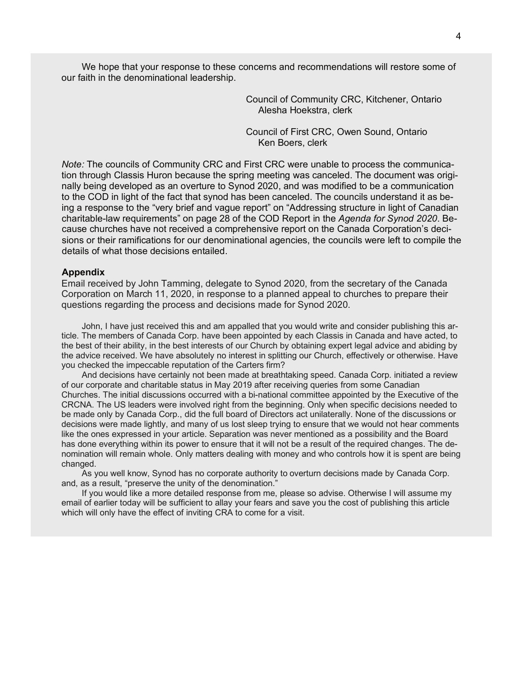We hope that your response to these concerns and recommendations will restore some of our faith in the denominational leadership.

> Council of Community CRC, Kitchener, Ontario Alesha Hoekstra, clerk

Council of First CRC, Owen Sound, Ontario Ken Boers, clerk

*Note:* The councils of Community CRC and First CRC were unable to process the communication through Classis Huron because the spring meeting was canceled. The document was originally being developed as an overture to Synod 2020, and was modified to be a communication to the COD in light of the fact that synod has been canceled. The councils understand it as being a response to the "very brief and vague report" on "Addressing structure in light of Canadian charitable-law requirements" on page 28 of the COD Report in the *Agenda for Synod 2020*. Because churches have not received a comprehensive report on the Canada Corporation's decisions or their ramifications for our denominational agencies, the councils were left to compile the details of what those decisions entailed.

#### **Appendix**

Email received by John Tamming, delegate to Synod 2020, from the secretary of the Canada Corporation on March 11, 2020, in response to a planned appeal to churches to prepare their questions regarding the process and decisions made for Synod 2020.

John, I have just received this and am appalled that you would write and consider publishing this article. The members of Canada Corp. have been appointed by each Classis in Canada and have acted, to the best of their ability, in the best interests of our Church by obtaining expert legal advice and abiding by the advice received. We have absolutely no interest in splitting our Church, effectively or otherwise. Have you checked the impeccable reputation of the Carters firm?

And decisions have certainly not been made at breathtaking speed. Canada Corp. initiated a review of our corporate and charitable status in May 2019 after receiving queries from some Canadian Churches. The initial discussions occurred with a bi-national committee appointed by the Executive of the CRCNA. The US leaders were involved right from the beginning. Only when specific decisions needed to be made only by Canada Corp., did the full board of Directors act unilaterally. None of the discussions or decisions were made lightly, and many of us lost sleep trying to ensure that we would not hear comments like the ones expressed in your article. Separation was never mentioned as a possibility and the Board has done everything within its power to ensure that it will not be a result of the required changes. The denomination will remain whole. Only matters dealing with money and who controls how it is spent are being changed.

As you well know, Synod has no corporate authority to overturn decisions made by Canada Corp. and, as a result, "preserve the unity of the denomination."

If you would like a more detailed response from me, please so advise. Otherwise I will assume my email of earlier today will be sufficient to allay your fears and save you the cost of publishing this article which will only have the effect of inviting CRA to come for a visit.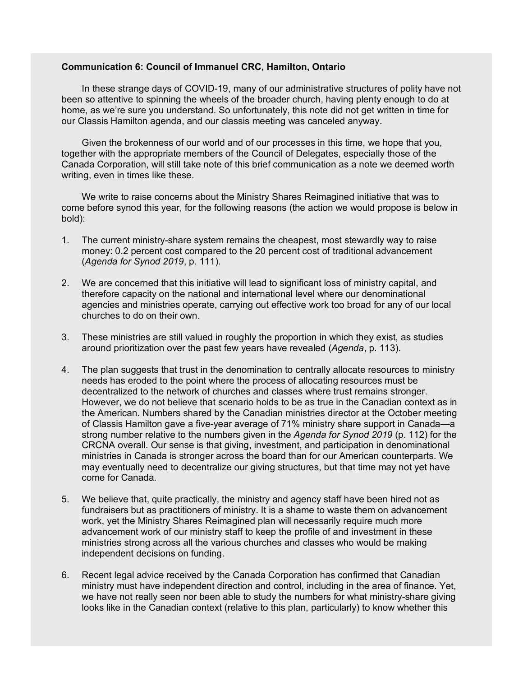## **Communication 6: Council of Immanuel CRC, Hamilton, Ontario**

In these strange days of COVID-19, many of our administrative structures of polity have not been so attentive to spinning the wheels of the broader church, having plenty enough to do at home, as we're sure you understand. So unfortunately, this note did not get written in time for our Classis Hamilton agenda, and our classis meeting was canceled anyway.

Given the brokenness of our world and of our processes in this time, we hope that you, together with the appropriate members of the Council of Delegates, especially those of the Canada Corporation, will still take note of this brief communication as a note we deemed worth writing, even in times like these.

We write to raise concerns about the Ministry Shares Reimagined initiative that was to come before synod this year, for the following reasons (the action we would propose is below in bold):

- 1. The current ministry-share system remains the cheapest, most stewardly way to raise money: 0.2 percent cost compared to the 20 percent cost of traditional advancement (*Agenda for Synod 2019*, p. 111).
- 2. We are concerned that this initiative will lead to significant loss of ministry capital, and therefore capacity on the national and international level where our denominational agencies and ministries operate, carrying out effective work too broad for any of our local churches to do on their own.
- 3. These ministries are still valued in roughly the proportion in which they exist, as studies around prioritization over the past few years have revealed (*Agenda*, p. 113).
- 4. The plan suggests that trust in the denomination to centrally allocate resources to ministry needs has eroded to the point where the process of allocating resources must be decentralized to the network of churches and classes where trust remains stronger. However, we do not believe that scenario holds to be as true in the Canadian context as in the American. Numbers shared by the Canadian ministries director at the October meeting of Classis Hamilton gave a five-year average of 71% ministry share support in Canada—a strong number relative to the numbers given in the *Agenda for Synod 2019* (p. 112) for the CRCNA overall. Our sense is that giving, investment, and participation in denominational ministries in Canada is stronger across the board than for our American counterparts. We may eventually need to decentralize our giving structures, but that time may not yet have come for Canada.
- 5. We believe that, quite practically, the ministry and agency staff have been hired not as fundraisers but as practitioners of ministry. It is a shame to waste them on advancement work, yet the Ministry Shares Reimagined plan will necessarily require much more advancement work of our ministry staff to keep the profile of and investment in these ministries strong across all the various churches and classes who would be making independent decisions on funding.
- 6. Recent legal advice received by the Canada Corporation has confirmed that Canadian ministry must have independent direction and control, including in the area of finance. Yet, we have not really seen nor been able to study the numbers for what ministry-share giving looks like in the Canadian context (relative to this plan, particularly) to know whether this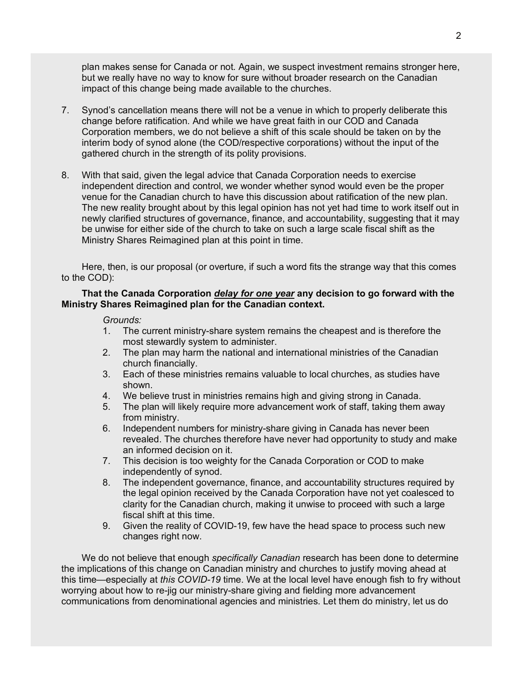plan makes sense for Canada or not. Again, we suspect investment remains stronger here, but we really have no way to know for sure without broader research on the Canadian impact of this change being made available to the churches.

- 7. Synod's cancellation means there will not be a venue in which to properly deliberate this change before ratification. And while we have great faith in our COD and Canada Corporation members, we do not believe a shift of this scale should be taken on by the interim body of synod alone (the COD/respective corporations) without the input of the gathered church in the strength of its polity provisions.
- 8. With that said, given the legal advice that Canada Corporation needs to exercise independent direction and control, we wonder whether synod would even be the proper venue for the Canadian church to have this discussion about ratification of the new plan. The new reality brought about by this legal opinion has not yet had time to work itself out in newly clarified structures of governance, finance, and accountability, suggesting that it may be unwise for either side of the church to take on such a large scale fiscal shift as the Ministry Shares Reimagined plan at this point in time.

Here, then, is our proposal (or overture, if such a word fits the strange way that this comes to the COD):

# **That the Canada Corporation** *delay for one year* **any decision to go forward with the Ministry Shares Reimagined plan for the Canadian context.**

#### *Grounds:*

- 1. The current ministry-share system remains the cheapest and is therefore the most stewardly system to administer.
- 2. The plan may harm the national and international ministries of the Canadian church financially.
- 3. Each of these ministries remains valuable to local churches, as studies have shown.
- 4. We believe trust in ministries remains high and giving strong in Canada.
- 5. The plan will likely require more advancement work of staff, taking them away from ministry.
- 6. Independent numbers for ministry-share giving in Canada has never been revealed. The churches therefore have never had opportunity to study and make an informed decision on it.
- 7. This decision is too weighty for the Canada Corporation or COD to make independently of synod.
- 8. The independent governance, finance, and accountability structures required by the legal opinion received by the Canada Corporation have not yet coalesced to clarity for the Canadian church, making it unwise to proceed with such a large fiscal shift at this time.
- 9. Given the reality of COVID-19, few have the head space to process such new changes right now.

We do not believe that enough *specifically Canadian* research has been done to determine the implications of this change on Canadian ministry and churches to justify moving ahead at this time—especially at *this COVID-19* time. We at the local level have enough fish to fry without worrying about how to re-jig our ministry-share giving and fielding more advancement communications from denominational agencies and ministries. Let them do ministry, let us do